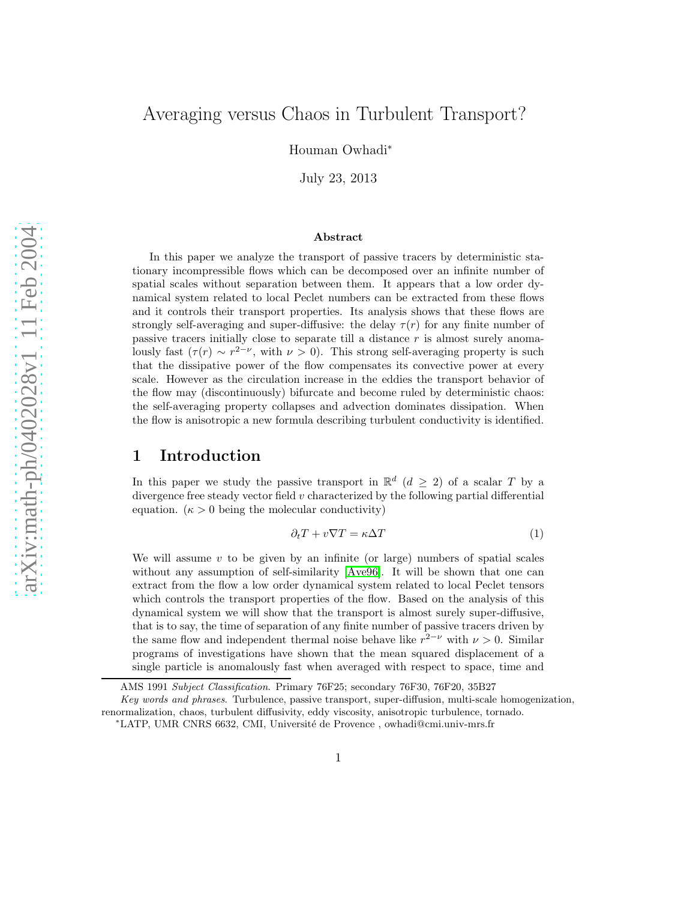# Averaging versus Chaos in Turbulent Transport?

Houman Owhadi<sup>∗</sup>

July 23, 2013

#### Abstract

In this paper we analyze the transport of passive tracers by deterministic stationary incompressible flows which can be decomposed over an infinite number of spatial scales without separation between them. It appears that a low order dynamical system related to local Peclet numbers can be extracted from these flows and it controls their transport properties. Its analysis shows that these flows are strongly self-averaging and super-diffusive: the delay  $\tau(r)$  for any finite number of passive tracers initially close to separate till a distance r is almost surely anomalously fast  $(\tau(r) \sim r^{2-\nu}$ , with  $\nu > 0$ ). This strong self-averaging property is such that the dissipative power of the flow compensates its convective power at every scale. However as the circulation increase in the eddies the transport behavior of the flow may (discontinuously) bifurcate and become ruled by deterministic chaos: the self-averaging property collapses and advection dominates dissipation. When the flow is anisotropic a new formula describing turbulent conductivity is identified.

# 1 Introduction

In this paper we study the passive transport in  $\mathbb{R}^d$   $(d \geq 2)$  of a scalar T by a divergence free steady vector field  $v$  characterized by the following partial differential equation.  $(\kappa > 0$  being the molecular conductivity)

<span id="page-0-0"></span>
$$
\partial_t T + v \nabla T = \kappa \Delta T \tag{1}
$$

We will assume  $v$  to be given by an infinite (or large) numbers of spatial scales without any assumption of self-similarity  $Ave96$ . It will be shown that one can extract from the flow a low order dynamical system related to local Peclet tensors which controls the transport properties of the flow. Based on the analysis of this dynamical system we will show that the transport is almost surely super-diffusive, that is to say, the time of separation of any finite number of passive tracers driven by the same flow and independent thermal noise behave like  $r^{2-\nu}$  with  $\nu > 0$ . Similar programs of investigations have shown that the mean squared displacement of a single particle is anomalously fast when averaged with respect to space, time and

AMS 1991 Subject Classification. Primary 76F25; secondary 76F30, 76F20, 35B27

Key words and phrases. Turbulence, passive transport, super-diffusion, multi-scale homogenization, renormalization, chaos, turbulent diffusivity, eddy viscosity, anisotropic turbulence, tornado.

<sup>∗</sup>LATP, UMR CNRS 6632, CMI, Universit´e de Provence , owhadi@cmi.univ-mrs.fr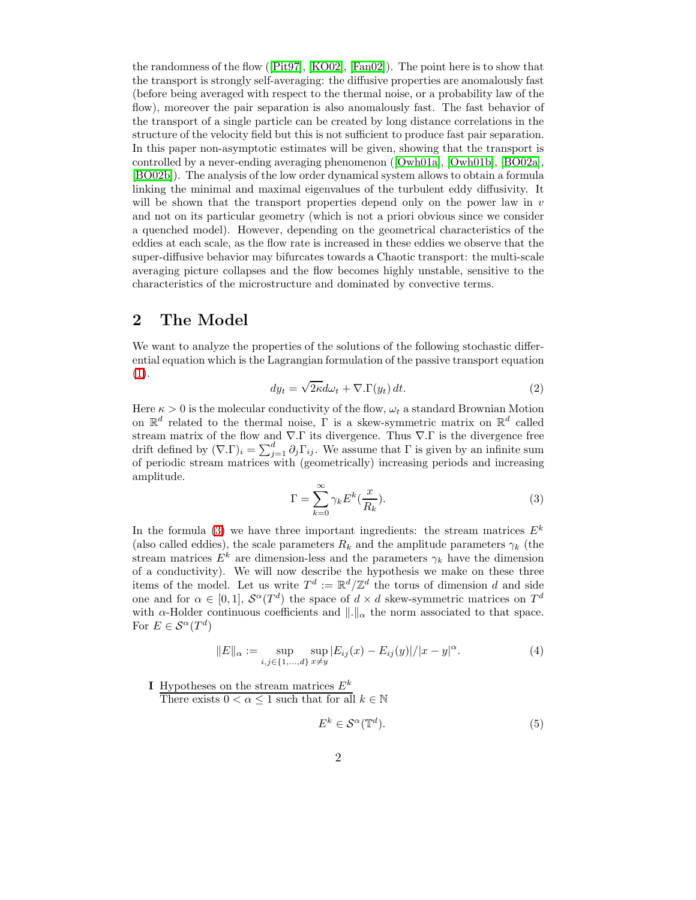the randomness of the flow([\[Pit97\]](#page-44-0), [\[KO02\]](#page-44-1), [\[Fan02\]](#page-43-1)). The point here is to show that the transport is strongly self-averaging: the diffusive properties are anomalously fast (before being averaged with respect to the thermal noise, or a probability law of the flow), moreover the pair separation is also anomalously fast. The fast behavior of the transport of a single particle can be created by long distance correlations in the structure of the velocity field but this is not sufficient to produce fast pair separation. In this paper non-asymptotic estimates will be given, showing that the transport is controlled by a never-ending averaging phenomenon([\[Owh01a\]](#page-44-2), [\[Owh01b\]](#page-44-3), [\[BO02a\]](#page-43-2), [\[BO02b\]](#page-43-3)). The analysis of the low order dynamical system allows to obtain a formula linking the minimal and maximal eigenvalues of the turbulent eddy diffusivity. It will be shown that the transport properties depend only on the power law in  $v$ and not on its particular geometry (which is not a priori obvious since we consider a quenched model). However, depending on the geometrical characteristics of the eddies at each scale, as the flow rate is increased in these eddies we observe that the super-diffusive behavior may bifurcates towards a Chaotic transport: the multi-scale averaging picture collapses and the flow becomes highly unstable, sensitive to the characteristics of the microstructure and dominated by convective terms.

# 2 The Model

<span id="page-1-1"></span>We want to analyze the properties of the solutions of the following stochastic differential equation which is the Lagrangian formulation of the passive transport equation [\(1\)](#page-0-0).

$$
dy_t = \sqrt{2\kappa}d\omega_t + \nabla.\Gamma(y_t) dt.
$$
 (2)

<span id="page-1-0"></span>Here  $\kappa > 0$  is the molecular conductivity of the flow,  $\omega_t$  a standard Brownian Motion on  $\mathbb{R}^d$  related to the thermal noise,  $\Gamma$  is a skew-symmetric matrix on  $\mathbb{R}^d$  called stream matrix of the flow and  $\nabla$ . T its divergence. Thus  $\nabla$ . T is the divergence free drift defined by  $(\nabla \Gamma)_i = \sum_{j=1}^d \partial_j \Gamma_{ij}$ . We assume that  $\Gamma$  is given by an infinite sum of periodic stream matrices with (geometrically) increasing periods and increasing amplitude.

$$
\Gamma = \sum_{k=0}^{\infty} \gamma_k E^k(\frac{x}{R_k}).
$$
\n(3)

In the formula [\(3\)](#page-1-0) we have three important ingredients: the stream matrices  $E^k$ (also called eddies), the scale parameters  $R_k$  and the amplitude parameters  $\gamma_k$  (the stream matrices  $E^k$  are dimension-less and the parameters  $\gamma_k$  have the dimension of a conductivity). We will now describe the hypothesis we make on these three items of the model. Let us write  $T^d := \mathbb{R}^d / \mathbb{Z}^d$  the torus of dimension d and side one and for  $\alpha \in [0,1]$ ,  $\mathcal{S}^{\alpha}(T^d)$  the space of  $d \times d$  skew-symmetric matrices on  $T^d$ with  $\alpha$ -Holder continuous coefficients and  $\|\cdot\|_{\alpha}$  the norm associated to that space. For  $E \in \mathcal{S}^{\alpha}(T^d)$ 

$$
||E||_{\alpha} := \sup_{i,j \in \{1,\dots,d\}} \sup_{x \neq y} |E_{ij}(x) - E_{ij}(y)| / |x - y|^{\alpha}.
$$
 (4)

I Hypotheses on the stream matrices  $E^k$ 

There exists  $0 < \alpha \leq 1$  such that for all  $k \in \mathbb{N}$ 

$$
E^k \in \mathcal{S}^{\alpha}(\mathbb{T}^d). \tag{5}
$$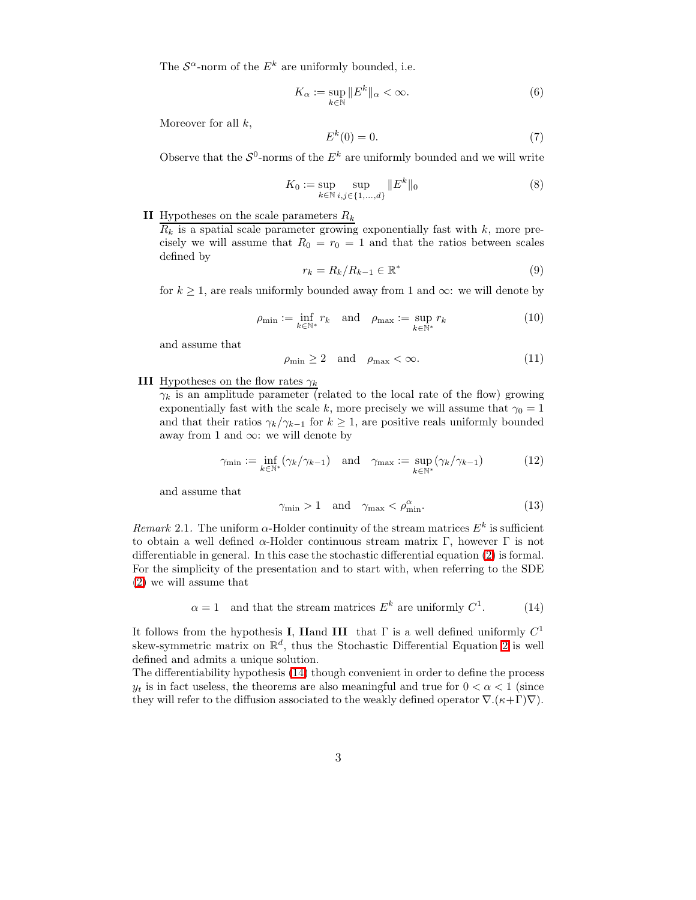The  $S^{\alpha}$ -norm of the  $E^k$  are uniformly bounded, i.e.

$$
K_{\alpha} := \sup_{k \in \mathbb{N}} \|E^k\|_{\alpha} < \infty.
$$
 (6)

Moreover for all  $k$ ,

$$
E^k(0) = 0.\t\t(7)
$$

Observe that the  $\mathcal{S}^0$ -norms of the  $E^k$  are uniformly bounded and we will write

$$
K_0 := \sup_{k \in \mathbb{N}} \sup_{i,j \in \{1,\dots,d\}} \|E^k\|_0
$$
 (8)

# II Hypotheses on the scale parameters  $R_k$

 $R_k$  is a spatial scale parameter growing exponentially fast with k, more precisely we will assume that  $R_0 = r_0 = 1$  and that the ratios between scales defined by

$$
r_k = R_k / R_{k-1} \in \mathbb{R}^*
$$
\n<sup>(9)</sup>

for  $k \geq 1$ , are reals uniformly bounded away from 1 and  $\infty$ : we will denote by

$$
\rho_{\min} := \inf_{k \in \mathbb{N}^*} r_k \quad \text{and} \quad \rho_{\max} := \sup_{k \in \mathbb{N}^*} r_k \tag{10}
$$

and assume that

$$
\rho_{\min} \ge 2 \quad \text{and} \quad \rho_{\max} < \infty. \tag{11}
$$

#### III Hypotheses on the flow rates  $\gamma_k$

 $\gamma_k$  is an amplitude parameter (related to the local rate of the flow) growing exponentially fast with the scale k, more precisely we will assume that  $\gamma_0 = 1$ and that their ratios  $\gamma_k/\gamma_{k-1}$  for  $k \geq 1$ , are positive reals uniformly bounded away from 1 and  $\infty$ : we will denote by

$$
\gamma_{\min} := \inf_{k \in \mathbb{N}^*} (\gamma_k / \gamma_{k-1}) \quad \text{and} \quad \gamma_{\max} := \sup_{k \in \mathbb{N}^*} (\gamma_k / \gamma_{k-1}) \tag{12}
$$

and assume that

$$
\gamma_{\min} > 1 \quad \text{and} \quad \gamma_{\max} < \rho_{\min}^{\alpha}.\tag{13}
$$

Remark 2.1. The uniform  $\alpha$ -Holder continuity of the stream matrices  $E^k$  is sufficient to obtain a well defined α-Holder continuous stream matrix Γ, however Γ is not differentiable in general. In this case the stochastic differential equation [\(2\)](#page-1-1) is formal. For the simplicity of the presentation and to start with, when referring to the SDE [\(2\)](#page-1-1) we will assume that

<span id="page-2-0"></span>
$$
\alpha = 1
$$
 and that the stream matrices  $E^k$  are uniformly  $C^1$ . (14)

It follows from the hypothesis **I**, **Hand III** that  $\Gamma$  is a well defined uniformly  $C^1$ skew-symmetric matrix on  $\mathbb{R}^d$ , thus the Stochastic Differential Equation [2](#page-1-1) is well defined and admits a unique solution.

The differentiability hypothesis [\(14\)](#page-2-0) though convenient in order to define the process  $y_t$  is in fact useless, the theorems are also meaningful and true for  $0 < \alpha < 1$  (since they will refer to the diffusion associated to the weakly defined operator  $\nabla$ . $(\kappa+\Gamma)\nabla$ ).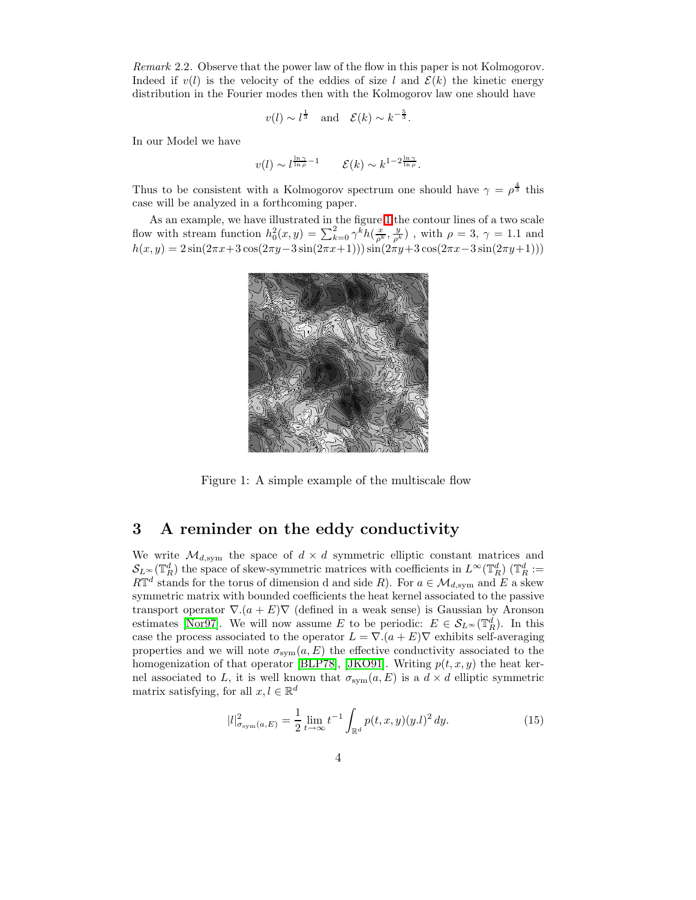Remark 2.2. Observe that the power law of the flow in this paper is not Kolmogorov. Indeed if  $v(l)$  is the velocity of the eddies of size l and  $\mathcal{E}(k)$  the kinetic energy distribution in the Fourier modes then with the Kolmogorov law one should have

$$
v(l) \sim l^{\frac{1}{3}}
$$
 and  $\mathcal{E}(k) \sim k^{-\frac{5}{3}}$ .

In our Model we have

$$
v(l) \sim l^{\frac{\ln \gamma}{\ln \rho} - 1} \qquad \mathcal{E}(k) \sim k^{1 - 2\frac{\ln \gamma}{\ln \rho}}.
$$

Thus to be consistent with a Kolmogorov spectrum one should have  $\gamma = \rho^{\frac{4}{3}}$  this case will be analyzed in a forthcoming paper.

As an example, we have illustrated in the figure [1](#page-3-0) the contour lines of a two scale flow with stream function  $h_0^2(x, y) = \sum_{k=0}^2 \gamma^k h(\frac{x}{\rho^k}, \frac{y}{\rho^k})$ , with  $\rho = 3$ ,  $\gamma = 1.1$  and  $h(x,y) = 2\sin(2\pi x + 3\cos(2\pi y - 3\sin(2\pi x + 1)))\sin(2\pi y + 3\cos(2\pi x - 3\sin(2\pi y + 1)))$ 



<span id="page-3-0"></span>Figure 1: A simple example of the multiscale flow

# <span id="page-3-1"></span>3 A reminder on the eddy conductivity

We write  $\mathcal{M}_{d,\mathrm{sym}}$  the space of  $d \times d$  symmetric elliptic constant matrices and  $\mathcal{S}_{L^{\infty}}(\mathbb{T}_R^d)$  the space of skew-symmetric matrices with coefficients in  $L^{\infty}(\mathbb{T}_R^d)$  ( $\mathbb{T}_R^d$  :=  $R\mathbb{T}^d$  stands for the torus of dimension d and side R). For  $a \in \mathcal{M}_{d,\text{sym}}$  and E a skew symmetric matrix with bounded coefficients the heat kernel associated to the passive transport operator  $\nabla$ . $(a + E)\nabla$  (defined in a weak sense) is Gaussian by Aronson estimates [\[Nor97\]](#page-44-4). We will now assume E to be periodic:  $E \in \mathcal{S}_{L^{\infty}}(\mathbb{T}_R^d)$ . In this case the process associated to the operator  $L = \nabla \cdot (a + E) \nabla$  exhibits self-averaging properties and we will note  $\sigma_{sym}(a, E)$  the effective conductivity associated to the homogenization of that operator [\[BLP78\]](#page-43-4), [\[JKO91\]](#page-44-5). Writing  $p(t, x, y)$  the heat kernel associated to L, it is well known that  $\sigma_{sym}(a, E)$  is a  $d \times d$  elliptic symmetric matrix satisfying, for all  $x, l \in \mathbb{R}^d$ 

$$
|l|_{\sigma_{\text{sym}}(a,E)}^2 = \frac{1}{2} \lim_{t \to \infty} t^{-1} \int_{\mathbb{R}^d} p(t,x,y)(y.l)^2 \, dy. \tag{15}
$$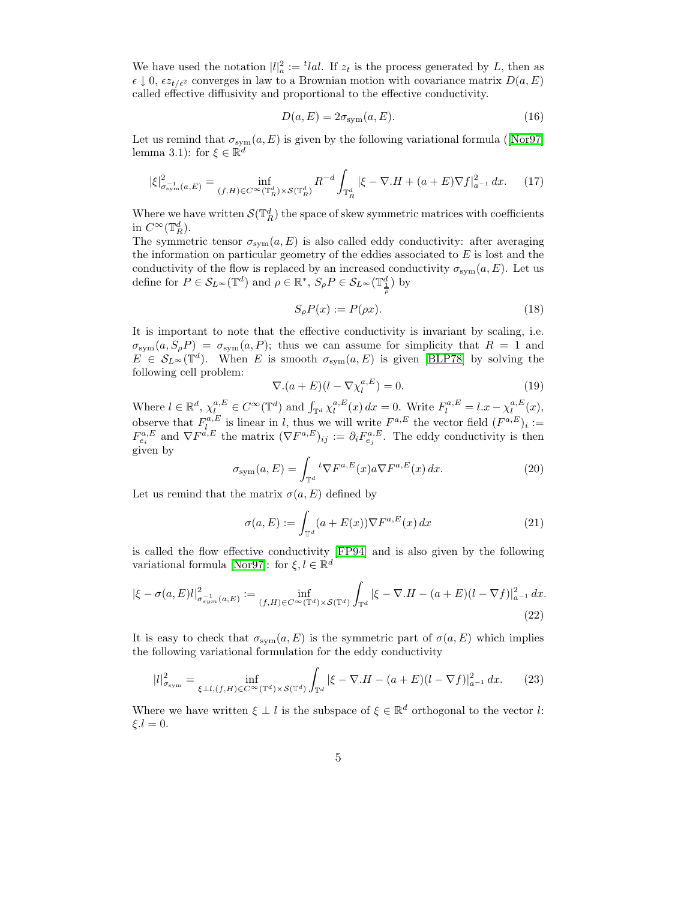We have used the notation  $|l|^2_a := \text{t}!al$ . If  $z_t$  is the process generated by L, then as  $\epsilon \downarrow 0$ ,  $\epsilon z_{t/\epsilon^2}$  converges in law to a Brownian motion with covariance matrix  $D(a, E)$ called effective diffusivity and proportional to the effective conductivity.

$$
D(a, E) = 2\sigma_{\text{sym}}(a, E). \tag{16}
$$

<span id="page-4-2"></span>Letus remind that  $\sigma_{sym}(a, E)$  is given by the following variational formula ([\[Nor97\]](#page-44-4) lemma 3.1): for  $\xi \in \mathbb{R}^d$ 

$$
|\xi|_{\sigma_{\text{sym}}^{-1}(a,E)}^2 = \inf_{(f,H)\in C^\infty(\mathbb{T}_R^d)\times \mathcal{S}(\mathbb{T}_R^d)} R^{-d} \int_{\mathbb{T}_R^d} |\xi - \nabla . H + (a+E) \nabla f|_{a^{-1}}^2 dx. \tag{17}
$$

Where we have written  $\mathcal{S}(\mathbb{T}_R^d)$  the space of skew symmetric matrices with coefficients in  $C^{\infty}(\mathbb{T}_R^d)$ .

The symmetric tensor  $\sigma_{sym}(a, E)$  is also called eddy conductivity: after averaging the information on particular geometry of the eddies associated to  $E$  is lost and the conductivity of the flow is replaced by an increased conductivity  $\sigma_{sym}(a, E)$ . Let us define for  $P \in \mathcal{S}_{L^{\infty}}(\mathbb{T}^d)$  and  $\rho \in \mathbb{R}^*, S_{\rho}P \in \mathcal{S}_{L^{\infty}}(\mathbb{T}^d_{\frac{\rho}{\rho}})$  by

<span id="page-4-0"></span>
$$
S_{\rho}P(x) := P(\rho x). \tag{18}
$$

It is important to note that the effective conductivity is invariant by scaling, i.e.  $\sigma_{sym}(a, S_{\rho}P) = \sigma_{sym}(a, P);$  thus we can assume for simplicity that  $R = 1$  and  $E \in \mathcal{S}_{L^{\infty}}(\mathbb{T}^d)$ . When E is smooth  $\sigma_{sym}(a, E)$  is given [\[BLP78\]](#page-43-4) by solving the following cell problem:

$$
\nabla.(a+E)(l - \nabla \chi_l^{a,E}) = 0.
$$
\n(19)

<span id="page-4-1"></span>Where  $l \in \mathbb{R}^d$ ,  $\chi_{l}^{a,E} \in C^{\infty}(\mathbb{T}^d)$  and  $\int_{\mathbb{T}^d} \chi_l^{a,E}(x) dx = 0$ . Write  $F_l^{a,E} = l.x - \chi_l^{a,E}(x)$ , observe that  $F^{a,E}_{l,n}$  is linear in l, thus we will write  $F^{a,E}$  the vector field  $(F^{a,E})_i :=$  $F_{e_i}^{a,E}$  and  $\nabla F^{a,E}$  the matrix  $(\nabla F^{a,E})_{ij} := \partial_i F_{e_j}^{a,E}$ . The eddy conductivity is then given by

$$
\sigma_{\text{sym}}(a,E) = \int_{\mathbb{T}^d} {}^t \nabla F^{a,E}(x) a \nabla F^{a,E}(x) \, dx. \tag{20}
$$

Let us remind that the matrix  $\sigma(a, E)$  defined by

<span id="page-4-3"></span>
$$
\sigma(a, E) := \int_{\mathbb{T}^d} (a + E(x)) \nabla F^{a, E}(x) dx \tag{21}
$$

is called the flow effective conductivity [\[FP94\]](#page-44-6) and is also given by the following variational formula [\[Nor97\]](#page-44-4): for  $\xi, l \in \mathbb{R}^d$ 

$$
|\xi - \sigma(a, E)l|_{\sigma_{sym}^{-1}(a, E)}^2 := \inf_{(f, H) \in C^{\infty}(\mathbb{T}^d) \times \mathcal{S}(\mathbb{T}^d)} \int_{\mathbb{T}^d} |\xi - \nabla H - (a + E)(l - \nabla f)|_{a^{-1}}^2 dx.
$$
\n(22)

It is easy to check that  $\sigma_{\text{sym}}(a, E)$  is the symmetric part of  $\sigma(a, E)$  which implies the following variational formulation for the eddy conductivity

$$
|l|_{\sigma_{\text{sym}}}^2 = \inf_{\xi \perp l, (f,H) \in C^\infty(\mathbb{T}^d) \times \mathcal{S}(\mathbb{T}^d)} \int_{\mathbb{T}^d} |\xi - \nabla \cdot H - (a+E)(l - \nabla f)|_{a^{-1}}^2 dx. \tag{23}
$$

Where we have written  $\xi \perp l$  is the subspace of  $\xi \in \mathbb{R}^d$  orthogonal to the vector l:  $\xi.l = 0.$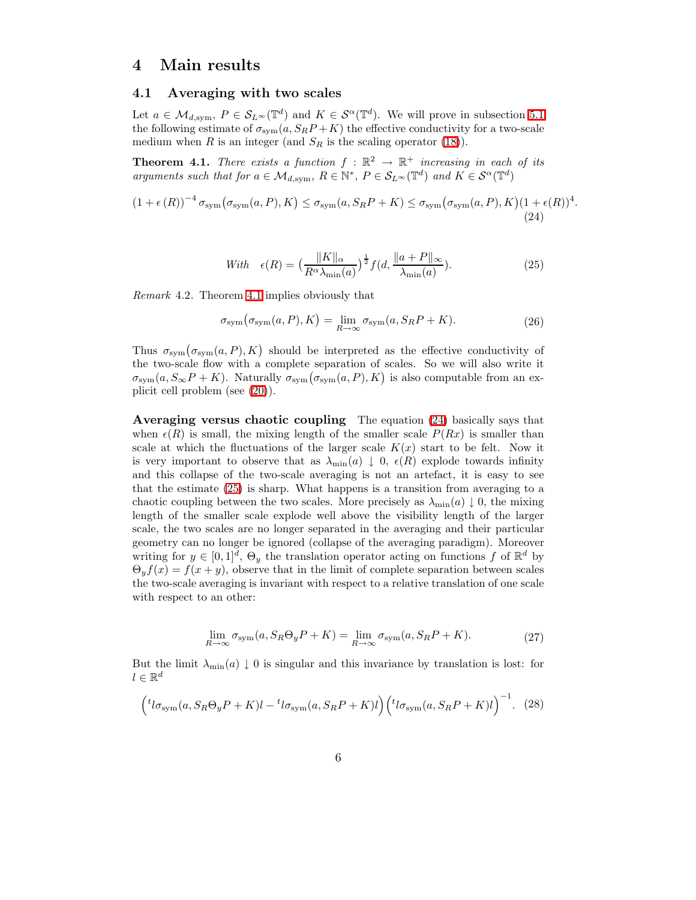## <span id="page-5-3"></span>4 Main results

## 4.1 Averaging with two scales

Let  $a \in \mathcal{M}_{d,\text{sym}}$ ,  $P \in \mathcal{S}_{L^{\infty}}(\mathbb{T}^d)$  and  $K \in \mathcal{S}^{\alpha}(\mathbb{T}^d)$ . We will prove in subsection [5.1](#page-19-0) the following estimate of  $\sigma_{sym}(a, S_R P + K)$  the effective conductivity for a two-scale medium when R is an integer (and  $S_R$  is the scaling operator [\(18\)](#page-4-0)).

<span id="page-5-0"></span>**Theorem 4.1.** There exists a function  $f : \mathbb{R}^2 \to \mathbb{R}^+$  increasing in each of its arguments such that for  $a \in \mathcal{M}_{d,\text{sym}}$ ,  $R \in \mathbb{N}^*$ ,  $P \in \mathcal{S}_{L^{\infty}}(\mathbb{T}^d)$  and  $K \in \mathcal{S}^{\alpha}(\mathbb{T}^d)$ 

<span id="page-5-2"></span>
$$
(1 + \epsilon(R))^{-4} \sigma_{sym}(\sigma_{sym}(a, P), K) \le \sigma_{sym}(a, S_R P + K) \le \sigma_{sym}(\sigma_{sym}(a, P), K)(1 + \epsilon(R))^4
$$
\n(24)

$$
With \quad \epsilon(R) = \left(\frac{\|K\|_{\alpha}}{R^{\alpha}\lambda_{\min}(a)}\right)^{\frac{1}{2}} f(d, \frac{\|a+P\|_{\infty}}{\lambda_{\min}(a)}).
$$
\n<sup>(25)</sup>

<span id="page-5-1"></span>.

Remark 4.2. Theorem [4.1](#page-5-0) implies obviously that

$$
\sigma_{\rm sym}(\sigma_{\rm sym}(a, P), K) = \lim_{R \to \infty} \sigma_{\rm sym}(a, S_R P + K). \tag{26}
$$

Thus  $\sigma_{sym}(\sigma_{sym}(a, P), K)$  should be interpreted as the effective conductivity of the two-scale flow with a complete separation of scales. So we will also write it  $\sigma_{\text{sym}}(a, S_{\infty}P + K)$ . Naturally  $\sigma_{\text{sym}}(\sigma_{\text{sym}}(a, P), K)$  is also computable from an explicit cell problem (see [\(20\)](#page-4-1)).

Averaging versus chaotic coupling The equation [\(24\)](#page-5-1) basically says that when  $\epsilon(R)$  is small, the mixing length of the smaller scale  $P(Rx)$  is smaller than scale at which the fluctuations of the larger scale  $K(x)$  start to be felt. Now it is very important to observe that as  $\lambda_{\min}(a) \downarrow 0$ ,  $\epsilon(R)$  explode towards infinity and this collapse of the two-scale averaging is not an artefact, it is easy to see that the estimate [\(25\)](#page-5-2) is sharp. What happens is a transition from averaging to a chaotic coupling between the two scales. More precisely as  $\lambda_{\min}(a) \downarrow 0$ , the mixing length of the smaller scale explode well above the visibility length of the larger scale, the two scales are no longer separated in the averaging and their particular geometry can no longer be ignored (collapse of the averaging paradigm). Moreover writing for  $y \in [0,1]^d$ ,  $\Theta_y$  the translation operator acting on functions f of  $\mathbb{R}^d$  by  $\Theta_u f(x) = f(x + y)$ , observe that in the limit of complete separation between scales the two-scale averaging is invariant with respect to a relative translation of one scale with respect to an other:

$$
\lim_{R \to \infty} \sigma_{\text{sym}}(a, S_R \Theta_y P + K) = \lim_{R \to \infty} \sigma_{\text{sym}}(a, S_R P + K). \tag{27}
$$

But the limit  $\lambda_{\min}(a) \downarrow 0$  is singular and this invariance by translation is lost: for  $l \in \mathbb{R}^d$ 

$$
\left( {}^{t}l\sigma_{\text{sym}}(a, S_{R}\Theta_{y}P + K)l - {}^{t}l\sigma_{\text{sym}}(a, S_{R}P + K)l \right) \left( {}^{t}l\sigma_{\text{sym}}(a, S_{R}P + K)l \right)^{-1}.
$$
 (28)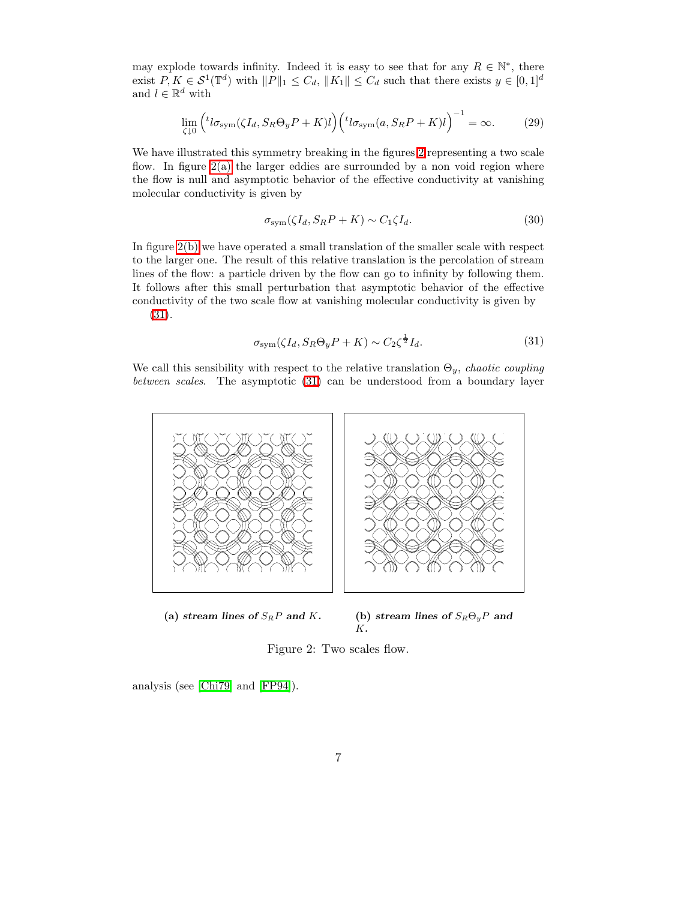may explode towards infinity. Indeed it is easy to see that for any  $R \in \mathbb{N}^*$ , there exist  $P, K \in \mathcal{S}^1(\mathbb{T}^d)$  with  $||P||_1 \leq C_d$ ,  $||K_1|| \leq C_d$  such that there exists  $y \in [0, 1]^d$ and  $l \in \mathbb{R}^d$  with

$$
\lim_{\zeta \downarrow 0} \left( {}^{t}l\sigma_{\text{sym}}(\zeta I_d, S_R \Theta_y P + K)l \right) \left( {}^{t}l\sigma_{\text{sym}}(a, S_R P + K)l \right)^{-1} = \infty. \tag{29}
$$

We have illustrated this symmetry breaking in the figures [2](#page-6-0) representing a two scale flow. In figure [2\(a\)](#page-6-1) the larger eddies are surrounded by a non void region where the flow is null and asymptotic behavior of the effective conductivity at vanishing molecular conductivity is given by

$$
\sigma_{sym}(\zeta I_d, S_R P + K) \sim C_1 \zeta I_d. \tag{30}
$$

<span id="page-6-3"></span>In figure [2\(b\)](#page-6-2) we have operated a small translation of the smaller scale with respect to the larger one. The result of this relative translation is the percolation of stream lines of the flow: a particle driven by the flow can go to infinity by following them. It follows after this small perturbation that asymptotic behavior of the effective conductivity of the two scale flow at vanishing molecular conductivity is given by [\(31\)](#page-6-3).

$$
\sigma_{\text{sym}}(\zeta I_d, S_R \Theta_y P + K) \sim C_2 \zeta^{\frac{1}{2}} I_d. \tag{31}
$$

<span id="page-6-1"></span>We call this sensibility with respect to the relative translation  $\Theta_y$ , chaotic coupling between scales. The asymptotic [\(31\)](#page-6-3) can be understood from a boundary layer



(a) stream lines of  $S_R P$  and K. (b) stream lines of  $S_R \Theta_y P$  and  $K<sub>1</sub>$ 

<span id="page-6-2"></span><span id="page-6-0"></span>Figure 2: Two scales flow.

analysis (see [\[Chi79\]](#page-43-5) and [\[FP94\]](#page-44-6)).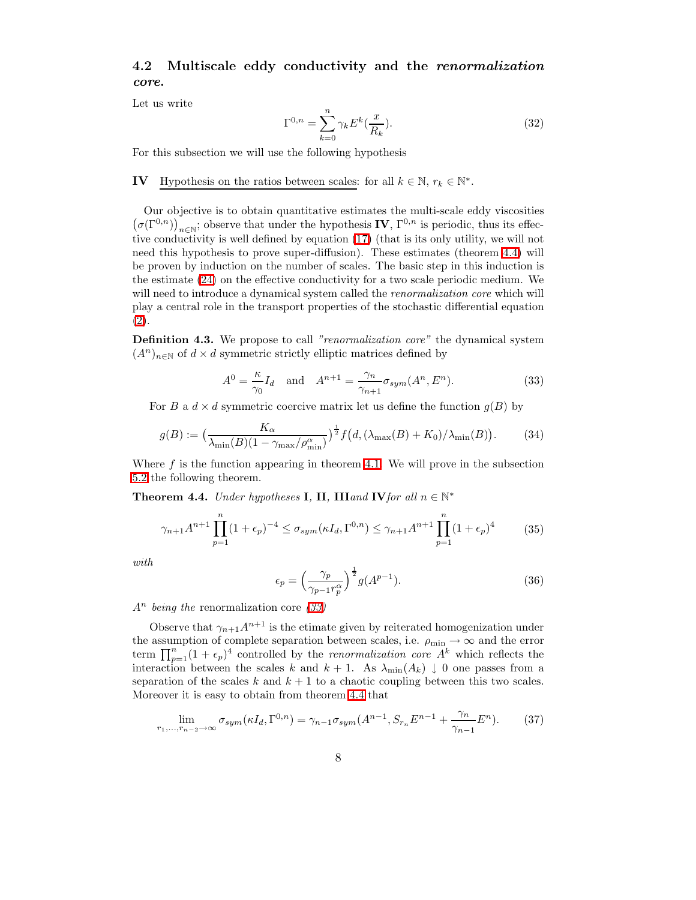## 4.2 Multiscale eddy conductivity and the renormalization core.

Let us write

$$
\Gamma^{0,n} = \sum_{k=0}^{n} \gamma_k E^k(\frac{x}{R_k}).\tag{32}
$$

For this subsection we will use the following hypothesis

# **IV** Hypothesis on the ratios between scales: for all  $k \in \mathbb{N}$ ,  $r_k \in \mathbb{N}^*$ .

Our objective is to obtain quantitative estimates the multi-scale eddy viscosities  $(\sigma(\Gamma^{0,n}))_{n\in\mathbb{N}}$ ; observe that under the hypothesis **IV**,  $\Gamma^{0,n}$  is periodic, thus its effective conductivity is well defined by equation [\(17\)](#page-4-2) (that is its only utility, we will not need this hypothesis to prove super-diffusion). These estimates (theorem [4.4\)](#page-7-0) will be proven by induction on the number of scales. The basic step in this induction is the estimate [\(24\)](#page-5-1) on the effective conductivity for a two scale periodic medium. We will need to introduce a dynamical system called the *renormalization core* which will play a central role in the transport properties of the stochastic differential equation [\(2\)](#page-1-1).

<span id="page-7-3"></span><span id="page-7-1"></span>**Definition 4.3.** We propose to call "renormalization core" the dynamical system  $(A^n)_{n\in\mathbb{N}}$  of  $d\times d$  symmetric strictly elliptic matrices defined by

$$
A^{0} = \frac{\kappa}{\gamma_{0}} I_{d} \quad \text{and} \quad A^{n+1} = \frac{\gamma_{n}}{\gamma_{n+1}} \sigma_{sym}(A^{n}, E^{n}). \tag{33}
$$

For B a  $d \times d$  symmetric coercive matrix let us define the function  $g(B)$  by

$$
g(B) := \left(\frac{K_{\alpha}}{\lambda_{\min}(B)(1 - \gamma_{\max}/\rho_{\min}^{\alpha})}\right)^{\frac{1}{2}} f\left(d, (\lambda_{\max}(B) + K_0)/\lambda_{\min}(B)\right).
$$
 (34)

<span id="page-7-0"></span>Where  $f$  is the function appearing in theorem [4.1.](#page-5-0) We will prove in the subsection [5.2](#page-24-0) the following theorem.

**Theorem 4.4.** Under hypotheses **I**, **II**, **III** and **IV** for all  $n \in \mathbb{N}^*$ 

$$
\gamma_{n+1}A^{n+1}\prod_{p=1}^{n}(1+\epsilon_p)^{-4} \leq \sigma_{sym}(\kappa I_d, \Gamma^{0,n}) \leq \gamma_{n+1}A^{n+1}\prod_{p=1}^{n}(1+\epsilon_p)^{4}
$$
 (35)

with

<span id="page-7-2"></span>
$$
\epsilon_p = \left(\frac{\gamma_p}{\gamma_{p-1} r_p^{\alpha}}\right)^{\frac{1}{2}} g(A^{p-1}).
$$
\n(36)

 $A<sup>n</sup>$  being the renormalization core [\(33\)](#page-7-1)

Observe that  $\gamma_{n+1}A^{n+1}$  is the etimate given by reiterated homogenization under the assumption of complete separation between scales, i.e.  $\rho_{\min} \to \infty$  and the error term  $\prod_{p=1}^{n} (1 + \epsilon_p)^4$  controlled by the *renormalization core*  $A^k$  which reflects the interaction between the scales k and  $k + 1$ . As  $\lambda_{\min}(A_k) \downarrow 0$  one passes from a separation of the scales k and  $k + 1$  to a chaotic coupling between this two scales. Moreover it is easy to obtain from theorem [4.4](#page-7-0) that

$$
\lim_{r_1, \dots, r_{n-2} \to \infty} \sigma_{sym}(\kappa I_d, \Gamma^{0,n}) = \gamma_{n-1} \sigma_{sym}(A^{n-1}, S_{r_n} E^{n-1} + \frac{\gamma_n}{\gamma_{n-1}} E^n). \tag{37}
$$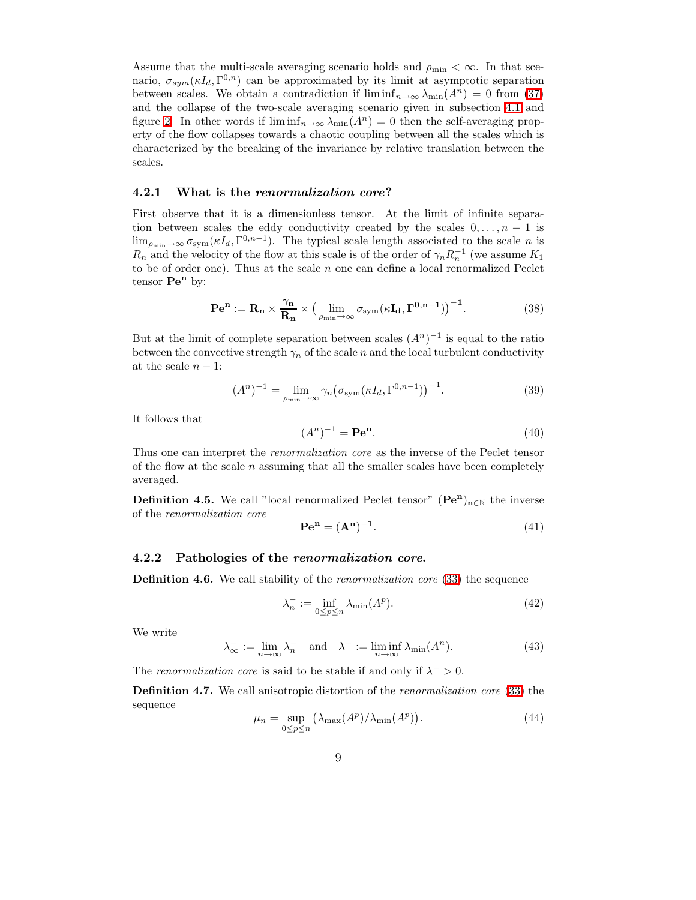Assume that the multi-scale averaging scenario holds and  $\rho_{\min} < \infty$ . In that scenario,  $\sigma_{sym}(\kappa I_d, \Gamma^{0,n})$  can be approximated by its limit at asymptotic separation between scales. We obtain a contradiction if  $\liminf_{n\to\infty}\lambda_{\min}(A^n)=0$  from [\(37\)](#page-7-2) and the collapse of the two-scale averaging scenario given in subsection [4.1](#page-5-3) and figure [2.](#page-6-0) In other words if  $\liminf_{n\to\infty}\lambda_{\min}(A^n)=0$  then the self-averaging property of the flow collapses towards a chaotic coupling between all the scales which is characterized by the breaking of the invariance by relative translation between the scales.

#### 4.2.1 What is the renormalization core?

First observe that it is a dimensionless tensor. At the limit of infinite separation between scales the eddy conductivity created by the scales  $0, \ldots, n - 1$  is  $\lim_{\rho_{\min}\to\infty} \sigma_{sym}(\kappa I_d, \Gamma^{0,n-1}).$  The typical scale length associated to the scale *n* is  $R_n$  and the velocity of the flow at this scale is of the order of  $\gamma_n R_n^{-1}$  (we assume  $K_1$ to be of order one). Thus at the scale  $n$  one can define a local renormalized Peclet tensor  $\mathbf{Pe}^n$  by:

$$
\mathbf{P} \mathbf{e}^{\mathbf{n}} := \mathbf{R}_{\mathbf{n}} \times \frac{\gamma_{\mathbf{n}}}{\mathbf{R}_{\mathbf{n}}} \times \left( \lim_{\rho_{\min} \to \infty} \sigma_{\text{sym}}(\kappa \mathbf{I}_{\mathbf{d}}, \mathbf{\Gamma}^{\mathbf{0}, \mathbf{n}-1}) \right)^{-1}.
$$
 (38)

But at the limit of complete separation between scales  $(A<sup>n</sup>)<sup>-1</sup>$  is equal to the ratio between the convective strength  $\gamma_n$  of the scale n and the local turbulent conductivity at the scale  $n-1$ :

$$
(An)-1 = \lim_{\rho_{\min}\to\infty} \gamma_n \big(\sigma_{\text{sym}}(\kappa I_d, \Gamma^{0,n-1})\big)^{-1}.
$$
 (39)

It follows that

$$
(An)-1 = \mathbf{Pe}^{\mathbf{n}}.
$$
 (40)

Thus one can interpret the renormalization core as the inverse of the Peclet tensor of the flow at the scale  $n$  assuming that all the smaller scales have been completely averaged.

**Definition 4.5.** We call "local renormalized Peclet tensor"  $(\mathbf{Pe}^n)_{n \in \mathbb{N}}$  the inverse of the renormalization core

$$
\mathbf{P} \mathbf{e}^{\mathbf{n}} = (\mathbf{A}^{\mathbf{n}})^{-1}.
$$
 (41)

#### 4.2.2 Pathologies of the renormalization core.

**Definition 4.6.** We call stability of the *renormalization core* [\(33\)](#page-7-1) the sequence

$$
\lambda_n^- := \inf_{0 \le p \le n} \lambda_{\min}(A^p). \tag{42}
$$

We write

$$
\lambda_{\infty}^- := \lim_{n \to \infty} \lambda_n^- \quad \text{and} \quad \lambda^- := \liminf_{n \to \infty} \lambda_{\min}(A^n). \tag{43}
$$

The renormalization core is said to be stable if and only if  $\lambda^- > 0$ .

Definition 4.7. We call anisotropic distortion of the renormalization core [\(33\)](#page-7-1) the sequence

$$
\mu_n = \sup_{0 \le p \le n} \left( \lambda_{\max}(A^p) / \lambda_{\min}(A^p) \right). \tag{44}
$$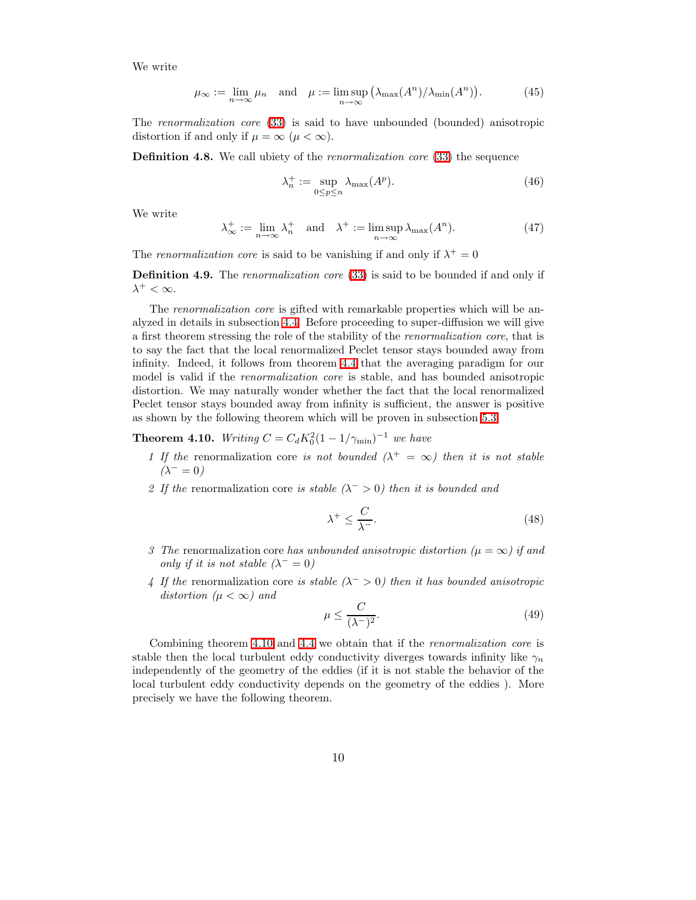We write

$$
\mu_{\infty} := \lim_{n \to \infty} \mu_n \quad \text{and} \quad \mu := \limsup_{n \to \infty} \left( \lambda_{\max}(A^n) / \lambda_{\min}(A^n) \right). \tag{45}
$$

The renormalization core [\(33\)](#page-7-1) is said to have unbounded (bounded) anisotropic distortion if and only if  $\mu = \infty$  ( $\mu < \infty$ ).

**Definition 4.8.** We call ubiety of the *renormalization core* [\(33\)](#page-7-1) the sequence

$$
\lambda_n^+ := \sup_{0 \le p \le n} \lambda_{\max}(A^p). \tag{46}
$$

We write

$$
\lambda_{\infty}^{+} := \lim_{n \to \infty} \lambda_{n}^{+} \quad \text{and} \quad \lambda^{+} := \limsup_{n \to \infty} \lambda_{\max}(A^{n}). \tag{47}
$$

The renormalization core is said to be vanishing if and only if  $\lambda^+ = 0$ 

Definition 4.9. The renormalization core [\(33\)](#page-7-1) is said to be bounded if and only if  $\lambda^+ < \infty$ .

The renormalization core is gifted with remarkable properties which will be analyzed in details in subsection [4.4.](#page-13-0) Before proceeding to super-diffusion we will give a first theorem stressing the role of the stability of the renormalization core, that is to say the fact that the local renormalized Peclet tensor stays bounded away from infinity. Indeed, it follows from theorem [4.4](#page-7-0) that the averaging paradigm for our model is valid if the *renormalization core* is stable, and has bounded anisotropic distortion. We may naturally wonder whether the fact that the local renormalized Peclet tensor stays bounded away from infinity is sufficient, the answer is positive as shown by the following theorem which will be proven in subsection [5.3.](#page-24-1)

<span id="page-9-0"></span>**Theorem 4.10.** Writing  $C = C_d K_0^2 (1 - 1/\gamma_{\min})^{-1}$  we have

- 1 If the renormalization core is not bounded  $(\lambda^+ = \infty)$  then it is not stable  $(\lambda^- = 0)$
- 2 If the renormalization core is stable  $(\lambda^{-} > 0)$  then it is bounded and

$$
\lambda^+ \le \frac{C}{\lambda^-}.\tag{48}
$$

- 3 The renormalization core has unbounded anisotropic distortion ( $\mu = \infty$ ) if and only if it is not stable  $(\lambda^- = 0)$
- 4 If the renormalization core is stable  $(\lambda^{-} > 0)$  then it has bounded anisotropic distortion ( $\mu < \infty$ ) and

$$
\mu \le \frac{C}{(\lambda^-)^2}.\tag{49}
$$

<span id="page-9-1"></span>Combining theorem [4.10](#page-9-0) and [4.4](#page-7-0) we obtain that if the renormalization core is stable then the local turbulent eddy conductivity diverges towards infinity like  $\gamma_n$ independently of the geometry of the eddies (if it is not stable the behavior of the local turbulent eddy conductivity depends on the geometry of the eddies ). More precisely we have the following theorem.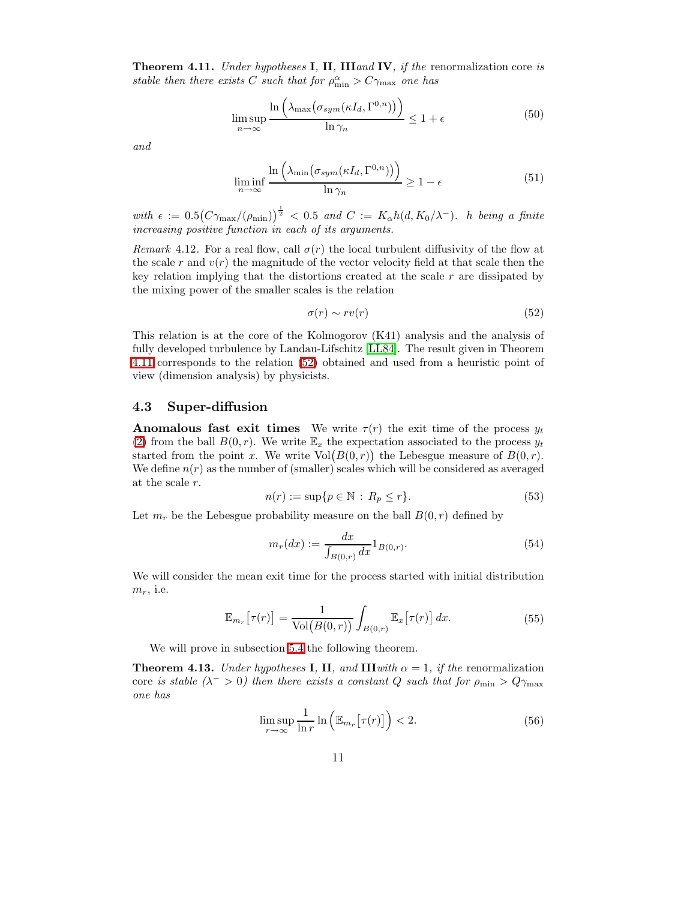**Theorem 4.11.** Under hypotheses **I**, **II**, **III**and **IV**, if the renormalization core is stable then there exists C such that for  $\rho_{\min}^{\alpha} > C\gamma_{\max}$  one has

$$
\limsup_{n \to \infty} \frac{\ln\left(\lambda_{\max}\left(\sigma_{sym}(\kappa I_d, \Gamma^{0,n})\right)\right)}{\ln \gamma_n} \le 1 + \epsilon \tag{50}
$$

and

$$
\liminf_{n \to \infty} \frac{\ln\left(\lambda_{\min}\left(\sigma_{sym}(\kappa I_d, \Gamma^{0,n})\right)\right)}{\ln \gamma_n} \ge 1 - \epsilon \tag{51}
$$

with  $\epsilon := 0.5(C\gamma_{\text{max}}/(\rho_{\text{min}}))^{\frac{1}{2}} < 0.5$  and  $C := K_{\alpha}h(d, K_0/\lambda^{-})$ . *h* being a finite increasing positive function in each of its arguments.

Remark 4.12. For a real flow, call  $\sigma(r)$  the local turbulent diffusivity of the flow at the scale r and  $v(r)$  the magnitude of the vector velocity field at that scale then the key relation implying that the distortions created at the scale  $r$  are dissipated by the mixing power of the smaller scales is the relation

<span id="page-10-0"></span>
$$
\sigma(r) \sim rv(r) \tag{52}
$$

This relation is at the core of the Kolmogorov (K41) analysis and the analysis of fully developed turbulence by Landau-Lifschitz [\[LL84\]](#page-44-7). The result given in Theorem [4.11](#page-9-1) corresponds to the relation [\(52\)](#page-10-0) obtained and used from a heuristic point of view (dimension analysis) by physicists.

## <span id="page-10-2"></span>4.3 Super-diffusion

**Anomalous fast exit times** We write  $\tau(r)$  the exit time of the process  $y_t$ [\(2\)](#page-1-1) from the ball  $B(0, r)$ . We write  $\mathbb{E}_x$  the expectation associated to the process  $y_t$ started from the point x. We write  $Vol(B(0,r))$  the Lebesgue measure of  $B(0,r)$ . We define  $n(r)$  as the number of (smaller) scales which will be considered as averaged at the scale r.

$$
n(r) := \sup\{p \in \mathbb{N} \, : \, R_p \le r\}.
$$
\n<sup>(53)</sup>

Let  $m_r$  be the Lebesgue probability measure on the ball  $B(0, r)$  defined by

$$
m_r(dx) := \frac{dx}{\int_{B(0,r)} dx} 1_{B(0,r)}.
$$
\n(54)

We will consider the mean exit time for the process started with initial distribution  $m_r$ , i.e.

$$
\mathbb{E}_{m_r}\big[\tau(r)\big] = \frac{1}{\text{Vol}\big(B(0,r)\big)} \int_{B(0,r)} \mathbb{E}_x\big[\tau(r)\big] \, dx. \tag{55}
$$

We will prove in subsection [5.4](#page-27-0) the following theorem.

<span id="page-10-1"></span>**Theorem 4.13.** Under hypotheses **I**, **II**, and **III**with  $\alpha = 1$ , if the renormalization core is stable ( $\lambda$ <sup>-</sup> > 0) then there exists a constant Q such that for  $\rho_{\rm min} > Q \gamma_{\rm max}$ one has

$$
\limsup_{r \to \infty} \frac{1}{\ln r} \ln \left( \mathbb{E}_{m_r} \left[ \tau(r) \right] \right) < 2. \tag{56}
$$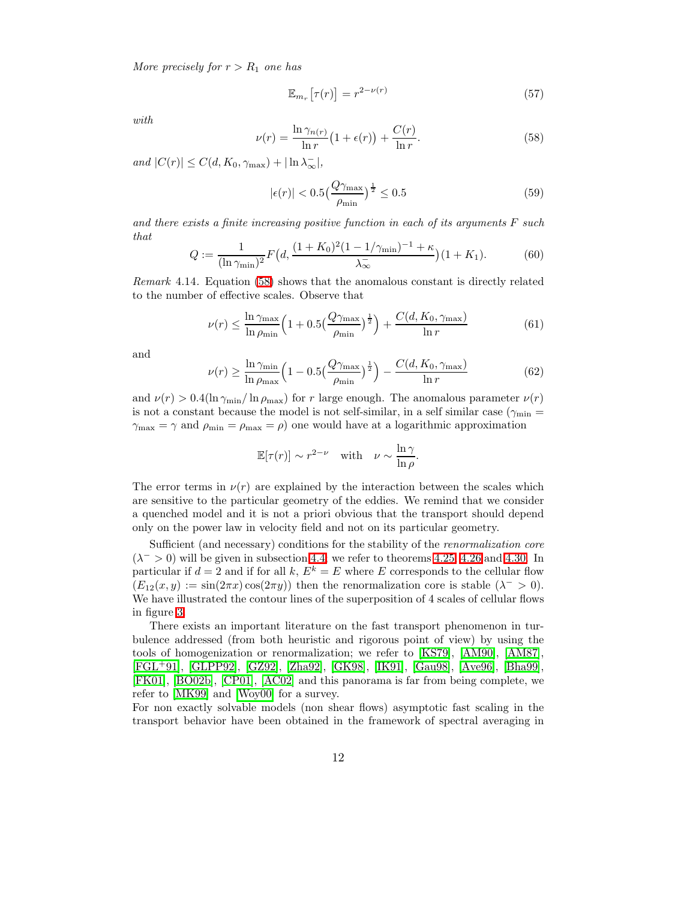More precisely for  $r > R_1$  one has

$$
\mathbb{E}_{m_r}\left[\tau(r)\right] = r^{2-\nu(r)}\tag{57}
$$

<span id="page-11-0"></span>with

$$
\nu(r) = \frac{\ln \gamma_{n(r)}}{\ln r} \left(1 + \epsilon(r)\right) + \frac{C(r)}{\ln r}.\tag{58}
$$

and  $|C(r)| \leq C(d, K_0, \gamma_{\text{max}}) + |\ln \lambda_{\infty}^-|,$ 

$$
|\epsilon(r)| < 0.5 \left(\frac{Q\gamma_{\text{max}}}{\rho_{\text{min}}}\right)^{\frac{1}{2}} \le 0.5\tag{59}
$$

<span id="page-11-1"></span>and there exists a finite increasing positive function in each of its arguments  $F$  such that

$$
Q := \frac{1}{(\ln \gamma_{\min})^2} F\left(d, \frac{(1 + K_0)^2 (1 - 1/\gamma_{\min})^{-1} + \kappa}{\lambda_{\infty}^+}\right) (1 + K_1). \tag{60}
$$

Remark 4.14. Equation [\(58\)](#page-11-0) shows that the anomalous constant is directly related to the number of effective scales. Observe that

$$
\nu(r) \le \frac{\ln \gamma_{\text{max}}}{\ln \rho_{\text{min}}} \left( 1 + 0.5 \left( \frac{Q \gamma_{\text{max}}}{\rho_{\text{min}}} \right)^{\frac{1}{2}} \right) + \frac{C(d, K_0, \gamma_{\text{max}})}{\ln r}
$$
(61)

and

$$
\nu(r) \ge \frac{\ln \gamma_{\min}}{\ln \rho_{\max}} \left(1 - 0.5 \left(\frac{Q \gamma_{\max}}{\rho_{\min}}\right)^{\frac{1}{2}}\right) - \frac{C(d, K_0, \gamma_{\max})}{\ln r} \tag{62}
$$

and  $\nu(r) > 0.4(\ln \gamma_{\min}/\ln \rho_{\max})$  for r large enough. The anomalous parameter  $\nu(r)$ is not a constant because the model is not self-similar, in a self similar case ( $\gamma_{\rm min}$  =  $\gamma_{\text{max}} = \gamma$  and  $\rho_{\text{min}} = \rho_{\text{max}} = \rho$  one would have at a logarithmic approximation

$$
\mathbb{E}[\tau(r)] \sim r^{2-\nu} \quad \text{with} \quad \nu \sim \frac{\ln \gamma}{\ln \rho}.
$$

The error terms in  $\nu(r)$  are explained by the interaction between the scales which are sensitive to the particular geometry of the eddies. We remind that we consider a quenched model and it is not a priori obvious that the transport should depend only on the power law in velocity field and not on its particular geometry.

Sufficient (and necessary) conditions for the stability of the *renormalization* core  $(\lambda^{-} > 0)$  will be given in subsection [4.4;](#page-13-0) we refer to theorems [4.25,](#page-15-0) [4.26](#page-15-1) and [4.30.](#page-16-0) In particular if  $d = 2$  and if for all k,  $E^k = E$  where E corresponds to the cellular flow  $(E_{12}(x,y) := \sin(2\pi x) \cos(2\pi y)$  then the renormalization core is stable  $(\lambda^{-} > 0)$ . We have illustrated the contour lines of the superposition of 4 scales of cellular flows in figure [3.](#page-12-0)

There exists an important literature on the fast transport phenomenon in turbulence addressed (from both heuristic and rigorous point of view) by using the tools of homogenization or renormalization; we refer to [\[KS79\]](#page-44-8), [\[AM90\]](#page-43-6), [\[AM87\]](#page-43-7), [\[FGL](#page-44-9)+91], [\[GLPP92\]](#page-44-10), [\[GZ92\]](#page-44-11), [\[Zha92\]](#page-45-0), [\[GK98\]](#page-44-12), [\[IK91\]](#page-44-13), [\[Gau98\]](#page-44-14), [\[Ave96\]](#page-43-0), [\[Bha99\]](#page-43-8), [\[FK01\]](#page-44-15), [\[BO02b\]](#page-43-3), [\[CP01\]](#page-43-9), [\[AC02\]](#page-43-10) and this panorama is far from being complete, we refer to [\[MK99\]](#page-44-16) and [\[Woy00\]](#page-45-1) for a survey.

For non exactly solvable models (non shear flows) asymptotic fast scaling in the transport behavior have been obtained in the framework of spectral averaging in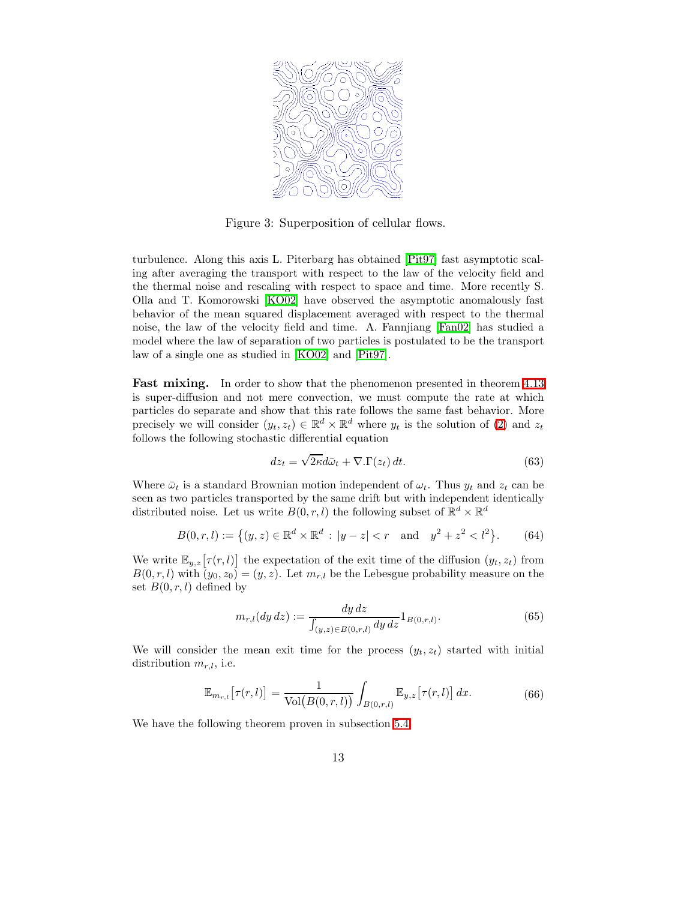

Figure 3: Superposition of cellular flows.

<span id="page-12-0"></span>turbulence. Along this axis L. Piterbarg has obtained [\[Pit97\]](#page-44-0) fast asymptotic scaling after averaging the transport with respect to the law of the velocity field and the thermal noise and rescaling with respect to space and time. More recently S. Olla and T. Komorowski [\[KO02\]](#page-44-1) have observed the asymptotic anomalously fast behavior of the mean squared displacement averaged with respect to the thermal noise, the law of the velocity field and time. A. Fannjiang [\[Fan02\]](#page-43-1) has studied a model where the law of separation of two particles is postulated to be the transport law of a single one as studied in [\[KO02\]](#page-44-1) and [\[Pit97\]](#page-44-0).

**Fast mixing.** In order to show that the phenomenon presented in theorem [4.13](#page-10-1) is super-diffusion and not mere convection, we must compute the rate at which particles do separate and show that this rate follows the same fast behavior. More precisely we will consider  $(y_t, z_t) \in \mathbb{R}^d \times \mathbb{R}^d$  where  $y_t$  is the solution of [\(2\)](#page-1-1) and  $z_t$ follows the following stochastic differential equation

$$
dz_t = \sqrt{2\kappa}d\bar{\omega}_t + \nabla.\Gamma(z_t) dt.
$$
 (63)

Where  $\bar{\omega}_t$  is a standard Brownian motion independent of  $\omega_t$ . Thus  $y_t$  and  $z_t$  can be seen as two particles transported by the same drift but with independent identically distributed noise. Let us write  $B(0, r, l)$  the following subset of  $\mathbb{R}^d \times \mathbb{R}^d$ 

$$
B(0, r, l) := \left\{ (y, z) \in \mathbb{R}^d \times \mathbb{R}^d : |y - z| < r \quad \text{and} \quad y^2 + z^2 < l^2 \right\}. \tag{64}
$$

We write  $\mathbb{E}_{y,z}[\tau(r, l)]$  the expectation of the exit time of the diffusion  $(y_t, z_t)$  from  $B(0, r, l)$  with  $(y_0, z_0) = (y, z)$ . Let  $m_{r,l}$  be the Lebesgue probability measure on the set  $B(0, r, l)$  defined by

$$
m_{r,l}(dy\,dz) := \frac{dy\,dz}{\int_{(y,z)\in B(0,r,l)} dy\,dz} 1_{B(0,r,l)}.\tag{65}
$$

<span id="page-12-2"></span>We will consider the mean exit time for the process  $(y_t, z_t)$  started with initial distribution  $m_{r,l}$ , i.e.

$$
\mathbb{E}_{m_{r,l}}\left[\tau(r,l)\right] = \frac{1}{\text{Vol}\big(B(0,r,l)\big)} \int_{B(0,r,l)} \mathbb{E}_{y,z}\big[\tau(r,l)\big] \, dx. \tag{66}
$$

<span id="page-12-1"></span>We have the following theorem proven in subsection [5.4.](#page-27-0)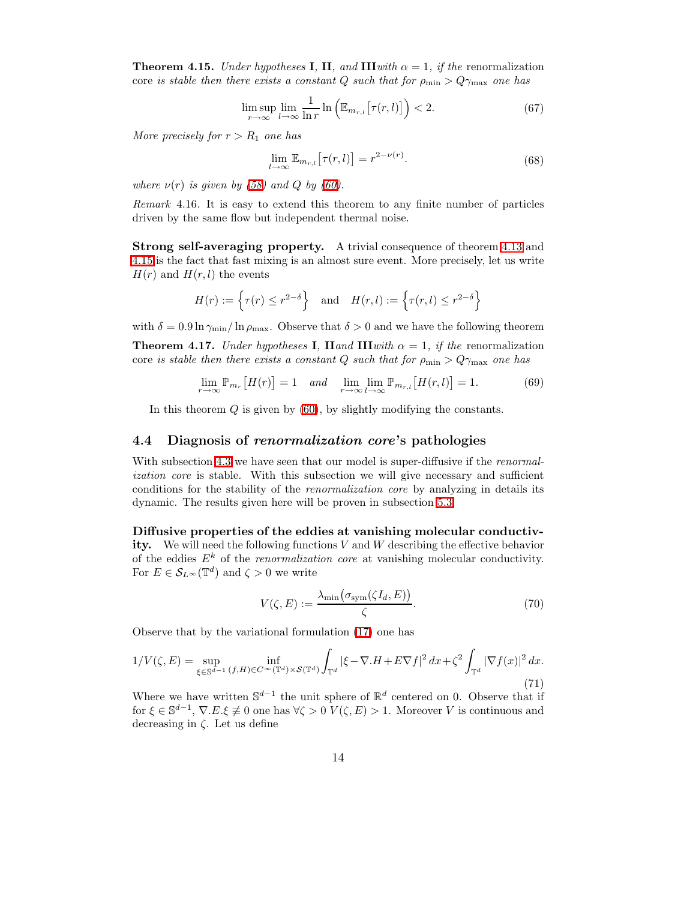**Theorem 4.15.** Under hypotheses **I**, **II**, and **III**with  $\alpha = 1$ , if the renormalization core is stable then there exists a constant Q such that for  $\rho_{\min} > Q\gamma_{\max}$  one has

$$
\limsup_{r \to \infty} \lim_{l \to \infty} \frac{1}{\ln r} \ln \left( \mathbb{E}_{m_{r,l}} \left[ \tau(r,l) \right] \right) < 2. \tag{67}
$$

More precisely for  $r > R_1$  one has

$$
\lim_{l \to \infty} \mathbb{E}_{m_{r,l}} \left[ \tau(r,l) \right] = r^{2-\nu(r)}.
$$
\n(68)

where  $\nu(r)$  is given by [\(58\)](#page-11-0) and Q by [\(60\)](#page-11-1).

Remark 4.16. It is easy to extend this theorem to any finite number of particles driven by the same flow but independent thermal noise.

Strong self-averaging property. A trivial consequence of theorem [4.13](#page-10-1) and [4.15](#page-12-1) is the fact that fast mixing is an almost sure event. More precisely, let us write  $H(r)$  and  $H(r, l)$  the events

$$
H(r) := \left\{ \tau(r) \le r^{2-\delta} \right\} \quad \text{and} \quad H(r, l) := \left\{ \tau(r, l) \le r^{2-\delta} \right\}
$$

<span id="page-13-1"></span>with  $\delta = 0.9 \ln \gamma_{\rm min}/\ln \rho_{\rm max}$ . Observe that  $\delta > 0$  and we have the following theorem

**Theorem 4.17.** Under hypotheses **I**, **Hand III**with  $\alpha = 1$ , if the renormalization core is stable then there exists a constant Q such that for  $\rho_{\min} > Q\gamma_{\max}$  one has

$$
\lim_{r \to \infty} \mathbb{P}_{m_r}[H(r)] = 1 \quad \text{and} \quad \lim_{r \to \infty} \lim_{l \to \infty} \mathbb{P}_{m_{r,l}}[H(r,l)] = 1. \tag{69}
$$

In this theorem  $Q$  is given by  $(60)$ , by slightly modifying the constants.

#### <span id="page-13-0"></span>4.4 Diagnosis of renormalization core's pathologies

With subsection [4.3](#page-10-2) we have seen that our model is super-diffusive if the *renormal*ization core is stable. With this subsection we will give necessary and sufficient conditions for the stability of the renormalization core by analyzing in details its dynamic. The results given here will be proven in subsection [5.3.](#page-24-1)

Diffusive properties of the eddies at vanishing molecular conductivity. We will need the following functions  $V$  and  $W$  describing the effective behavior of the eddies  $E^k$  of the *renormalization core* at vanishing molecular conductivity. For  $E \in \mathcal{S}_{L^{\infty}}(\mathbb{T}^d)$  and  $\zeta > 0$  we write

<span id="page-13-2"></span>
$$
V(\zeta, E) := \frac{\lambda_{\min}(\sigma_{\text{sym}}(\zeta I_d, E))}{\zeta}.
$$
\n(70)

Observe that by the variational formulation [\(17\)](#page-4-2) one has

$$
1/V(\zeta, E) = \sup_{\xi \in \mathbb{S}^{d-1}} \inf_{(f, H) \in C^{\infty}(\mathbb{T}^d) \times \mathcal{S}(\mathbb{T}^d)} \int_{\mathbb{T}^d} |\xi - \nabla \cdot H + E \nabla f|^2 \, dx + \zeta^2 \int_{\mathbb{T}^d} |\nabla f(x)|^2 \, dx. \tag{71}
$$

Where we have written  $\mathbb{S}^{d-1}$  the unit sphere of  $\mathbb{R}^d$  centered on 0. Observe that if for  $\xi \in \mathbb{S}^{d-1}$ ,  $\nabla.E.\xi \neq 0$  one has  $\forall \zeta > 0$   $V(\zeta, E) > 1$ . Moreover V is continuous and decreasing in  $\zeta$ . Let us define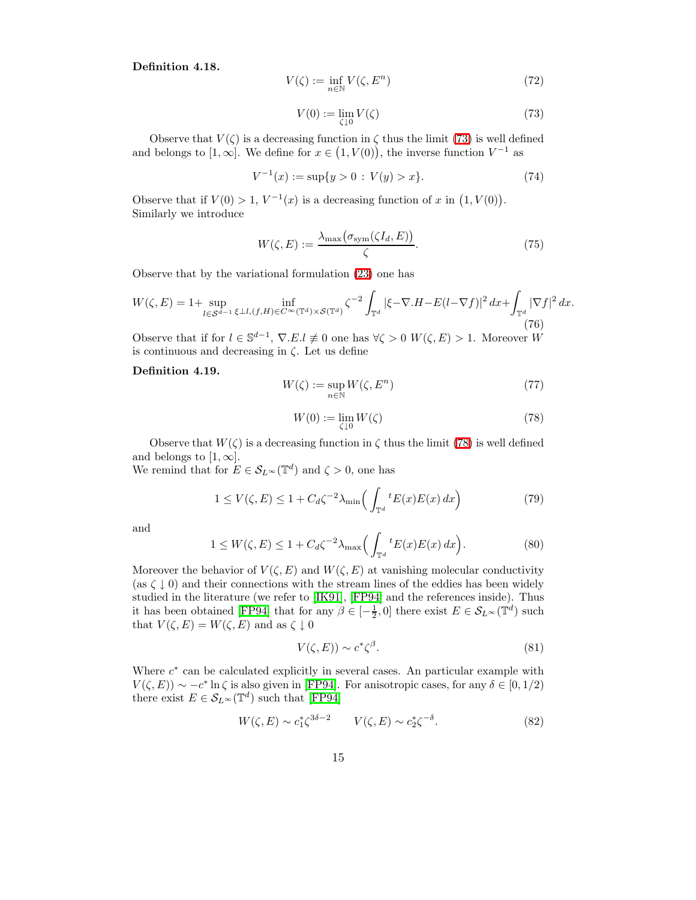<span id="page-14-0"></span>Definition 4.18.

$$
V(\zeta) := \inf_{n \in \mathbb{N}} V(\zeta, E^n) \tag{72}
$$

$$
V(0) := \lim_{\zeta \downarrow 0} V(\zeta) \tag{73}
$$

Observe that  $V(\zeta)$  is a decreasing function in  $\zeta$  thus the limit [\(73\)](#page-14-0) is well defined and belongs to  $[1, \infty]$ . We define for  $x \in (1, V(0))$ , the inverse function  $V^{-1}$  as

$$
V^{-1}(x) := \sup\{y > 0 : V(y) > x\}.
$$
 (74)

Observe that if  $V(0) > 1$ ,  $V^{-1}(x)$  is a decreasing function of x in  $(1, V(0))$ . Similarly we introduce

<span id="page-14-2"></span>
$$
W(\zeta, E) := \frac{\lambda_{\max}\big(\sigma_{\text{sym}}(\zeta I_d, E)\big)}{\zeta}.
$$
\n(75)

Observe that by the variational formulation [\(23\)](#page-4-3) one has

$$
W(\zeta, E) = 1 + \sup_{l \in \mathcal{S}^{d-1}} \inf_{\xi \perp l, (f, H) \in C^{\infty}(\mathbb{T}^d) \times \mathcal{S}(\mathbb{T}^d)} \zeta^{-2} \int_{\mathbb{T}^d} |\xi - \nabla \cdot H - E(l - \nabla f)|^2 \, dx + \int_{\mathbb{T}^d} |\nabla f|^2 \, dx. \tag{76}
$$

Observe that if for  $l \in \mathbb{S}^{d-1}$ ,  $\nabla.E.l \neq 0$  one has  $\forall \zeta > 0$   $W(\zeta, E) > 1$ . Moreover W is continuous and decreasing in  $\zeta$ . Let us define

#### <span id="page-14-1"></span>Definition 4.19.

$$
W(\zeta) := \sup_{n \in \mathbb{N}} W(\zeta, E^n) \tag{77}
$$

$$
W(0) := \lim_{\zeta \downarrow 0} W(\zeta) \tag{78}
$$

Observe that  $W(\zeta)$  is a decreasing function in  $\zeta$  thus the limit [\(78\)](#page-14-1) is well defined and belongs to  $[1, \infty]$ .

We remind that for  $E \in \mathcal{S}_{L^{\infty}}(\mathbb{T}^d)$  and  $\zeta > 0$ , one has

$$
1 \le V(\zeta, E) \le 1 + C_d \zeta^{-2} \lambda_{\min} \left( \int_{\mathbb{T}^d} t E(x) E(x) \, dx \right) \tag{79}
$$

and

$$
1 \le W(\zeta, E) \le 1 + C_d \zeta^{-2} \lambda_{\max} \Big( \int_{\mathbb{T}^d} {}^t E(x) E(x) \, dx \Big). \tag{80}
$$

Moreover the behavior of  $V(\zeta, E)$  and  $W(\zeta, E)$  at vanishing molecular conductivity (as  $\zeta \downarrow 0$ ) and their connections with the stream lines of the eddies has been widely studied in the literature (we refer to [\[IK91\]](#page-44-13), [\[FP94\]](#page-44-6) and the references inside). Thus it has been obtained [\[FP94\]](#page-44-6) that for any  $\beta \in [-\frac{1}{2}, 0]$  there exist  $E \in \mathcal{S}_{L^{\infty}}(\mathbb{T}^d)$  such that  $V(\zeta, E) = W(\zeta, E)$  and as  $\zeta \downarrow 0$ 

$$
V(\zeta, E)) \sim c^* \zeta^{\beta}.
$$
\n(81)

Where  $c^*$  can be calculated explicitly in several cases. An particular example with  $V(\zeta, E)$ ) ~  $-c^*$  ln  $\zeta$  is also given in [\[FP94\]](#page-44-6). For anisotropic cases, for any  $\delta \in [0, 1/2)$ there exist  $E \in \mathcal{S}_{L^{\infty}}(\mathbb{T}^d)$  such that [\[FP94\]](#page-44-6)

$$
W(\zeta, E) \sim c_1^* \zeta^{3\delta - 2} \qquad V(\zeta, E) \sim c_2^* \zeta^{-\delta}.
$$
 (82)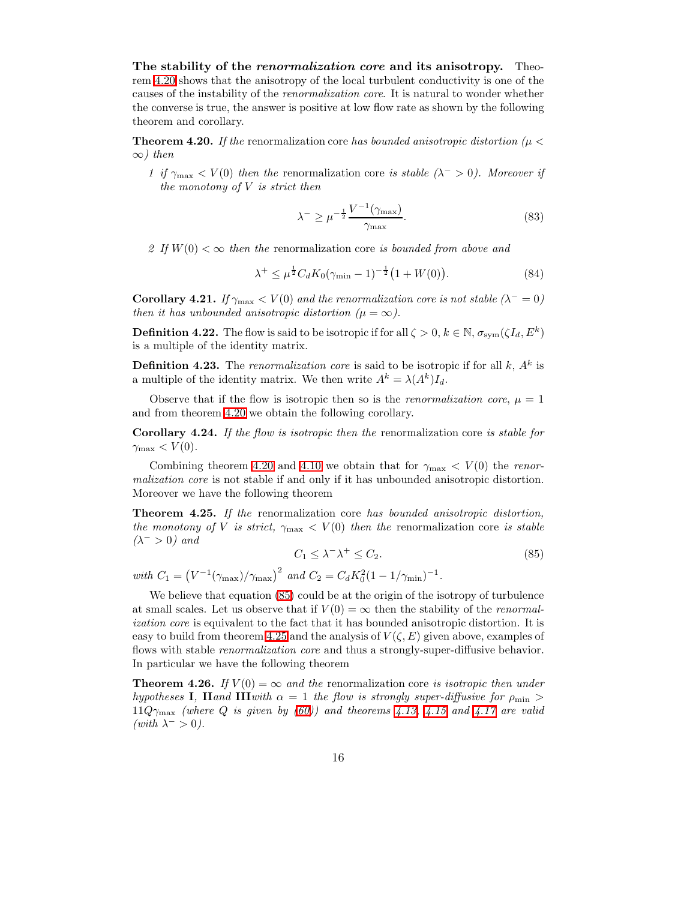The stability of the *renormalization core* and its anisotropy. Theorem [4.20](#page-15-2) shows that the anisotropy of the local turbulent conductivity is one of the causes of the instability of the renormalization core. It is natural to wonder whether the converse is true, the answer is positive at low flow rate as shown by the following theorem and corollary.

<span id="page-15-2"></span>**Theorem 4.20.** If the renormalization core has bounded anisotropic distortion ( $\mu$  <  $∞)$  then

1 if  $\gamma_{\text{max}} < V(0)$  then the renormalization core is stable  $(\lambda^{-} > 0)$ . Moreover if the monotony of  $V$  is strict then

<span id="page-15-5"></span><span id="page-15-4"></span>
$$
\lambda^{-} \ge \mu^{-\frac{1}{2}} \frac{V^{-1}(\gamma_{\text{max}})}{\gamma_{\text{max}}}.
$$
\n(83)

2 If  $W(0) < \infty$  then the renormalization core is bounded from above and

$$
\lambda^{+} \leq \mu^{\frac{1}{2}} C_d K_0 (\gamma_{\min} - 1)^{-\frac{1}{2}} (1 + W(0)). \tag{84}
$$

**Corollary 4.21.** If  $\gamma_{\text{max}} < V(0)$  and the renormalization core is not stable ( $\lambda^- = 0$ ) then it has unbounded anisotropic distortion  $(\mu = \infty)$ .

**Definition 4.22.** The flow is said to be isotropic if for all  $\zeta > 0, k \in \mathbb{N}, \sigma_{sym}(\zeta I_d, E^k)$ is a multiple of the identity matrix.

**Definition 4.23.** The renormalization core is said to be isotropic if for all  $k$ ,  $A<sup>k</sup>$  is a multiple of the identity matrix. We then write  $A^k = \lambda(A^k)I_d$ .

Observe that if the flow is isotropic then so is the *renormalization core*,  $\mu = 1$ and from theorem [4.20](#page-15-2) we obtain the following corollary.

Corollary 4.24. If the flow is isotropic then the renormalization core is stable for  $\gamma_{\text{max}} < V(0)$ .

Combining theorem [4.20](#page-15-2) and [4.10](#page-9-0) we obtain that for  $\gamma_{\text{max}} < V(0)$  the renormalization core is not stable if and only if it has unbounded anisotropic distortion. Moreover we have the following theorem

<span id="page-15-3"></span><span id="page-15-0"></span>Theorem 4.25. If the renormalization core has bounded anisotropic distortion, the monotony of V is strict,  $\gamma_{\text{max}} < V(0)$  then the renormalization core is stable  $(\lambda^- > 0)$  and

$$
C_1 \le \lambda^- \lambda^+ \le C_2. \tag{85}
$$

with  $C_1 = (V^{-1}(\gamma_{\text{max}})/\gamma_{\text{max}})^2$  and  $C_2 = C_d K_0^2 (1 - 1/\gamma_{\text{min}})^{-1}$ .

We believe that equation [\(85\)](#page-15-3) could be at the origin of the isotropy of turbulence at small scales. Let us observe that if  $V(0) = \infty$  then the stability of the *renormal*ization core is equivalent to the fact that it has bounded anisotropic distortion. It is easy to build from theorem [4.25](#page-15-0) and the analysis of  $V(\zeta, E)$  given above, examples of flows with stable *renormalization core* and thus a strongly-super-diffusive behavior. In particular we have the following theorem

<span id="page-15-1"></span>**Theorem 4.26.** If  $V(0) = \infty$  and the renormalization core is isotropic then under hypotheses I, IIand IIIwith  $\alpha = 1$  the flow is strongly super-diffusive for  $\rho_{\min} >$  $11Q_{\gamma_{\text{max}}}$  (where Q is given by [\(60\)](#page-11-1)) and theorems [4.13,](#page-10-1) [4.15](#page-12-1) and [4.17](#page-13-1) are valid (with  $\lambda^- > 0$ ).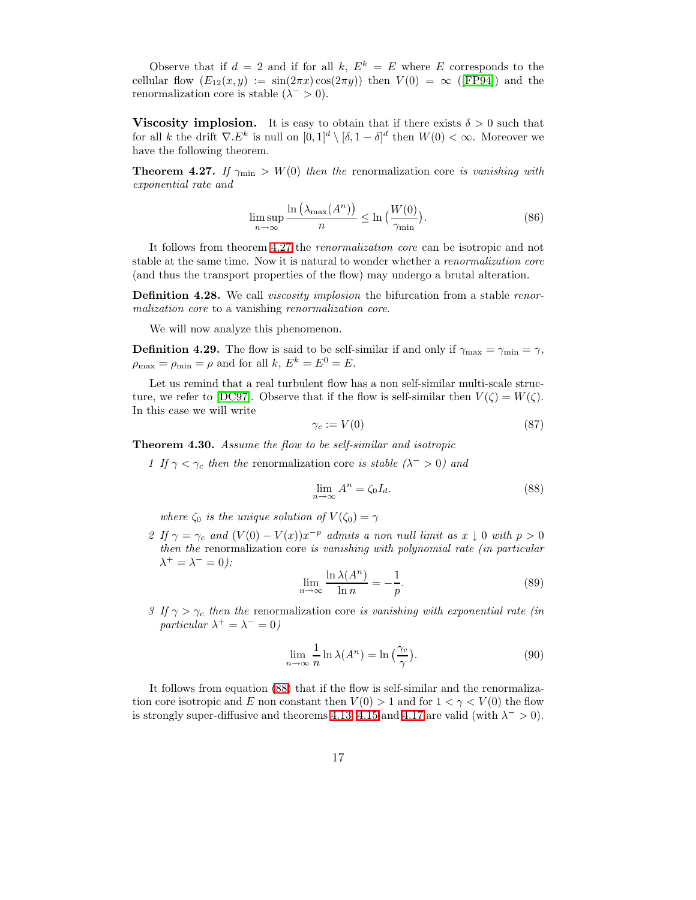Observe that if  $d = 2$  and if for all k,  $E^k = E$  where E corresponds to the cellular flow  $(E_{12}(x, y) := \sin(2\pi x) \cos(2\pi y)$  then  $V(0) = \infty$  ([\[FP94\]](#page-44-6)) and the renormalization core is stable  $(\lambda^- > 0)$ .

**Viscosity implosion.** It is easy to obtain that if there exists  $\delta > 0$  such that for all k the drift  $\nabla E^k$  is null on  $[0,1]^d \setminus [\delta,1-\delta]^d$  then  $W(0) < \infty$ . Moreover we have the following theorem.

<span id="page-16-1"></span>**Theorem 4.27.** If  $\gamma_{\text{min}} > W(0)$  then the renormalization core is vanishing with exponential rate and

$$
\limsup_{n \to \infty} \frac{\ln\left(\lambda_{\max}(A^n)\right)}{n} \le \ln\left(\frac{W(0)}{\gamma_{\min}}\right). \tag{86}
$$

It follows from theorem [4.27](#page-16-1) the renormalization core can be isotropic and not stable at the same time. Now it is natural to wonder whether a renormalization core (and thus the transport properties of the flow) may undergo a brutal alteration.

**Definition 4.28.** We call *viscosity implosion* the bifurcation from a stable renormalization core to a vanishing renormalization core.

We will now analyze this phenomenon.

**Definition 4.29.** The flow is said to be self-similar if and only if  $\gamma_{\text{max}} = \gamma_{\text{min}} = \gamma$ ,  $\rho_{\text{max}} = \rho_{\text{min}} = \rho$  and for all k,  $E^k = E^0 = E$ .

Let us remind that a real turbulent flow has a non self-similar multi-scale struc-ture, we refer to [\[DC97\]](#page-43-11). Observe that if the flow is self-similar then  $V(\zeta) = W(\zeta)$ . In this case we will write

<span id="page-16-2"></span>
$$
\gamma_c := V(0) \tag{87}
$$

<span id="page-16-0"></span>Theorem 4.30. Assume the flow to be self-similar and isotropic

1 If  $\gamma < \gamma_c$  then the renormalization core is stable  $(\lambda^- > 0)$  and

$$
\lim_{n \to \infty} A^n = \zeta_0 I_d. \tag{88}
$$

where  $\zeta_0$  is the unique solution of  $V(\zeta_0) = \gamma$ 

2 If  $\gamma = \gamma_c$  and  $(V(0) - V(x))x^{-p}$  admits a non null limit as  $x \downarrow 0$  with  $p > 0$ then the renormalization core is vanishing with polynomial rate (in particular  $\lambda^+ = \lambda^- = 0$ ):

$$
\lim_{n \to \infty} \frac{\ln \lambda(A^n)}{\ln n} = -\frac{1}{p}.\tag{89}
$$

3 If  $\gamma > \gamma_c$  then the renormalization core is vanishing with exponential rate (in particular  $\lambda^+ = \lambda^- = 0$ )

$$
\lim_{n \to \infty} \frac{1}{n} \ln \lambda(A^n) = \ln \left( \frac{\gamma_c}{\gamma} \right). \tag{90}
$$

It follows from equation [\(88\)](#page-16-2) that if the flow is self-similar and the renormalization core isotropic and E non constant then  $V(0) > 1$  and for  $1 < \gamma < V(0)$  the flow is strongly super-diffusive and theorems [4.13,](#page-10-1) [4.15](#page-12-1) and [4.17](#page-13-1) are valid (with  $\lambda^{-} > 0$ ).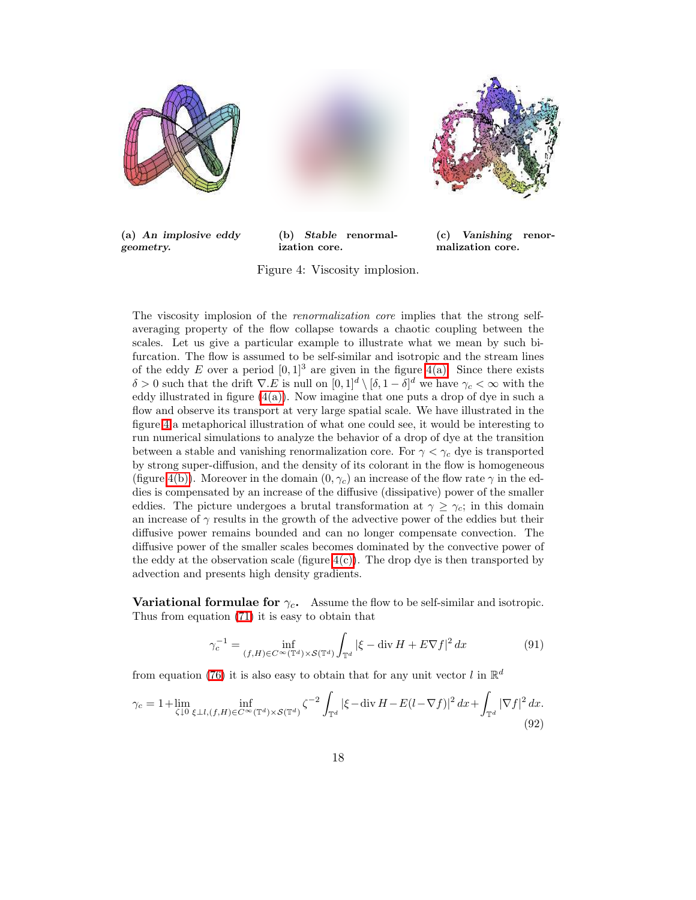<span id="page-17-0"></span>

<span id="page-17-2"></span>(a) An implosive eddy geometry.

<span id="page-17-3"></span>(b) Stable renormalization core.



(c) Vanishing renormalization core.

<span id="page-17-1"></span>Figure 4: Viscosity implosion.

The viscosity implosion of the *renormalization core* implies that the strong selfaveraging property of the flow collapse towards a chaotic coupling between the scales. Let us give a particular example to illustrate what we mean by such bifurcation. The flow is assumed to be self-similar and isotropic and the stream lines of the eddy E over a period  $[0, 1]^3$  are given in the figure [4\(a\).](#page-17-0) Since there exists δ > 0 such that the drift  $\nabla$ . E is null on  $[0, 1]^d \setminus [\delta, 1 - \delta]^d$  we have  $\gamma_c < \infty$  with the eddy illustrated in figure  $(4(a))$ . Now imagine that one puts a drop of dye in such a flow and observe its transport at very large spatial scale. We have illustrated in the figure [4](#page-17-1) a metaphorical illustration of what one could see, it would be interesting to run numerical simulations to analyze the behavior of a drop of dye at the transition between a stable and vanishing renormalization core. For  $\gamma < \gamma_c$  dye is transported by strong super-diffusion, and the density of its colorant in the flow is homogeneous (figure [4\(b\)\)](#page-17-2). Moreover in the domain  $(0, \gamma_c)$  an increase of the flow rate  $\gamma$  in the eddies is compensated by an increase of the diffusive (dissipative) power of the smaller eddies. The picture undergoes a brutal transformation at  $\gamma \geq \gamma_c$ ; in this domain an increase of  $\gamma$  results in the growth of the advective power of the eddies but their diffusive power remains bounded and can no longer compensate convection. The diffusive power of the smaller scales becomes dominated by the convective power of the eddy at the observation scale (figure  $4(c)$ ). The drop dye is then transported by advection and presents high density gradients.

**Variational formulae for**  $\gamma_c$ **.** Assume the flow to be self-similar and isotropic. Thus from equation [\(71\)](#page-13-2) it is easy to obtain that

<span id="page-17-4"></span>
$$
\gamma_c^{-1} = \inf_{(f,H)\in C^\infty(\mathbb{T}^d)\times \mathcal{S}(\mathbb{T}^d)} \int_{\mathbb{T}^d} |\xi - \operatorname{div} H + E\nabla f|^2 dx \tag{91}
$$

from equation [\(76\)](#page-14-2) it is also easy to obtain that for any unit vector  $l$  in  $\mathbb{R}^d$ 

$$
\gamma_c = 1 + \lim_{\zeta \downarrow 0} \inf_{\xi \perp l, (f, H) \in C^\infty(\mathbb{T}^d) \times \mathcal{S}(\mathbb{T}^d)} \zeta^{-2} \int_{\mathbb{T}^d} |\xi - \operatorname{div} H - E(l - \nabla f)|^2 \, dx + \int_{\mathbb{T}^d} |\nabla f|^2 \, dx. \tag{92}
$$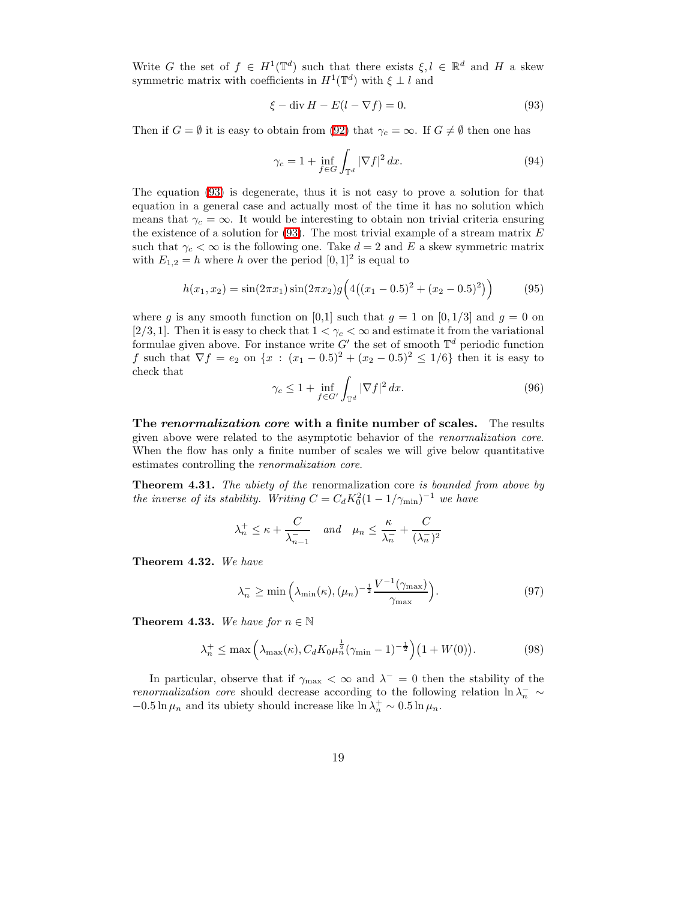Write G the set of  $f \in H^1(\mathbb{T}^d)$  such that there exists  $\xi, l \in \mathbb{R}^d$  and H a skew symmetric matrix with coefficients in  $H^1(\mathbb{T}^d)$  with  $\xi \perp l$  and

<span id="page-18-0"></span>
$$
\xi - \operatorname{div} H - E(l - \nabla f) = 0. \tag{93}
$$

Then if  $G = \emptyset$  it is easy to obtain from [\(92\)](#page-17-4) that  $\gamma_c = \infty$ . If  $G \neq \emptyset$  then one has

$$
\gamma_c = 1 + \inf_{f \in G} \int_{\mathbb{T}^d} |\nabla f|^2 dx. \tag{94}
$$

The equation [\(93\)](#page-18-0) is degenerate, thus it is not easy to prove a solution for that equation in a general case and actually most of the time it has no solution which means that  $\gamma_c = \infty$ . It would be interesting to obtain non trivial criteria ensuring the existence of a solution for  $(93)$ . The most trivial example of a stream matrix  $E$ such that  $\gamma_c < \infty$  is the following one. Take  $d = 2$  and E a skew symmetric matrix with  $E_{1,2} = h$  where h over the period  $[0,1]^2$  is equal to

$$
h(x_1, x_2) = \sin(2\pi x_1)\sin(2\pi x_2)g\left(4\left((x_1 - 0.5)^2 + (x_2 - 0.5)^2\right)\right) \tag{95}
$$

where g is any smooth function on [0,1] such that  $g = 1$  on [0, 1/3] and  $g = 0$  on [2/3, 1]. Then it is easy to check that  $1 < \gamma_c < \infty$  and estimate it from the variational formulae given above. For instance write  $G'$  the set of smooth  $\mathbb{T}^d$  periodic function f such that  $\nabla f = e_2$  on  $\{x : (x_1 - 0.5)^2 + (x_2 - 0.5)^2 \le 1/6\}$  then it is easy to check that

$$
\gamma_c \le 1 + \inf_{f \in G'} \int_{\mathbb{T}^d} |\nabla f|^2 \, dx. \tag{96}
$$

The renormalization core with a finite number of scales. The results given above were related to the asymptotic behavior of the renormalization core. When the flow has only a finite number of scales we will give below quantitative estimates controlling the renormalization core.

<span id="page-18-1"></span>**Theorem 4.31.** The ubiety of the renormalization core is bounded from above by the inverse of its stability. Writing  $C = C_d K_0^2 (1 - 1/\gamma_{\min})^{-1}$  we have

$$
\lambda_n^+ \le \kappa + \frac{C}{\lambda_{n-1}^-}
$$
 and  $\mu_n \le \frac{\kappa}{\lambda_n^-} + \frac{C}{(\lambda_n^-)^2}$ 

<span id="page-18-3"></span><span id="page-18-2"></span>Theorem 4.32. We have

<span id="page-18-4"></span>
$$
\lambda_n^- \ge \min\left(\lambda_{\min}(\kappa), (\mu_n)^{-\frac{1}{2}} \frac{V^{-1}(\gamma_{\max})}{\gamma_{\max}}\right). \tag{97}
$$

<span id="page-18-5"></span>**Theorem 4.33.** We have for  $n \in \mathbb{N}$ 

$$
\lambda_n^+ \le \max\left(\lambda_{\max}(\kappa), C_d K_0 \mu_n^{\frac{1}{2}} (\gamma_{\min} - 1)^{-\frac{1}{2}}\right) \left(1 + W(0)\right). \tag{98}
$$

In particular, observe that if  $\gamma_{\text{max}} < \infty$  and  $\lambda^- = 0$  then the stability of the *renormalization core* should decrease according to the following relation  $\ln \lambda_n^- \sim$  $-0.5 \ln \mu_n$  and its ubiety should increase like  $\ln \lambda_n^+ \sim 0.5 \ln \mu_n$ .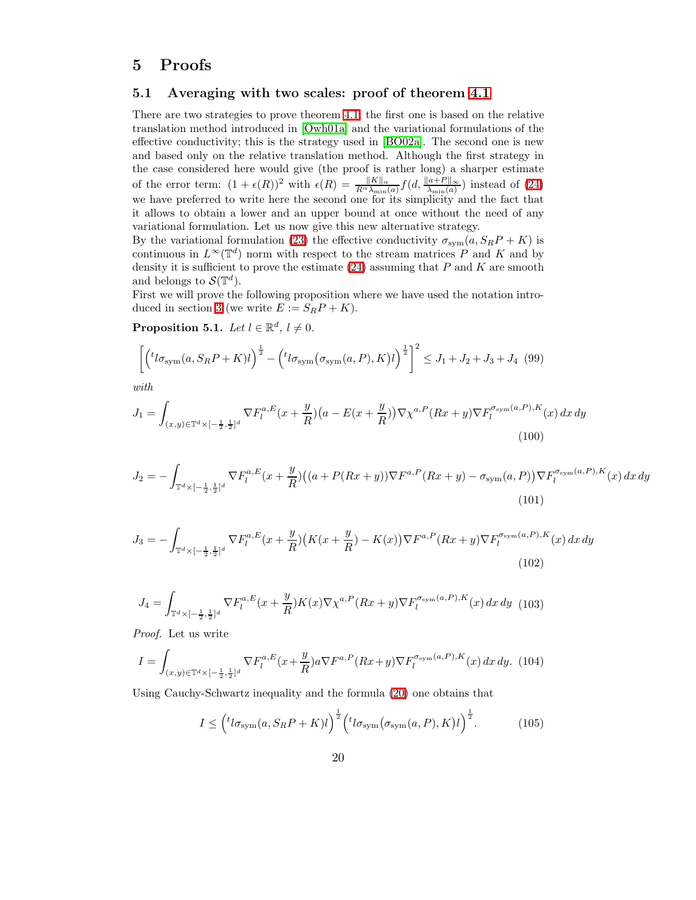# <span id="page-19-0"></span>5 Proofs

## 5.1 Averaging with two scales: proof of theorem [4.1](#page-5-0)

There are two strategies to prove theorem [4.1;](#page-5-0) the first one is based on the relative translation method introduced in [\[Owh01a\]](#page-44-2) and the variational formulations of the effective conductivity; this is the strategy used in [\[BO02a\]](#page-43-2). The second one is new and based only on the relative translation method. Although the first strategy in the case considered here would give (the proof is rather long) a sharper estimate of the error term:  $(1 + \epsilon(R))^2$  with  $\epsilon(R) = \frac{||K||_{\alpha}}{R^{\alpha} \lambda_{\min}(a)} f(d, \frac{||a+P||_{\infty}}{\lambda_{\min}(a)})$  instead of [\(24\)](#page-5-1) we have preferred to write here the second one for its simplicity and the fact that it allows to obtain a lower and an upper bound at once without the need of any variational formulation. Let us now give this new alternative strategy.

By the variational formulation [\(23\)](#page-4-3) the effective conductivity  $\sigma_{sym}(a, S_R P + K)$  is continuous in  $L^{\infty}(\mathbb{T}^d)$  norm with respect to the stream matrices P and K and by density it is sufficient to prove the estimate  $(24)$  assuming that P and K are smooth and belongs to  $\mathcal{S}(\mathbb{T}^d)$ .

First we will prove the following proposition where we have used the notation intro-duced in section [3](#page-3-1) (we write  $E := S_R P + K$ ).

<span id="page-19-6"></span>**Proposition 5.1.** Let  $l \in \mathbb{R}^d$ ,  $l \neq 0$ .

$$
\left[ \left( {}^{t}l\sigma_{\text{sym}}(a, S_R P + K)l \right)^{\frac{1}{2}} - \left( {}^{t}l\sigma_{\text{sym}}(\sigma_{\text{sym}}(a, P), K)l \right)^{\frac{1}{2}} \right]^2 \leq J_1 + J_2 + J_3 + J_4 \tag{99}
$$

<span id="page-19-1"></span>with

<span id="page-19-2"></span>
$$
J_1 = \int_{(x,y)\in\mathbb{T}^d \times [-\frac{1}{2},\frac{1}{2}]^d} \nabla F_l^{a,E}(x+\frac{y}{R})(a-E(x+\frac{y}{R})) \nabla \chi^{a,P}(Rx+y) \nabla F_l^{\sigma_{\text{sym}}(a,P),K}(x) \, dx \, dy
$$
\n(100)

<span id="page-19-3"></span>
$$
J_2 = -\int_{\mathbb{T}^d \times [-\frac{1}{2},\frac{1}{2}]^d} \nabla F_l^{a,E}(x+\frac{y}{R}) \big( (a+P(Rx+y))\nabla F^{a,P}(Rx+y) - \sigma_{\text{sym}}(a,P))\nabla F_l^{\sigma_{\text{sym}}(a,P),K}(x) \, dx \, dy \tag{101}
$$

<span id="page-19-4"></span>
$$
J_3 = -\int_{\mathbb{T}^d \times [-\frac{1}{2},\frac{1}{2}]^d} \nabla F_l^{a,E}(x + \frac{y}{R}) \left( K(x + \frac{y}{R}) - K(x) \right) \nabla F^{a,P}(Rx + y) \nabla F_l^{\sigma_{\text{sym}}(a,P),K}(x) \, dx \, dy \tag{102}
$$

$$
J_4 = \int_{\mathbb{T}^d \times [-\frac{1}{2}, \frac{1}{2}]^d} \nabla F_l^{a, E}(x + \frac{y}{R}) K(x) \nabla \chi^{a, P}(Rx + y) \nabla F_l^{\sigma_{\text{sym}}(a, P), K}(x) \, dx \, dy \tag{103}
$$

Proof. Let us write

$$
I = \int_{(x,y)\in\mathbb{T}^d\times[-\frac{1}{2},\frac{1}{2}]^d} \nabla F_l^{a,E}(x+\frac{y}{R}) a \nabla F^{a,P}(Rx+y) \nabla F_l^{\sigma_{\text{sym}}(a,P),K}(x) \, dx \, dy. \tag{104}
$$

Using Cauchy-Schwartz inequality and the formula [\(20\)](#page-4-1) one obtains that

<span id="page-19-5"></span>
$$
I \leq \left( {}^{t}l\sigma_{\text{sym}}(a, S_R P + K)l \right)^{\frac{1}{2}} \left( {}^{t}l\sigma_{\text{sym}}(\sigma_{\text{sym}}(a, P), K)l \right)^{\frac{1}{2}}.
$$
 (105)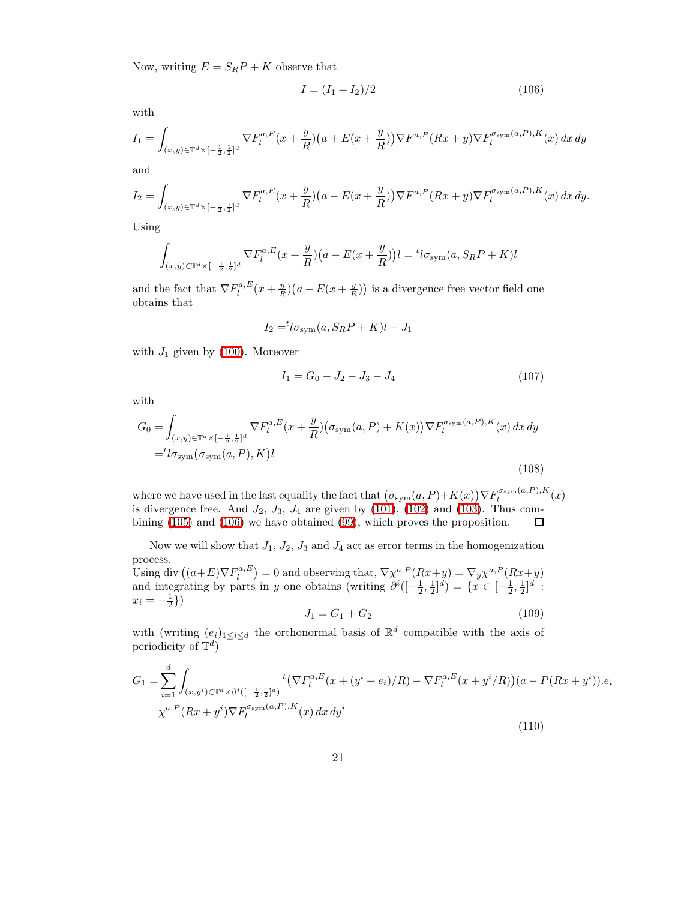Now, writing  $E = S_R P + K$  observe that

<span id="page-20-0"></span>
$$
I = (I_1 + I_2)/2 \tag{106}
$$

with

$$
I_1 = \int_{(x,y)\in\mathbb{T}^d \times [-\frac{1}{2},\frac{1}{2}]^d} \nabla F_l^{a,E}(x+\frac{y}{R}) \big(a+E(x+\frac{y}{R})\big) \nabla F^{a,P}(Rx+y) \nabla F_l^{\sigma_{\text{sym}}(a,P),K}(x) \, dx \, dy
$$

and

$$
I_2 = \int_{(x,y)\in\mathbb{T}^d\times[-\frac{1}{2},\frac{1}{2}]^d} \nabla F_l^{a,E}(x+\frac{y}{R})\big(a-E(x+\frac{y}{R})\big)\nabla F^{a,P}(Rx+y)\nabla F_l^{\sigma_{\text{sym}}(a,P),K}(x)\,dx\,dy.
$$

Using

$$
\int_{(x,y)\in\mathbb{T}^d\times[-\frac{1}{2},\frac{1}{2}]^d} \nabla F_l^{a,E}(x+\frac{y}{R})(a-E(x+\frac{y}{R}))l = {}^t l \sigma_{sym}(a, S_R P + K)l
$$

and the fact that  $\nabla F_l^{a, E}(x + \frac{y}{R})(a - E(x + \frac{y}{R}))$  is a divergence free vector field one obtains that

$$
I_2 = {}^{t}l\sigma_{\text{sym}}(a, S_R P + K)l - J_1
$$

with  $J_1$  given by [\(100\)](#page-19-1). Moreover

$$
I_1 = G_0 - J_2 - J_3 - J_4 \tag{107}
$$

with

$$
G_0 = \int_{(x,y)\in\mathbb{T}^d\times[-\frac{1}{2},\frac{1}{2}]^d} \nabla F_l^{a,E}(x+\frac{y}{R})\big(\sigma_{\text{sym}}(a,P) + K(x)\big)\nabla F_l^{\sigma_{\text{sym}}(a,P),K}(x)\,dx\,dy
$$

$$
= {}^t l \sigma_{\text{sym}}(\sigma_{\text{sym}}(a,P),K)l
$$
(108)

where we have used in the last equality the fact that  $(\sigma_{sym}(a, P) + K(x)) \nabla F_l^{\sigma_{sym}(a, P), K}(x)$ is divergence free. And  $J_2$ ,  $J_3$ ,  $J_4$  are given by [\(101\)](#page-19-2), [\(102\)](#page-19-3) and [\(103\)](#page-19-4). Thus combining [\(105\)](#page-19-5) and [\(106\)](#page-20-0) we have obtained [\(99\)](#page-19-6), which proves the proposition.  $\Box$ 

<span id="page-20-2"></span>Now we will show that  $J_1$ ,  $J_2$ ,  $J_3$  and  $J_4$  act as error terms in the homogenization process. Using div  $((a+E)\nabla F_l^{a,E})=0$  and observing that,  $\nabla \chi^{a,P}(Rx+y)=\nabla_y \chi^{a,P}(Rx+y)$ and integrating by parts in y one obtains (writing  $\partial^{i}([-\frac{1}{2},\frac{1}{2}]^d) = \{x \in [-\frac{1}{2},\frac{1}{2}]^d : \frac{1}{2}$  $x_i = -\frac{1}{2}\}$ 

$$
J_1 = G_1 + G_2 \tag{109}
$$

<span id="page-20-1"></span>with (writing  $(e_i)_{1 \leq i \leq d}$  the orthonormal basis of  $\mathbb{R}^d$  compatible with the axis of periodicity of  $\mathbb{T}^d$ )

$$
G_{1} = \sum_{i=1}^{d} \int_{(x,y^{i}) \in \mathbb{T}^{d} \times \partial^{i}([-\frac{1}{2},\frac{1}{2}]^{d})} t \left( \nabla F_{l}^{a,E}(x+(y^{i}+e_{i})/R) - \nabla F_{l}^{a,E}(x+y^{i}/R) \right) (a - P(Rx+y^{i})) \cdot e_{i}
$$
  

$$
\chi^{a,P}(Rx+y^{i}) \nabla F_{l}^{\sigma_{\text{sym}}(a,P),K}(x) dx dy^{i}
$$
\n(110)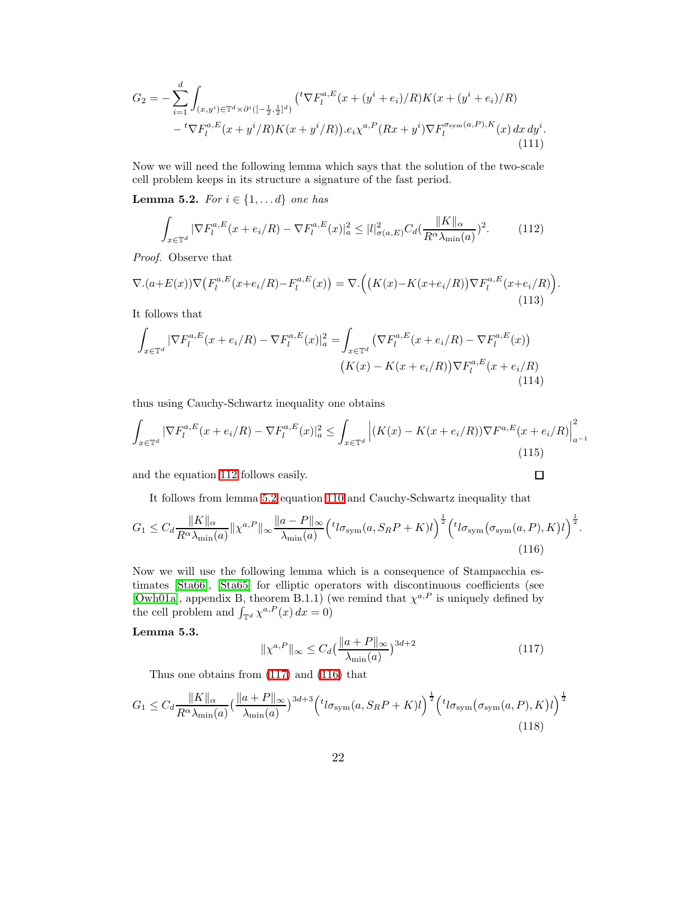<span id="page-21-4"></span>
$$
G_2 = -\sum_{i=1}^d \int_{(x,y^i)\in \mathbb{T}^d \times \partial^i ([-\frac{1}{2},\frac{1}{2}]^d)} ({}^t \nabla F_l^{a,E}(x+(y^i+e_i)/R) K(x+(y^i+e_i)/R) - {}^t \nabla F_l^{a,E}(x+y^i/R) K(x+y^i/R)) . e_i \chi^{a,P}(Rx+y^i) \nabla F_l^{a_{\text{sym}}(a,P),K}(x) dx dy^i.
$$
\n(111)

<span id="page-21-1"></span>Now we will need the following lemma which says that the solution of the two-scale cell problem keeps in its structure a signature of the fast period.

Lemma 5.2. For  $i \in \{1, \ldots d\}$  one has

<span id="page-21-0"></span>
$$
\int_{x \in \mathbb{T}^d} |\nabla F_l^{a,E}(x + e_i/R) - \nabla F_l^{a,E}(x)|_a^2 \le |l|_{\sigma(a,E)}^2 C_d \left(\frac{\|K\|_{\alpha}}{R^{\alpha} \lambda_{\min}(a)}\right)^2. \tag{112}
$$

Proof. Observe that

$$
\nabla.(a+E(x))\nabla\big(F_l^{a,E}(x+e_i/R) - F_l^{a,E}(x)\big) = \nabla.\Big(\big(K(x) - K(x+e_i/R)\big)\nabla F_l^{a,E}(x+e_i/R)\Big). \tag{113}
$$

It follows that

$$
\int_{x \in \mathbb{T}^d} |\nabla F_l^{a,E}(x + e_i/R) - \nabla F_l^{a,E}(x)|_a^2 = \int_{x \in \mathbb{T}^d} \left( \nabla F_l^{a,E}(x + e_i/R) - \nabla F_l^{a,E}(x) \right)
$$
\n
$$
\left( K(x) - K(x + e_i/R) \right) \nabla F_l^{a,E}(x + e_i/R) \tag{114}
$$

thus using Cauchy-Schwartz inequality one obtains

$$
\int_{x \in \mathbb{T}^d} |\nabla F_l^{a,E}(x + e_i/R) - \nabla F_l^{a,E}(x)|_a^2 \le \int_{x \in \mathbb{T}^d} \left| (K(x) - K(x + e_i/R)) \nabla F^{a,E}(x + e_i/R) \right|_{a^{-1}}^2
$$
\n(115)

and the equation [112](#page-21-0) follows easily.

It follows from lemma [5.2](#page-21-1) equation [110](#page-20-1) and Cauchy-Schwartz inequality that

$$
G_1 \leq C_d \frac{\|K\|_{\alpha}}{R^{\alpha} \lambda_{\min}(a)} \|\chi^{a,P}\|_{\infty} \frac{\|a-P\|_{\infty}}{\lambda_{\min}(a)} \Big( {}^{t}l\sigma_{\text{sym}}(a, S_R P + K)l \Big)^{\frac{1}{2}} \Big( {}^{t}l\sigma_{\text{sym}}(\sigma_{\text{sym}}(a, P), K)l \Big)^{\frac{1}{2}}.
$$
\n(116)

Now we will use the following lemma which is a consequence of Stampacchia estimates [\[Sta66\]](#page-45-2), [\[Sta65\]](#page-45-3) for elliptic operators with discontinuous coefficients (see [\[Owh01a\]](#page-44-2), appendix B, theorem B.1.1) (we remind that  $\chi^{a,P}$  is uniquely defined by the cell problem and  $\int_{\mathbb{T}^d} \chi^{a,P}(x) dx = 0$ )

<span id="page-21-2"></span>Lemma 5.3.

<span id="page-21-5"></span>
$$
\|\chi^{a,P}\|_{\infty} \le C_d \left(\frac{\|a+P\|_{\infty}}{\lambda_{\min}(a)}\right)^{3d+2} \tag{117}
$$

<span id="page-21-3"></span> $\Box$ 

Thus one obtains from [\(117\)](#page-21-2) and [\(116\)](#page-21-3) that

$$
G_1 \leq C_d \frac{\|K\|_{\alpha}}{R^{\alpha} \lambda_{\min}(a)} \left(\frac{\|a+P\|_{\infty}}{\lambda_{\min}(a)}\right)^{3d+3} \left(t_{\text{log}_{\text{sym}}}(a, S_R P + K)t\right)^{\frac{1}{2}} \left(t_{\text{log}_{\text{sym}}}\left(\sigma_{\text{sym}}(a, P), K\right)t\right)^{\frac{1}{2}}
$$
\n(118)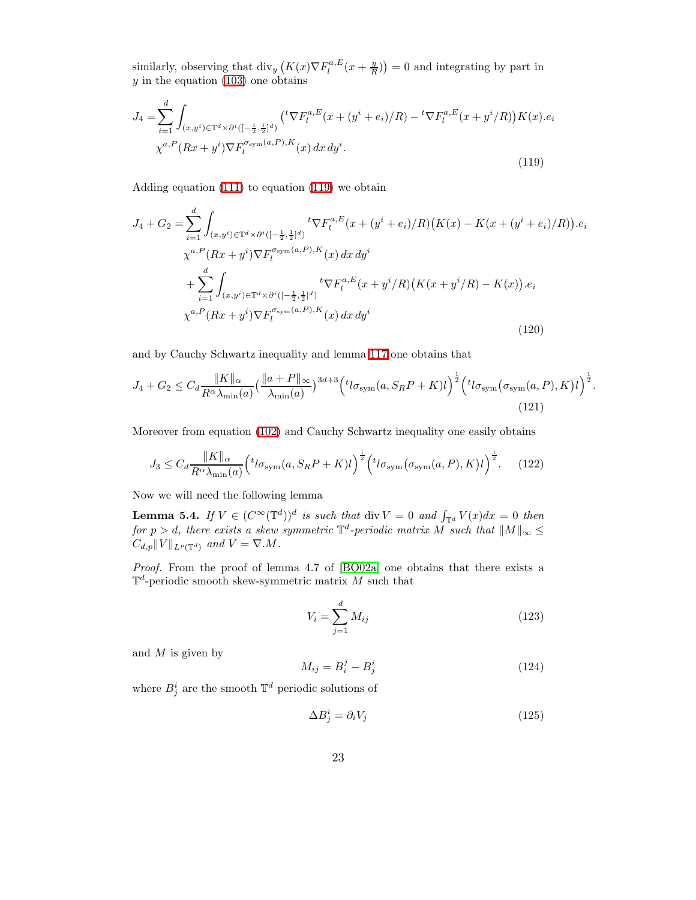<span id="page-22-0"></span>similarly, observing that  $\text{div}_y\left(K(x)\nabla F_l^{a,E}(x+\frac{y}{R})\right)=0$  and integrating by part in  $y$  in the equation [\(103\)](#page-19-4) one obtains

$$
J_4 = \sum_{i=1}^d \int_{(x,y^i) \in \mathbb{T}^d \times \partial^i ([-\frac{1}{2},\frac{1}{2}]^d)} \left( {}^t \nabla F_l^{a,E}(x+(y^i+e_i)/R) - {}^t \nabla F_l^{a,E}(x+y^i/R) \right) K(x).e_i
$$
  

$$
\chi^{a,P}(Rx+y^i) \nabla F_l^{\sigma_{\text{sym}}(a,P),K}(x) dx dy^i.
$$
 (119)

Adding equation [\(111\)](#page-21-4) to equation [\(119\)](#page-22-0) we obtain

$$
J_4 + G_2 = \sum_{i=1}^d \int_{(x,y^i) \in \mathbb{T}^d \times \partial^i ([-\frac{1}{2},\frac{1}{2}]^d)} t \nabla F_l^{a,E}(x + (y^i + e_i)/R) \big( K(x) - K(x + (y^i + e_i)/R) \big) . e_i
$$
  

$$
\chi^{a,P}(Rx + y^i) \nabla F_l^{\sigma_{\text{sym}}(a,P),K}(x) dx dy^i
$$
  

$$
+ \sum_{i=1}^d \int_{(x,y^i) \in \mathbb{T}^d \times \partial^i ([-\frac{1}{2},\frac{1}{2}]^d)} t \nabla F_l^{a,E}(x + y^i/R) \big( K(x + y^i/R) - K(x) \big) . e_i
$$
  

$$
\chi^{a,P}(Rx + y^i) \nabla F_l^{\sigma_{\text{sym}}(a,P),K}(x) dx dy^i
$$
 (120)

and by Cauchy Schwartz inequality and lemma [117](#page-21-2) one obtains that

$$
J_4 + G_2 \leq C_d \frac{\|K\|_{\alpha}}{R^{\alpha} \lambda_{\min}(a)} \left(\frac{\|a+P\|_{\infty}}{\lambda_{\min}(a)}\right)^{3d+3} \left(t_{\text{log}_{\text{sym}}}(a, S_R P + K)l\right)^{\frac{1}{2}} \left(t_{\text{log}_{\text{sym}}}\left(\sigma_{\text{sym}}(a, P), K\right)l\right)^{\frac{1}{2}}
$$
\n(121)

Moreover from equation [\(102\)](#page-19-3) and Cauchy Schwartz inequality one easily obtains

$$
J_3 \leq C_d \frac{\|K\|_{\alpha}}{R^{\alpha} \lambda_{\min}(a)} \Big( t_{\log m}(a, S_R P + K) l \Big)^{\frac{1}{2}} \Big( t_{\log m}(\sigma_{\text{sym}}(a, P), K) l \Big)^{\frac{1}{2}}.
$$
 (122)

<span id="page-22-1"></span>Now we will need the following lemma

**Lemma 5.4.** If  $V \in (C^{\infty}(\mathbb{T}^d))^d$  is such that div  $V = 0$  and  $\int_{\mathbb{T}^d} V(x) dx = 0$  then for  $p > d$ , there exists a skew symmetric  $\mathbb{T}^d$ -periodic matrix M such that  $||M||_{\infty} \le$  $C_{d,p}||V||_{L^p(\mathbb{T}^d)}$  and  $V = \nabla M$ .

Proof. From the proof of lemma 4.7 of [\[BO02a\]](#page-43-2) one obtains that there exists a  $\mathbb{T}^d$ -periodic smooth skew-symmetric matrix M such that

$$
V_i = \sum_{j=1}^{d} M_{ij}
$$
 (123)

<span id="page-22-3"></span><span id="page-22-2"></span>.

and  $M$  is given by

$$
M_{ij} = B_i^j - B_j^i \tag{124}
$$

where  $B_j^i$  are the smooth  $\mathbb{T}^d$  periodic solutions of

$$
\Delta B_j^i = \partial_i V_j \tag{125}
$$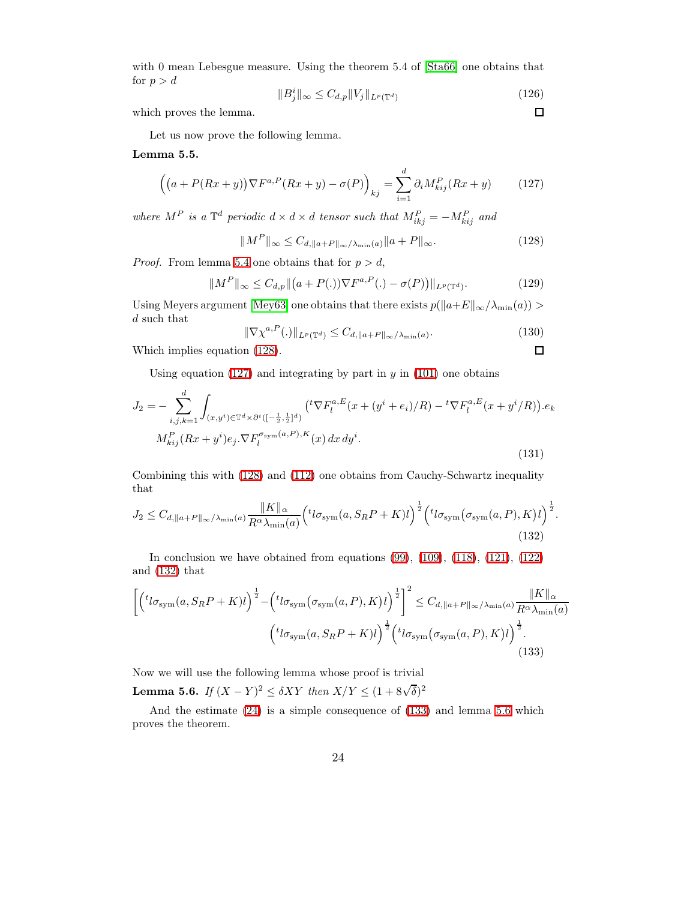with 0 mean Lebesgue measure. Using the theorem 5.4 of  $[Sta66]$  one obtains that for  $p > d$ 

$$
||B_j^i||_{\infty} \le C_{d,p} ||V_j||_{L^p(\mathbb{T}^d)}
$$
\n(126)

<span id="page-23-0"></span> $\Box$ 

 $\Box$ 

which proves the lemma.

Let us now prove the following lemma.

<span id="page-23-1"></span>Lemma 5.5.

$$
\left( \left( a + P(Rx + y) \right) \nabla F^{a,P}(Rx + y) - \sigma(P) \right)_{kj} = \sum_{i=1}^d \partial_i M_{kij}^P(Rx + y) \tag{127}
$$

where  $M^P$  is a  $\mathbb{T}^d$  periodic  $d \times d \times d$  tensor such that  $M_{ikj}^P = -M_{kij}^P$  and

$$
||M^P||_{\infty} \le C_{d, ||a+P||_{\infty}/\lambda_{\min}(a)} ||a+P||_{\infty}.
$$
\n(128)

*Proof.* From lemma [5.4](#page-22-1) one obtains that for  $p > d$ ,

$$
||M^{P}||_{\infty} \leq C_{d,p} ||(a+P(.))\nabla F^{a,P}(.) - \sigma(P))||_{L^{p}(\mathbb{T}^{d})}. \tag{129}
$$

Using Meyers argument [\[Mey63\]](#page-44-17) one obtains that there exists  $p(||a+E||_{\infty}/\lambda_{\min}(a))$  > d such that

$$
\|\nabla \chi^{a,P}(.)\|_{L^p(\mathbb{T}^d)} \le C_{d, \|a+P\|_{\infty}/\lambda_{\min}(a)}.\tag{130}
$$

Which implies equation [\(128\)](#page-23-0).

Using equation [\(127\)](#page-23-1) and integrating by part in  $y$  in [\(101\)](#page-19-2) one obtains

$$
J_2 = -\sum_{i,j,k=1}^d \int_{(x,y^i) \in \mathbb{T}^d \times \partial^i \left( [-\frac{1}{2},\frac{1}{2}]^d \right)} \left( {}^t \nabla F_l^{a,E}(x+(y^i+e_i)/R) - {}^t \nabla F_l^{a,E}(x+y^i/R) \right).e_k
$$
  

$$
M_{kij}^P(Rx+y^i)e_j. \nabla F_l^{\sigma_{\text{sym}}(a,P),K}(x) dx dy^i.
$$
 (131)

<span id="page-23-2"></span>Combining this with [\(128\)](#page-23-0) and [\(112\)](#page-21-0) one obtains from Cauchy-Schwartz inequality that

$$
J_2 \leq C_{d, \parallel a + P \parallel_{\infty}/\lambda_{\min}(a)} \frac{\|K\|_{\alpha}}{R^{\alpha} \lambda_{\min}(a)} \Big( {}^{t}l\sigma_{\text{sym}}(a, S_R P + K) l \Big)^{\frac{1}{2}} \Big( {}^{t}l\sigma_{\text{sym}}(\sigma_{\text{sym}}(a, P), K) l \Big)^{\frac{1}{2}}.
$$
\n(132)

<span id="page-23-3"></span>In conclusion we have obtained from equations  $(99)$ ,  $(109)$ ,  $(118)$ ,  $(121)$ ,  $(122)$ and [\(132\)](#page-23-2) that

$$
\left[ \left( ^t l \sigma_{\text{sym}}(a, S_R P + K) l \right)^{\frac{1}{2}} - \left( ^t l \sigma_{\text{sym}}(\sigma_{\text{sym}}(a, P), K) l \right)^{\frac{1}{2}} \right]^2 \leq C_{d, \|a + P\|_{\infty}/\lambda_{\min}(a)} \frac{\|K\|_{\alpha}}{R^{\alpha} \lambda_{\min}(a)}
$$

$$
\left( ^t l \sigma_{\text{sym}}(a, S_R P + K) l \right)^{\frac{1}{2}} \left( ^t l \sigma_{\text{sym}}(\sigma_{\text{sym}}(a, P), K) l \right)^{\frac{1}{2}}.
$$
\n(133)

<span id="page-23-4"></span>Now we will use the following lemma whose proof is trivial

**Lemma 5.6.** If  $(X - Y)^2 \le \delta XY$  then  $X/Y \le (1 + 8\sqrt{\delta})^2$ 

And the estimate [\(24\)](#page-5-1) is a simple consequence of [\(133\)](#page-23-3) and lemma [5.6](#page-23-4) which proves the theorem.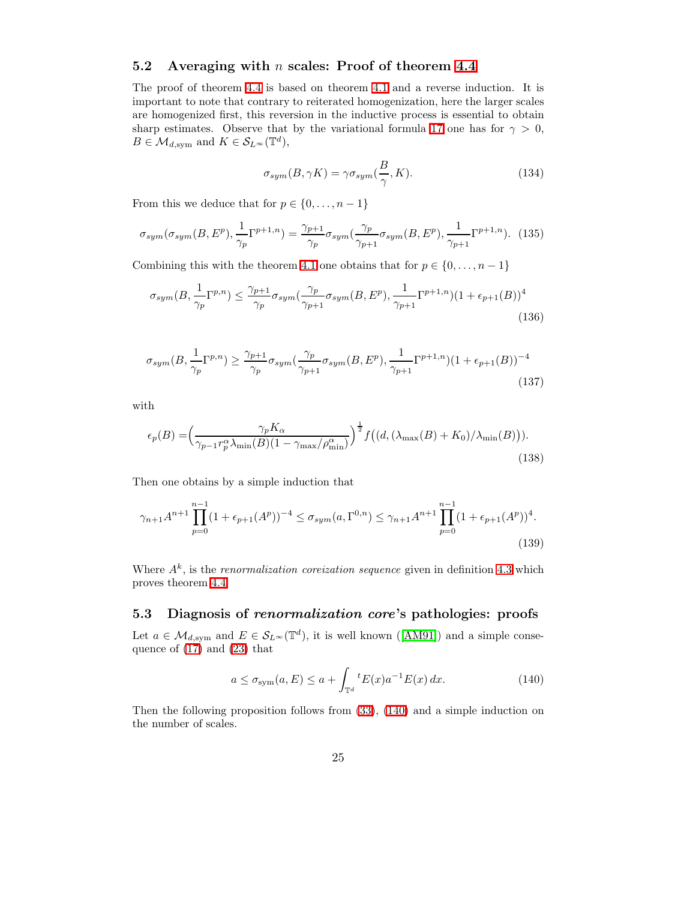## <span id="page-24-0"></span>5.2 Averaging with  $n$  scales: Proof of theorem [4.4](#page-7-0)

The proof of theorem [4.4](#page-7-0) is based on theorem [4.1](#page-5-0) and a reverse induction. It is important to note that contrary to reiterated homogenization, here the larger scales are homogenized first, this reversion in the inductive process is essential to obtain sharp estimates. Observe that by the variational formula [17](#page-4-2) one has for  $\gamma > 0$ ,  $B \in \mathcal{M}_{d,\mathrm{sym}}$  and  $K \in \mathcal{S}_{L^{\infty}}(\mathbb{T}^d)$ ,

$$
\sigma_{sym}(B, \gamma K) = \gamma \sigma_{sym}(\frac{B}{\gamma}, K). \tag{134}
$$

From this we deduce that for  $p \in \{0, \ldots, n-1\}$ 

$$
\sigma_{sym}(\sigma_{sym}(B,E^p),\frac{1}{\gamma_p}\Gamma^{p+1,n}) = \frac{\gamma_{p+1}}{\gamma_p}\sigma_{sym}(\frac{\gamma_p}{\gamma_{p+1}}\sigma_{sym}(B,E^p),\frac{1}{\gamma_{p+1}}\Gamma^{p+1,n}).
$$
 (135)

Combining this with the theorem [4.1](#page-5-0) one obtains that for  $p \in \{0, \ldots, n-1\}$ 

$$
\sigma_{sym}(B, \frac{1}{\gamma_p} \Gamma^{p,n}) \le \frac{\gamma_{p+1}}{\gamma_p} \sigma_{sym}(\frac{\gamma_p}{\gamma_{p+1}} \sigma_{sym}(B, E^p), \frac{1}{\gamma_{p+1}} \Gamma^{p+1,n}) (1 + \epsilon_{p+1}(B))^4
$$
\n(136)

$$
\sigma_{sym}(B, \frac{1}{\gamma_p}\Gamma^{p,n}) \ge \frac{\gamma_{p+1}}{\gamma_p} \sigma_{sym}(\frac{\gamma_p}{\gamma_{p+1}} \sigma_{sym}(B, E^p), \frac{1}{\gamma_{p+1}}\Gamma^{p+1,n})(1 + \epsilon_{p+1}(B))^{-4}
$$
\n(137)

with

$$
\epsilon_p(B) = \left(\frac{\gamma_p K_\alpha}{\gamma_{p-1} r_p^\alpha \lambda_{\min}(B) (1 - \gamma_{\max}/\rho_{\min}^\alpha)}\right)^{\frac{1}{2}} f\left((d, (\lambda_{\max}(B) + K_0)/\lambda_{\min}(B))\right).
$$
\n(138)

Then one obtains by a simple induction that

$$
\gamma_{n+1}A^{n+1} \prod_{p=0}^{n-1} (1 + \epsilon_{p+1}(A^p))^{-4} \le \sigma_{sym}(a, \Gamma^{0,n}) \le \gamma_{n+1}A^{n+1} \prod_{p=0}^{n-1} (1 + \epsilon_{p+1}(A^p))^4.
$$
\n(139)

Where  $A<sup>k</sup>$ , is the *renormalization coreization sequence* given in definition [4.3](#page-7-3) which proves theorem [4.4.](#page-7-0)

## <span id="page-24-1"></span>5.3 Diagnosis of renormalization core's pathologies: proofs

Let $a \in \mathcal{M}_{d,\text{sym}}$  and  $E \in \mathcal{S}_{L^{\infty}}(\mathbb{T}^d)$ , it is well known ([\[AM91\]](#page-43-12)) and a simple consequence of [\(17\)](#page-4-2) and [\(23\)](#page-4-3) that

<span id="page-24-2"></span>
$$
a \le \sigma_{\text{sym}}(a, E) \le a + \int_{\mathbb{T}^d} {}^t E(x) a^{-1} E(x) dx.
$$
 (140)

<span id="page-24-3"></span>Then the following proposition follows from [\(33\)](#page-7-1), [\(140\)](#page-24-2) and a simple induction on the number of scales.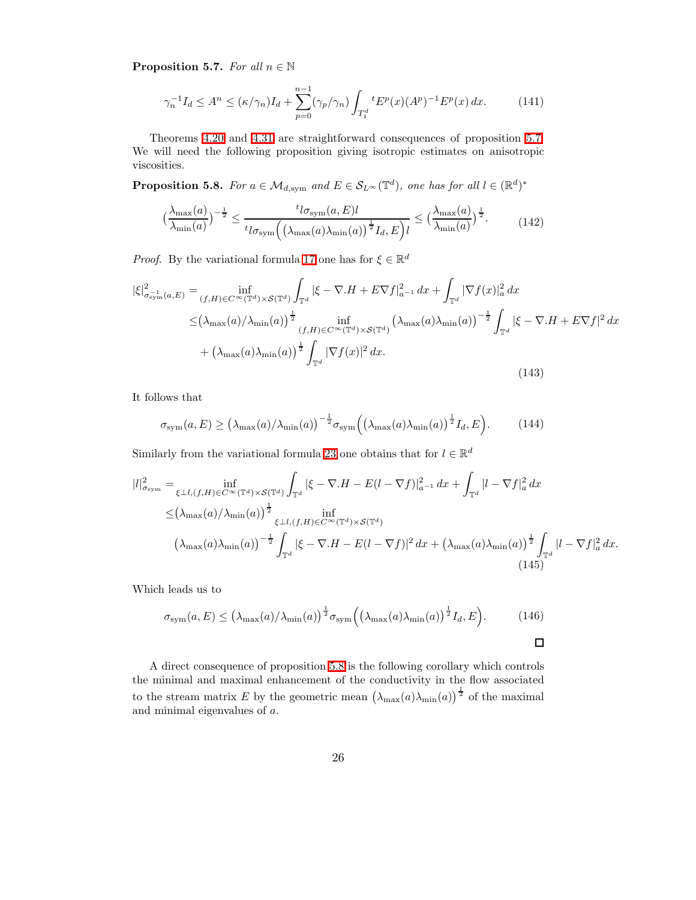**Proposition 5.7.** For all  $n \in \mathbb{N}$ 

$$
\gamma_n^{-1} I_d \le A^n \le (\kappa/\gamma_n) I_d + \sum_{p=0}^{n-1} (\gamma_p/\gamma_n) \int_{T_1^d} {}^t E^p(x) (A^p)^{-1} E^p(x) \, dx. \tag{141}
$$

<span id="page-25-0"></span>Theorems [4.20](#page-15-2) and [4.31](#page-18-1) are straightforward consequences of proposition [5.7.](#page-24-3) We will need the following proposition giving isotropic estimates on anisotropic viscosities.

**Proposition 5.8.** For  $a \in \mathcal{M}_{d,\text{sym}}$  and  $E \in \mathcal{S}_{L^{\infty}}(\mathbb{T}^d)$ , one has for all  $l \in (\mathbb{R}^d)^*$ 

$$
\left(\frac{\lambda_{\max}(a)}{\lambda_{\min}(a)}\right)^{-\frac{1}{2}} \le \frac{t_{l\sigma_{\text{sym}}}(a,E)l}{t_{l\sigma_{\text{sym}}}\left(\left(\lambda_{\max}(a)\lambda_{\min}(a)\right)^{\frac{1}{2}}I_{d},E\right)l} \le \left(\frac{\lambda_{\max}(a)}{\lambda_{\min}(a)}\right)^{\frac{1}{2}}.\tag{142}
$$

*Proof.* By the variational formula [17](#page-4-2) one has for  $\xi \in \mathbb{R}^d$ 

$$
|\xi|_{\sigma_{\text{sym}}^{-1}(a,E)}^{2} = \inf_{(f,H)\in C^{\infty}(\mathbb{T}^{d})\times\mathcal{S}(\mathbb{T}^{d})} \int_{\mathbb{T}^{d}} |\xi - \nabla \cdot H + E \nabla f|_{a^{-1}}^{2} dx + \int_{\mathbb{T}^{d}} |\nabla f(x)|_{a}^{2} dx
$$
  

$$
\leq (\lambda_{\max}(a)/\lambda_{\min}(a))^{\frac{1}{2}} \inf_{(f,H)\in C^{\infty}(\mathbb{T}^{d})\times\mathcal{S}(\mathbb{T}^{d})} (\lambda_{\max}(a)\lambda_{\min}(a))^{-\frac{1}{2}} \int_{\mathbb{T}^{d}} |\xi - \nabla \cdot H + E \nabla f|^{2} dx
$$
  

$$
+ (\lambda_{\max}(a)\lambda_{\min}(a))^{\frac{1}{2}} \int_{\mathbb{T}^{d}} |\nabla f(x)|^{2} dx.
$$
 (143)

It follows that

$$
\sigma_{\rm sym}(a, E) \ge \left(\lambda_{\rm max}(a)/\lambda_{\rm min}(a)\right)^{-\frac{1}{2}} \sigma_{\rm sym}\left(\left(\lambda_{\rm max}(a)\lambda_{\rm min}(a)\right)^{\frac{1}{2}} I_d, E\right). \tag{144}
$$

Similarly from the variational formula [23](#page-4-3) one obtains that for  $l \in \mathbb{R}^d$ 

$$
|l|_{\sigma_{\text{sym}}}^2 = \inf_{\xi \perp l, (f, H) \in C^\infty(\mathbb{T}^d) \times \mathcal{S}(\mathbb{T}^d)} \int_{\mathbb{T}^d} |\xi - \nabla \cdot H - E(l - \nabla f)|_{a^{-1}}^2 dx + \int_{\mathbb{T}^d} |l - \nabla f|_a^2 dx
$$
  

$$
\leq (\lambda_{\max}(a) / \lambda_{\min}(a)) \frac{1}{2} \int_{\mathbb{T}^d} |\xi - \nabla \cdot H - E(l - \nabla f)|^2 dx + (\lambda_{\max}(a) \lambda_{\min}(a)) \frac{1}{2} \int_{\mathbb{T}^d} |l - \nabla f|_a^2 dx.
$$
  

$$
(\lambda_{\max}(a) \lambda_{\min}(a))^{-\frac{1}{2}} \int_{\mathbb{T}^d} |\xi - \nabla \cdot H - E(l - \nabla f)|^2 dx + (\lambda_{\max}(a) \lambda_{\min}(a)) \frac{1}{2} \int_{\mathbb{T}^d} |l - \nabla f|_a^2 dx.
$$
  
(145)

Which leads us to

$$
\sigma_{\text{sym}}(a, E) \le (\lambda_{\text{max}}(a) / \lambda_{\text{min}}(a))^{\frac{1}{2}} \sigma_{\text{sym}} \left( (\lambda_{\text{max}}(a) \lambda_{\text{min}}(a))^{\frac{1}{2}} I_d, E \right). \tag{146}
$$

<span id="page-25-1"></span>A direct consequence of proposition [5.8](#page-25-0) is the following corollary which controls the minimal and maximal enhancement of the conductivity in the flow associated to the stream matrix E by the geometric mean  $(\lambda_{\max}(a)\lambda_{\min}(a))^{\frac{1}{2}}$  of the maximal and minimal eigenvalues of a.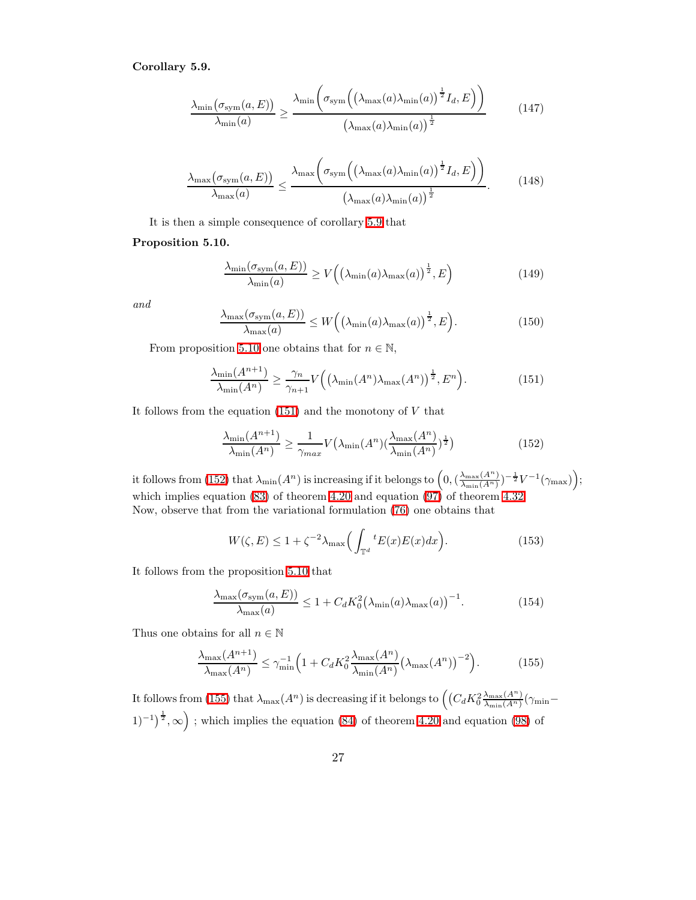#### Corollary 5.9.

$$
\frac{\lambda_{\min}(\sigma_{\text{sym}}(a, E))}{\lambda_{\min}(a)} \ge \frac{\lambda_{\min}\left(\sigma_{\text{sym}}\left((\lambda_{\max}(a)\lambda_{\min}(a))^{\frac{1}{2}}I_d, E\right)\right)}{\left(\lambda_{\max}(a)\lambda_{\min}(a)\right)^{\frac{1}{2}}}
$$
(147)

$$
\frac{\lambda_{\max}(\sigma_{\text{sym}}(a, E))}{\lambda_{\max}(a)} \le \frac{\lambda_{\max}\left(\sigma_{\text{sym}}\left((\lambda_{\max}(a)\lambda_{\min}(a))^{\frac{1}{2}}I_d, E\right)\right)}{(\lambda_{\max}(a)\lambda_{\min}(a))^{\frac{1}{2}}}.
$$
(148)

It is then a simple consequence of corollary [5.9](#page-25-1) that

### <span id="page-26-0"></span>Proposition 5.10.

$$
\frac{\lambda_{\min}(\sigma_{\text{sym}}(a, E))}{\lambda_{\min}(a)} \ge V\left(\left(\lambda_{\min}(a)\lambda_{\max}(a)\right)^{\frac{1}{2}}, E\right) \tag{149}
$$

and

<span id="page-26-1"></span>
$$
\frac{\lambda_{\max}(\sigma_{\text{sym}}(a, E))}{\lambda_{\max}(a)} \le W\Big(\big(\lambda_{\min}(a)\lambda_{\max}(a)\big)^{\frac{1}{2}}, E\Big). \tag{150}
$$

From proposition [5.10](#page-26-0) one obtains that for  $n \in \mathbb{N}$ ,

$$
\frac{\lambda_{\min}(A^{n+1})}{\lambda_{\min}(A^n)} \ge \frac{\gamma_n}{\gamma_{n+1}} V\Big(\big(\lambda_{\min}(A^n)\lambda_{\max}(A^n)\big)^{\frac{1}{2}}, E^n\Big). \tag{151}
$$

It follows from the equation  $(151)$  and the monotony of  $V$  that

<span id="page-26-2"></span>
$$
\frac{\lambda_{\min}(A^{n+1})}{\lambda_{\min}(A^n)} \ge \frac{1}{\gamma_{\max}} V\left(\lambda_{\min}(A^n) \left(\frac{\lambda_{\max}(A^n)}{\lambda_{\min}(A^n)}\right)^{\frac{1}{2}}\right)
$$
(152)

it follows from [\(152\)](#page-26-2) that  $\lambda_{\min}(A^n)$  is increasing if it belongs to  $\left(0, \left(\frac{\lambda_{\max}(A^n)}{\lambda_{\min}(A^n)}\right)\right)$  $\frac{\lambda_{\max}(A^n)}{\lambda_{\min}(A^n)})^{-\frac{1}{2}}V^{-1}(\gamma_{\max})\Big);$ which implies equation  $(83)$  of theorem [4.20](#page-15-2) and equation  $(97)$  of theorem [4.32.](#page-18-3) Now, observe that from the variational formulation [\(76\)](#page-14-2) one obtains that

$$
W(\zeta, E) \le 1 + \zeta^{-2} \lambda_{\max} \Big( \int_{\mathbb{T}^d} {}^t E(x) E(x) dx \Big). \tag{153}
$$

It follows from the proposition [5.10](#page-26-0) that

<span id="page-26-3"></span>
$$
\frac{\lambda_{\max}(\sigma_{\text{sym}}(a,E))}{\lambda_{\max}(a)} \le 1 + C_d K_0^2 \left(\lambda_{\min}(a)\lambda_{\max}(a)\right)^{-1}.\tag{154}
$$

Thus one obtains for all  $n \in \mathbb{N}$ 

$$
\frac{\lambda_{\max}(A^{n+1})}{\lambda_{\max}(A^n)} \le \gamma_{\min}^{-1} \Big( 1 + C_d K_0^2 \frac{\lambda_{\max}(A^n)}{\lambda_{\min}(A^n)} \big(\lambda_{\max}(A^n)\big)^{-2} \Big). \tag{155}
$$

It follows from [\(155\)](#page-26-3) that  $\lambda_{\max}(A^n)$  is decreasing if it belongs to  $\left(\left(C_d K_0^2 \frac{\lambda_{\max}(A^n)}{\lambda_{\min}(A^n)}\right)\right)$  $\frac{\lambda_{\max}(A^-)}{\lambda_{\min}(A^n)}(\gamma_{\min} (1)^{-1}\big)^{\frac{1}{2}}$ ,  $\infty$ ); which implies the equation [\(84\)](#page-15-5) of theorem [4.20](#page-15-2) and equation [\(98\)](#page-18-4) of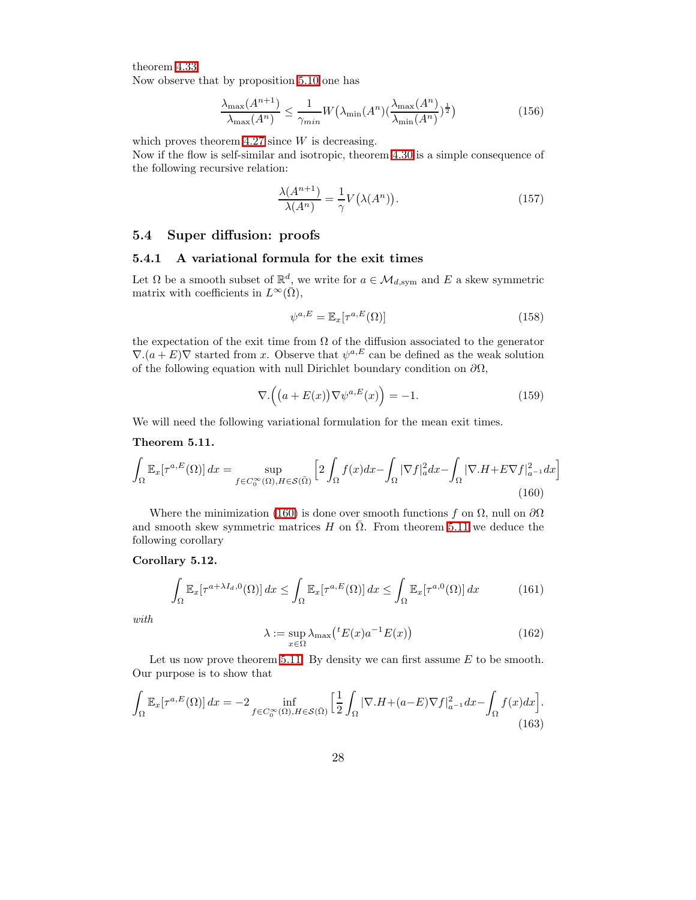theorem [4.33.](#page-18-5)

Now observe that by proposition [5.10](#page-26-0) one has

$$
\frac{\lambda_{\max}(A^{n+1})}{\lambda_{\max}(A^n)} \le \frac{1}{\gamma_{\min}} W\big(\lambda_{\min}(A^n) \left(\frac{\lambda_{\max}(A^n)}{\lambda_{\min}(A^n)}\right)^{\frac{1}{2}}\big) \tag{156}
$$

which proves theorem  $4.27$  since  $W$  is decreasing.

Now if the flow is self-similar and isotropic, theorem [4.30](#page-16-0) is a simple consequence of the following recursive relation:

$$
\frac{\lambda(A^{n+1})}{\lambda(A^n)} = \frac{1}{\gamma} V(\lambda(A^n)).
$$
\n(157)

## <span id="page-27-3"></span><span id="page-27-0"></span>5.4 Super diffusion: proofs

## 5.4.1 A variational formula for the exit times

Let  $\Omega$  be a smooth subset of  $\mathbb{R}^d$ , we write for  $a \in \mathcal{M}_{d,\text{sym}}$  and E a skew symmetric matrix with coefficients in  $L^{\infty}(\overline{\Omega}),$ 

<span id="page-27-4"></span>
$$
\psi^{a,E} = \mathbb{E}_x[\tau^{a,E}(\Omega)]\tag{158}
$$

the expectation of the exit time from  $\Omega$  of the diffusion associated to the generator  $\nabla$   $(a+E)\nabla$  started from x. Observe that  $\psi^{a,E}$  can be defined as the weak solution of the following equation with null Dirichlet boundary condition on  $\partial\Omega$ ,

$$
\nabla \cdot \left( \left( a + E(x) \right) \nabla \psi^{a, E}(x) \right) = -1. \tag{159}
$$

<span id="page-27-2"></span><span id="page-27-1"></span>We will need the following variational formulation for the mean exit times.

#### Theorem 5.11.

$$
\int_{\Omega} \mathbb{E}_x[\tau^{a,E}(\Omega)] dx = \sup_{f \in C_0^{\infty}(\Omega), H \in \mathcal{S}(\bar{\Omega})} \left[ 2 \int_{\Omega} f(x) dx - \int_{\Omega} |\nabla f|_a^2 dx - \int_{\Omega} |\nabla . H + E \nabla f|_{a^{-1}}^2 dx \right]
$$
\n(160)

Where the minimization [\(160\)](#page-27-1) is done over smooth functions f on  $\Omega$ , null on  $\partial\Omega$ and smooth skew symmetric matrices H on  $\overline{\Omega}$ . From theorem [5.11](#page-27-2) we deduce the following corollary

#### <span id="page-27-5"></span>Corollary 5.12.

$$
\int_{\Omega} \mathbb{E}_x[\tau^{a+\lambda I_d,0}(\Omega)] dx \le \int_{\Omega} \mathbb{E}_x[\tau^{a,E}(\Omega)] dx \le \int_{\Omega} \mathbb{E}_x[\tau^{a,0}(\Omega)] dx \tag{161}
$$

with

$$
\lambda := \sup_{x \in \Omega} \lambda_{\max} ({}^t E(x) a^{-1} E(x)) \tag{162}
$$

Let us now prove theorem [5.11.](#page-27-2) By density we can first assume  $E$  to be smooth. Our purpose is to show that

$$
\int_{\Omega} \mathbb{E}_x[\tau^{a,E}(\Omega)] dx = -2 \inf_{f \in C_0^{\infty}(\Omega), H \in \mathcal{S}(\bar{\Omega})} \left[ \frac{1}{2} \int_{\Omega} |\nabla . H + (a-E)\nabla f|_{a^{-1}}^2 dx - \int_{\Omega} f(x) dx \right].
$$
\n(163)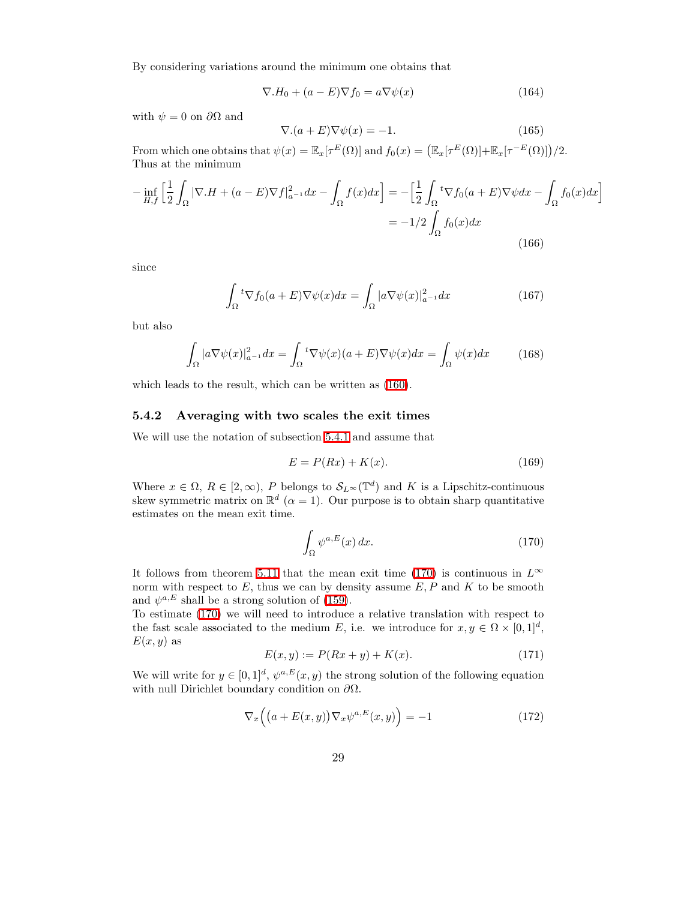By considering variations around the minimum one obtains that

$$
\nabla H_0 + (a - E)\nabla f_0 = a\nabla \psi(x)
$$
\n(164)

with  $\psi = 0$  on  $\partial\Omega$  and

$$
\nabla.(a+E)\nabla\psi(x) = -1.
$$
\n(165)

From which one obtains that  $\psi(x) = \mathbb{E}_x[\tau^E(\Omega)]$  and  $f_0(x) = (\mathbb{E}_x[\tau^E(\Omega)] + \mathbb{E}_x[\tau^{-E}(\Omega)])/2$ . Thus at the minimum

$$
-\inf_{H,f} \left[ \frac{1}{2} \int_{\Omega} |\nabla . H + (a - E)\nabla f|_{a^{-1}}^2 dx - \int_{\Omega} f(x) dx \right] = -\left[ \frac{1}{2} \int_{\Omega} {}^t \nabla f_0(a + E)\nabla \psi dx - \int_{\Omega} f_0(x) dx \right]
$$

$$
= -1/2 \int_{\Omega} f_0(x) dx
$$
(166)

since

$$
\int_{\Omega} {}^{t} \nabla f_{0}(a+E) \nabla \psi(x) dx = \int_{\Omega} |a \nabla \psi(x)|_{a^{-1}}^{2} dx \qquad (167)
$$

but also

$$
\int_{\Omega} |a \nabla \psi(x)|_{a^{-1}}^2 dx = \int_{\Omega} {}^{t} \nabla \psi(x) (a+E) \nabla \psi(x) dx = \int_{\Omega} \psi(x) dx \qquad (168)
$$

which leads to the result, which can be written as [\(160\)](#page-27-1).

#### 5.4.2 Averaging with two scales the exit times

We will use the notation of subsection [5.4.1](#page-27-3) and assume that

<span id="page-28-0"></span>
$$
E = P(Rx) + K(x). \tag{169}
$$

Where  $x \in \Omega$ ,  $R \in [2, \infty)$ , P belongs to  $\mathcal{S}_{L^{\infty}}(\mathbb{T}^d)$  and K is a Lipschitz-continuous skew symmetric matrix on  $\mathbb{R}^d$  ( $\alpha = 1$ ). Our purpose is to obtain sharp quantitative estimates on the mean exit time.

$$
\int_{\Omega} \psi^{a,E}(x) dx.
$$
 (170)

It follows from theorem [5.11](#page-27-2) that the mean exit time [\(170\)](#page-28-0) is continuous in  $L^{\infty}$ norm with respect to  $E$ , thus we can by density assume  $E, P$  and  $K$  to be smooth and  $\psi^{a,E}$  shall be a strong solution of [\(159\)](#page-27-4).

To estimate [\(170\)](#page-28-0) we will need to introduce a relative translation with respect to the fast scale associated to the medium E, i.e. we introduce for  $x, y \in \Omega \times [0,1]^d$ ,  $E(x, y)$  as

<span id="page-28-1"></span>
$$
E(x, y) := P(Rx + y) + K(x).
$$
 (171)

We will write for  $y \in [0,1]^d$ ,  $\psi^{a,E}(x,y)$  the strong solution of the following equation with null Dirichlet boundary condition on  $\partial\Omega$ .

$$
\nabla_x \left( \left( a + E(x, y) \right) \nabla_x \psi^{a, E}(x, y) \right) = -1 \tag{172}
$$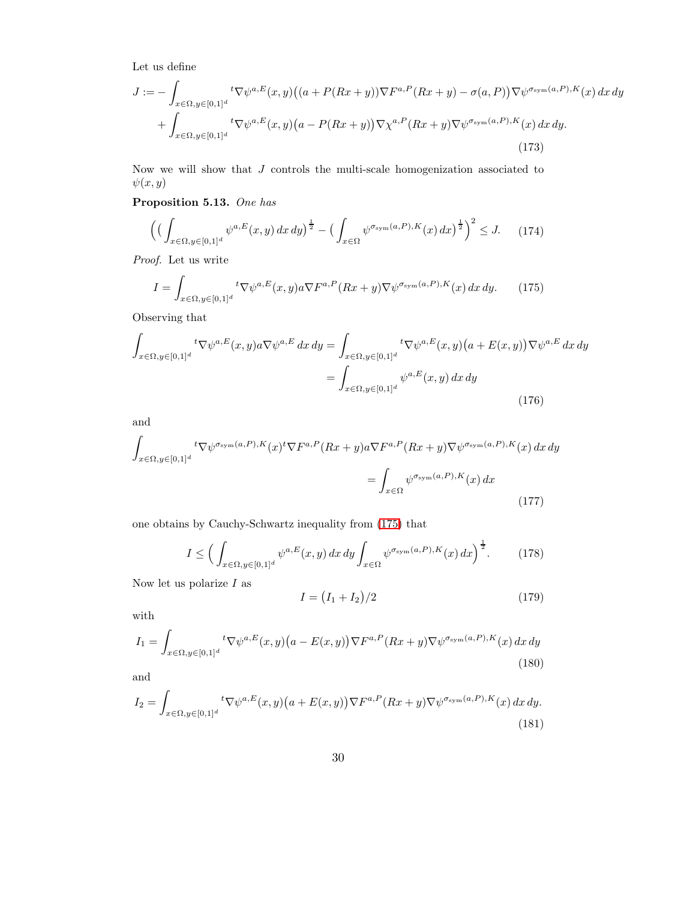<span id="page-29-2"></span>Let us define

$$
J := -\int_{x \in \Omega, y \in [0,1]^d} t \nabla \psi^{a,E}(x,y) \left( (a + P(Rx + y)) \nabla F^{a,P}(Rx + y) - \sigma(a, P) \right) \nabla \psi^{\sigma_{\text{sym}}(a,P),K}(x) dx dy
$$

$$
+ \int_{x \in \Omega, y \in [0,1]^d} t \nabla \psi^{a,E}(x,y) \left( a - P(Rx + y) \right) \nabla \chi^{a,P}(Rx + y) \nabla \psi^{\sigma_{\text{sym}}(a,P),K}(x) dx dy.
$$
\n(173)

<span id="page-29-5"></span>Now we will show that J controls the multi-scale homogenization associated to  $\psi(x,y)$ 

Proposition 5.13. One has

<span id="page-29-3"></span><span id="page-29-0"></span>
$$
\left( \left( \int_{x \in \Omega, y \in [0,1]^d} \psi^{a,E}(x, y) \, dx \, dy \right)^{\frac{1}{2}} - \left( \int_{x \in \Omega} \psi^{\sigma_{\text{sym}}(a, P), K}(x) \, dx \right)^{\frac{1}{2}} \right)^2 \le J. \tag{174}
$$

Proof. Let us write

$$
I = \int_{x \in \Omega, y \in [0,1]^d} t \nabla \psi^{a,E}(x,y) a \nabla F^{a,P}(Rx+y) \nabla \psi^{\sigma_{\text{sym}}(a,P),K}(x) dx dy. \tag{175}
$$

Observing that

$$
\int_{x \in \Omega, y \in [0,1]^d} t \nabla \psi^{a,E}(x, y) a \nabla \psi^{a,E} dx dy = \int_{x \in \Omega, y \in [0,1]^d} t \nabla \psi^{a,E}(x, y) \left( a + E(x, y) \right) \nabla \psi^{a,E} dx dy
$$
\n
$$
= \int_{x \in \Omega, y \in [0,1]^d} \psi^{a,E}(x, y) dx dy
$$
\n(176)

and

$$
\int_{x \in \Omega, y \in [0,1]^d} t \nabla \psi^{\sigma_{\text{sym}}(a,P),K}(x) t \nabla F^{a,P}(Rx+y) a \nabla F^{a,P}(Rx+y) \nabla \psi^{\sigma_{\text{sym}}(a,P),K}(x) dx dy
$$
\n
$$
= \int_{x \in \Omega} \psi^{\sigma_{\text{sym}}(a,P),K}(x) dx
$$
\n(177)

one obtains by Cauchy-Schwartz inequality from [\(175\)](#page-29-0) that

<span id="page-29-1"></span>
$$
I \le \Big(\int_{x \in \Omega, y \in [0,1]^d} \psi^{a,E}(x,y) \, dx \, dy \int_{x \in \Omega} \psi^{\sigma_{\text{sym}}(a,P),K}(x) \, dx\Big)^{\frac{1}{2}}. \tag{178}
$$

Now let us polarize  ${\cal I}$  as

<span id="page-29-4"></span>
$$
I = (I_1 + I_2)/2 \tag{179}
$$

with

$$
I_1 = \int_{x \in \Omega, y \in [0,1]^d} t \nabla \psi^{a,E}(x, y) \left(a - E(x, y)\right) \nabla F^{a,P}(Rx + y) \nabla \psi^{\sigma_{\text{sym}}(a, P), K}(x) dx dy
$$
\n(180)

and

$$
I_2 = \int_{x \in \Omega, y \in [0,1]^d} t \nabla \psi^{a,E}(x,y) \left(a + E(x,y)\right) \nabla F^{a,P}(Rx+y) \nabla \psi^{\sigma_{\text{sym}}(a,P),K}(x) \, dx \, dy. \tag{181}
$$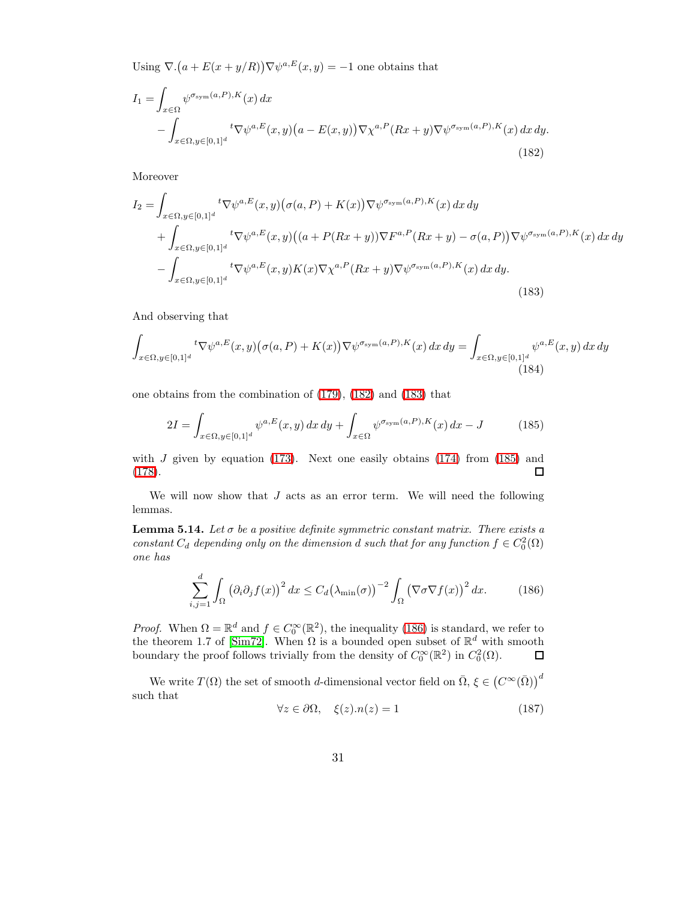<span id="page-30-0"></span>Using  $\nabla \cdot (a + E(x + y/R)) \nabla \psi^{a,E}(x, y) = -1$  one obtains that

$$
I_1 = \int_{x \in \Omega} \psi^{\sigma_{\text{sym}}(a, P), K}(x) dx
$$
  
 
$$
- \int_{x \in \Omega, y \in [0, 1]^d} t \nabla \psi^{a, E}(x, y) (a - E(x, y)) \nabla \chi^{a, P}(Rx + y) \nabla \psi^{\sigma_{\text{sym}}(a, P), K}(x) dx dy.
$$
(182)

<span id="page-30-1"></span>Moreover

$$
I_2 = \int_{x \in \Omega, y \in [0,1]^d} t \nabla \psi^{a,E}(x,y) \big( \sigma(a,P) + K(x) \big) \nabla \psi^{\sigma_{\text{sym}}(a,P),K}(x) \, dx \, dy
$$
  
+ 
$$
\int_{x \in \Omega, y \in [0,1]^d} t \nabla \psi^{a,E}(x,y) \big( (a+P(Rx+y)) \nabla F^{a,P}(Rx+y) - \sigma(a,P) \big) \nabla \psi^{\sigma_{\text{sym}}(a,P),K}(x) \, dx \, dy
$$
  
- 
$$
\int_{x \in \Omega, y \in [0,1]^d} t \nabla \psi^{a,E}(x,y) K(x) \nabla \chi^{a,P}(Rx+y) \nabla \psi^{\sigma_{\text{sym}}(a,P),K}(x) \, dx \, dy.
$$
  
(183)

And observing that

$$
\int_{x \in \Omega, y \in [0,1]^d} t \nabla \psi^{a,E}(x, y) \big( \sigma(a, P) + K(x) \big) \nabla \psi^{\sigma_{\text{sym}}(a, P), K}(x) \, dx \, dy = \int_{x \in \Omega, y \in [0,1]^d} \psi^{a,E}(x, y) \, dx \, dy
$$
\n(184)

one obtains from the combination of [\(179\)](#page-29-1), [\(182\)](#page-30-0) and [\(183\)](#page-30-1) that

<span id="page-30-2"></span>
$$
2I = \int_{x \in \Omega, y \in [0,1]^d} \psi^{a,E}(x,y) \, dx \, dy + \int_{x \in \Omega} \psi^{\sigma_{\text{sym}}(a,P),K}(x) \, dx - J \tag{185}
$$

with  $J$  given by equation [\(173\)](#page-29-2). Next one easily obtains [\(174\)](#page-29-3) from [\(185\)](#page-30-2) and [\(178\)](#page-29-4).  $\Box$ 

<span id="page-30-5"></span>We will now show that  $J$  acts as an error term. We will need the following lemmas.

<span id="page-30-3"></span>**Lemma 5.14.** Let  $\sigma$  be a positive definite symmetric constant matrix. There exists a constant  $C_d$  depending only on the dimension d such that for any function  $f \in C_0^2(\Omega)$ one has

$$
\sum_{i,j=1}^{d} \int_{\Omega} \left(\partial_i \partial_j f(x)\right)^2 dx \le C_d \big(\lambda_{\min}(\sigma)\big)^{-2} \int_{\Omega} \left(\nabla \sigma \nabla f(x)\right)^2 dx. \tag{186}
$$

*Proof.* When  $\Omega = \mathbb{R}^d$  and  $f \in C_0^{\infty}(\mathbb{R}^2)$ , the inequality [\(186\)](#page-30-3) is standard, we refer to the theorem 1.7 of [\[Sim72\]](#page-45-4). When  $\Omega$  is a bounded open subset of  $\mathbb{R}^d$  with smooth boundary the proof follows trivially from the density of  $C_0^{\infty}(\mathbb{R}^2)$  in  $C_0^2(\Omega)$ .  $\Box$ 

<span id="page-30-4"></span>We write  $T(\Omega)$  the set of smooth *d*-dimensional vector field on  $\bar{\Omega}$ ,  $\xi \in (C^{\infty}(\bar{\Omega}))^d$ such that

$$
\forall z \in \partial \Omega, \quad \xi(z).n(z) = 1 \tag{187}
$$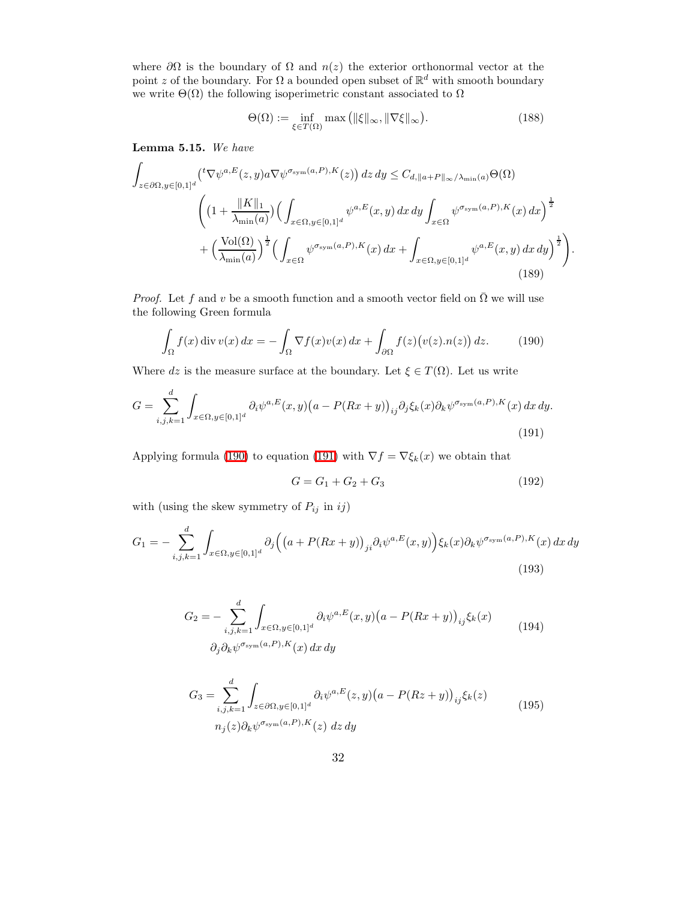where  $\partial\Omega$  is the boundary of  $\Omega$  and  $n(z)$  the exterior orthonormal vector at the point z of the boundary. For  $\Omega$  a bounded open subset of  $\mathbb{R}^d$  with smooth boundary we write  $\Theta(\Omega)$  the following isoperimetric constant associated to  $\Omega$ 

$$
\Theta(\Omega) := \inf_{\xi \in T(\Omega)} \max \left( \|\xi\|_{\infty}, \|\nabla \xi\|_{\infty} \right). \tag{188}
$$

<span id="page-31-5"></span>Lemma 5.15. We have

$$
\int_{z \in \partial \Omega, y \in [0,1]^d} \left( {}^{t} \nabla \psi^{a,E}(z,y) a \nabla \psi^{\sigma_{\text{sym}}(a,P),K}(z) \right) dz dy \leq C_{d, \|a+P\|_{\infty}/\lambda_{\min}(a)} \Theta(\Omega)
$$
\n
$$
\left( \left( 1 + \frac{\|K\|_{1}}{\lambda_{\min}(a)} \right) \left( \int_{x \in \Omega, y \in [0,1]^d} \psi^{a,E}(x,y) dx dy \int_{x \in \Omega} \psi^{\sigma_{\text{sym}}(a,P),K}(x) dx \right)^{\frac{1}{2}} + \left( \frac{\text{Vol}(\Omega)}{\lambda_{\min}(a)} \right)^{\frac{1}{2}} \left( \int_{x \in \Omega} \psi^{\sigma_{\text{sym}}(a,P),K}(x) dx + \int_{x \in \Omega, y \in [0,1]^d} \psi^{a,E}(x,y) dx dy \right)^{\frac{1}{2}} \right)
$$
\n(189)

*Proof.* Let f and v be a smooth function and a smooth vector field on  $\overline{\Omega}$  we will use the following Green formula

<span id="page-31-0"></span>
$$
\int_{\Omega} f(x) \operatorname{div} v(x) dx = -\int_{\Omega} \nabla f(x) v(x) dx + \int_{\partial \Omega} f(z) (v(z).n(z)) dz.
$$
 (190)

Where dz is the measure surface at the boundary. Let  $\xi \in T(\Omega)$ . Let us write

$$
G = \sum_{i,j,k=1}^{d} \int_{x \in \Omega, y \in [0,1]^d} \partial_i \psi^{a,E}(x,y) \big( a - P(Rx+y) \big)_{ij} \partial_j \xi_k(x) \partial_k \psi^{\sigma_{\text{sym}}(a,P),K}(x) \, dx \, dy. \tag{191}
$$

Applying formula [\(190\)](#page-31-0) to equation [\(191\)](#page-31-1) with  $\nabla f = \nabla \xi_k(x)$  we obtain that

<span id="page-31-4"></span><span id="page-31-2"></span>
$$
G = G_1 + G_2 + G_3 \tag{192}
$$

<span id="page-31-1"></span>.

with (using the skew symmetry of  $P_{ij}$  in  $ij)$ 

<span id="page-31-3"></span>
$$
G_1 = -\sum_{i,j,k=1}^d \int_{x \in \Omega, y \in [0,1]^d} \partial_j \Big( \big( a + P(Rx + y) \big)_{ji} \partial_i \psi^{a,E}(x, y) \Big) \xi_k(x) \partial_k \psi^{\sigma_{\text{sym}}(a,P),K}(x) \, dx \, dy \tag{193}
$$

$$
G_2 = -\sum_{i,j,k=1}^d \int_{x \in \Omega, y \in [0,1]^d} \partial_i \psi^{a,E}(x,y) \big( a - P(Rx+y) \big)_{ij} \xi_k(x)
$$
  

$$
\partial_j \partial_k \psi^{\sigma_{sym}(a,P),K}(x) dx dy
$$
 (194)

$$
G_3 = \sum_{i,j,k=1}^d \int_{z \in \partial\Omega, y \in [0,1]^d} \partial_i \psi^{a,E}(z,y) \big( a - P(Rz + y) \big)_{ij} \xi_k(z)
$$
  
\n
$$
n_j(z) \partial_k \psi^{\sigma_{\text{sym}}(a,P),K}(z) \, dz \, dy \tag{195}
$$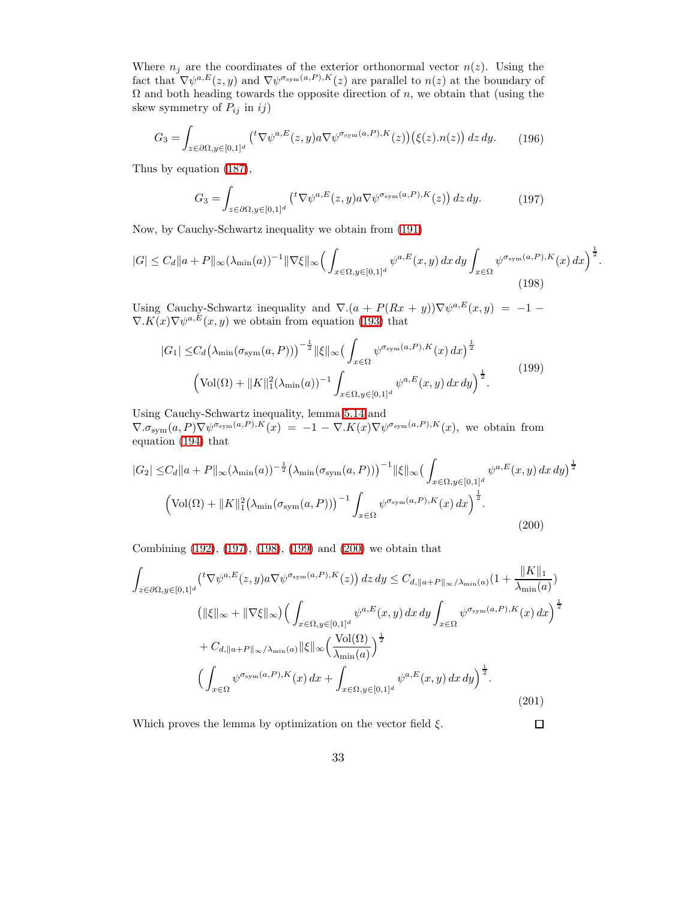Where  $n_j$  are the coordinates of the exterior orthonormal vector  $n(z)$ . Using the fact that  $\nabla \psi^{a,E}(z, y)$  and  $\nabla \psi^{s_{sym}(a, P), K}(z)$  are parallel to  $n(z)$  at the boundary of  $\Omega$  and both heading towards the opposite direction of n, we obtain that (using the skew symmetry of  $P_{ij}$  in ij)

<span id="page-32-0"></span>
$$
G_3 = \int_{z \in \partial\Omega, y \in [0,1]^d} \left( {}^t \nabla \psi^{a,E}(z,y) a \nabla \psi^{\sigma_{\text{sym}}(a,P),K}(z) \right) \left( \xi(z) . n(z) \right) dz \, dy. \tag{196}
$$

Thus by equation [\(187\)](#page-30-4),

<span id="page-32-1"></span>
$$
G_3 = \int_{z \in \partial\Omega, y \in [0,1]^d} \left( {}^t \nabla \psi^{a,E}(z,y) a \nabla \psi^{\sigma_{\text{sym}}(a,P),K}(z) \right) dz dy. \tag{197}
$$

Now, by Cauchy-Schwartz inequality we obtain from [\(191\)](#page-31-1)

$$
|G| \leq C_d \|a + P\|_{\infty} (\lambda_{\min}(a))^{-1} \|\nabla \xi\|_{\infty} \Big( \int_{x \in \Omega, y \in [0,1]^d} \psi^{a, E}(x, y) dx dy \int_{x \in \Omega} \psi^{\sigma_{\text{sym}}(a, P), K}(x) dx \Big)^{\frac{1}{2}}.
$$
\n(198)

Using Cauchy-Schwartz inequality and  $\nabla.(a + P(Rx + y))\nabla\psi^{a,E}(x, y) = -1 \nabla$ . $K(x)\nabla\psi^{a,E}(x,y)$  we obtain from equation [\(193\)](#page-31-2) that

<span id="page-32-2"></span>
$$
|G_1| \leq C_d \left(\lambda_{\min}(\sigma_{\text{sym}}(a, P))\right)^{-\frac{1}{2}} ||\xi||_{\infty} \left(\int_{x \in \Omega} \psi^{\sigma_{\text{sym}}(a, P), K}(x) dx\right)^{\frac{1}{2}} \left(\text{Vol}(\Omega) + ||K||_1^2 (\lambda_{\min}(a))^{-1} \int_{x \in \Omega, y \in [0, 1]^d} \psi^{a, E}(x, y) dx dy\right)^{\frac{1}{2}}.
$$
\n(199)

<span id="page-32-3"></span>Using Cauchy-Schwartz inequality, lemma [5.14](#page-30-5) and  $\nabla.\sigma_{sym}(a, P)\nabla\psi^{\sigma_{sym}(a, P), K}(x) = -1 - \nabla.K(x)\nabla\psi^{\sigma_{sym}(a, P), K}(x)$ , we obtain from equation [\(194\)](#page-31-3) that

$$
|G_2| \leq C_d \|a + P\|_{\infty} (\lambda_{\min}(a))^{-\frac{1}{2}} (\lambda_{\min}(\sigma_{\text{sym}}(a, P)))^{-1} \|\xi\|_{\infty} \left(\int_{x \in \Omega, y \in [0, 1]^d} \psi^{a, E}(x, y) dx dy\right)^{\frac{1}{2}}
$$

$$
\left(\text{Vol}(\Omega) + \|K\|_{1}^{2} (\lambda_{\min}(\sigma_{\text{sym}}(a, P)))^{-1} \int_{x \in \Omega} \psi^{\sigma_{\text{sym}}(a, P), K}(x) dx\right)^{\frac{1}{2}}.
$$
\n(200)

Combining [\(192\)](#page-31-4), [\(197\)](#page-32-0), [\(198\)](#page-32-1), [\(199\)](#page-32-2) and [\(200\)](#page-32-3) we obtain that

$$
\int_{z \in \partial\Omega, y \in [0,1]^d} \left( ^t \nabla \psi^{a,E}(z,y) a \nabla \psi^{\sigma_{\text{sym}}(a,P),K}(z) \right) dz dy \leq C_{d, \|a+P\|_{\infty}/\lambda_{\min}(a)} \left( 1 + \frac{\|K\|_1}{\lambda_{\min}(a)} \right)
$$
  
\n
$$
\left( \|\xi\|_{\infty} + \|\nabla \xi\|_{\infty} \right) \left( \int_{x \in \Omega, y \in [0,1]^d} \psi^{a,E}(x,y) dx dy \int_{x \in \Omega} \psi^{\sigma_{\text{sym}}(a,P),K}(x) dx \right)^{\frac{1}{2}}
$$
  
\n
$$
+ C_{d, \|a+P\|_{\infty}/\lambda_{\min}(a)} \|\xi\|_{\infty} \left( \frac{\text{Vol}(\Omega)}{\lambda_{\min}(a)} \right)^{\frac{1}{2}}
$$
  
\n
$$
\left( \int_{x \in \Omega} \psi^{\sigma_{\text{sym}}(a,P),K}(x) dx + \int_{x \in \Omega, y \in [0,1]^d} \psi^{a,E}(x,y) dx dy \right)^{\frac{1}{2}}.
$$
\n(201)

Which proves the lemma by optimization on the vector field  $\xi$ .

 $\Box$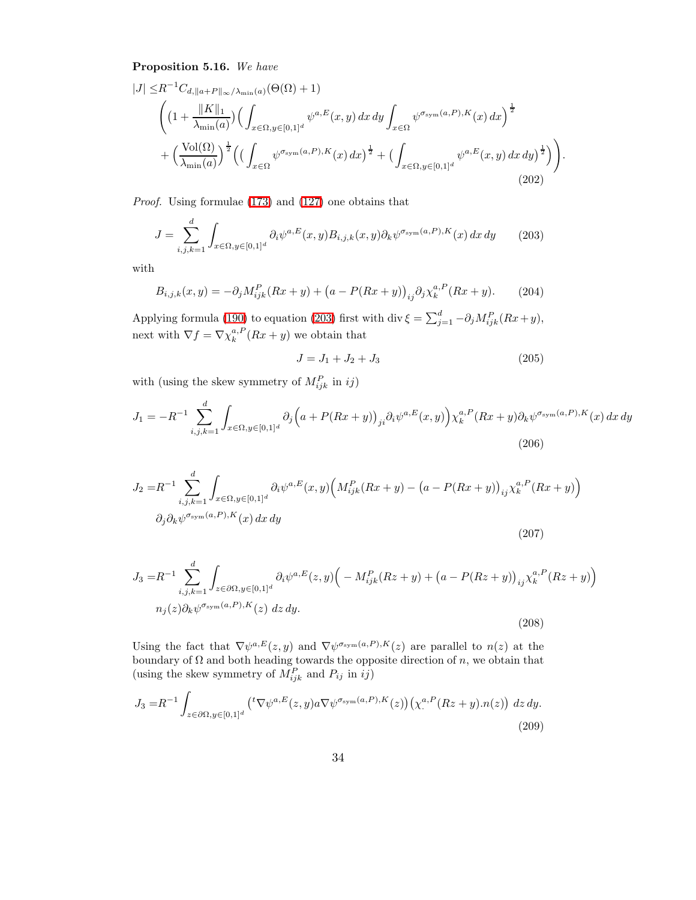<span id="page-33-3"></span>Proposition 5.16. We have

$$
|J| \leq R^{-1}C_{d,||a+P||_{\infty}/\lambda_{\min}(a)}(\Theta(\Omega) + 1)
$$
  

$$
\left( \left(1 + \frac{||K||_1}{\lambda_{\min}(a)}\right) \left(\int_{x \in \Omega, y \in [0,1]^d} \psi^{a,E}(x, y) dx dy \int_{x \in \Omega} \psi^{\sigma_{\text{sym}}(a, P), K}(x) dx \right)^{\frac{1}{2}} + \left(\frac{\text{Vol}(\Omega)}{\lambda_{\min}(a)}\right)^{\frac{1}{2}} \left( \left(\int_{x \in \Omega} \psi^{\sigma_{\text{sym}}(a, P), K}(x) dx \right)^{\frac{1}{2}} + \left(\int_{x \in \Omega, y \in [0,1]^d} \psi^{a,E}(x, y) dx dy \right)^{\frac{1}{2}} \right) \right)
$$
\n(202)

Proof. Using formulae [\(173\)](#page-29-2) and [\(127\)](#page-23-1) one obtains that

$$
J = \sum_{i,j,k=1}^d \int_{x \in \Omega, y \in [0,1]^d} \partial_i \psi^{a,E}(x,y) B_{i,j,k}(x,y) \partial_k \psi^{\sigma_{\text{sym}}(a,P),K}(x) dx dy \qquad (203)
$$

with

$$
B_{i,j,k}(x,y) = -\partial_j M_{ijk}^P(Rx+y) + (a - P(Rx+y))_{ij} \partial_j \chi_k^{a,P}(Rx+y). \tag{204}
$$

Applying formula [\(190\)](#page-31-0) to equation [\(203\)](#page-33-0) first with div  $\xi = \sum_{j=1}^{d} -\partial_j M_{ijk}^P(Rx+y)$ , next with  $\nabla f = \nabla \chi_k^{a,P}(Rx+y)$  we obtain that

<span id="page-33-4"></span><span id="page-33-1"></span><span id="page-33-0"></span>
$$
J = J_1 + J_2 + J_3 \tag{205}
$$

.

with (using the skew symmetry of  $M_{ijk}^P$  in  $ij$ )

$$
J_1 = -R^{-1} \sum_{i,j,k=1}^d \int_{x \in \Omega, y \in [0,1]^d} \partial_j \Big( a + P(Rx+y) \Big)_{ji} \partial_i \psi^{a,E}(x,y) \Big) \chi_k^{a,P}(Rx+y) \partial_k \psi^{\sigma_{sym}(a,P),K}(x) \, dx \, dy
$$
\n(206)

<span id="page-33-2"></span>
$$
J_2 = R^{-1} \sum_{i,j,k=1}^d \int_{x \in \Omega, y \in [0,1]^d} \partial_i \psi^{a,E}(x,y) \Big( M_{ijk}^P(Rx+y) - (a - P(Rx+y))_{ij} \chi_k^{a,P}(Rx+y) \Big) \n\partial_j \partial_k \psi^{\sigma_{\text{sym}}(a,P),K}(x) dx dy
$$
\n(207)

$$
J_3 = R^{-1} \sum_{i,j,k=1}^d \int_{z \in \partial \Omega, y \in [0,1]^d} \partial_i \psi^{a,E}(z,y) \Big( -M_{ijk}^P (Rz+y) + (a - P(Rz+y))_{ij} \chi_k^{a,P}(Rz+y) \Big)
$$
  

$$
n_j(z) \partial_k \psi^{\sigma_{\text{sym}}(a,P),K}(z) \ dz \ dy.
$$
 (208)

Using the fact that  $\nabla \psi^{a,E}(z, y)$  and  $\nabla \psi^{\sigma_{sym}(a, P), K}(z)$  are parallel to  $n(z)$  at the boundary of  $\Omega$  and both heading towards the opposite direction of n, we obtain that (using the skew symmetry of  $M_{ijk}^P$  and  $P_{ij}$  in  $ij$ )

$$
J_3 = R^{-1} \int_{z \in \partial\Omega, y \in [0,1]^d} \left( {}^t \nabla \psi^{a,E}(z,y) a \nabla \psi^{\sigma_{\text{sym}}(a,P),K}(z) \right) \left( \chi^{\alpha,P}_\cdot (Rz+y) . n(z) \right) dz dy. \tag{209}
$$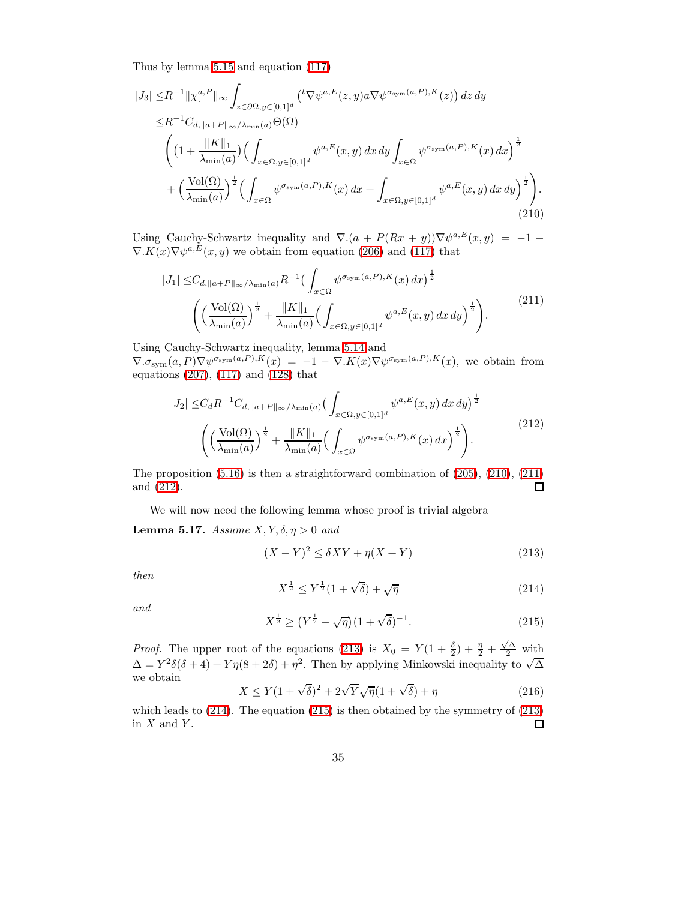<span id="page-34-0"></span>Thus by lemma [5.15](#page-31-5) and equation [\(117\)](#page-21-2)

$$
|J_3| \leq R^{-1} \|\chi^{a,P}_\cdot\|_{\infty} \int_{z \in \partial\Omega, y \in [0,1]^d} \left( {}^t \nabla \psi^{a,E}(z,y) a \nabla \psi^{\sigma_{\text{sym}}(a,P),K}(z) \right) dz dy
$$
  
\n
$$
\leq R^{-1} C_{d, \|a+P\|_{\infty}/\lambda_{\min}(a)} \Theta(\Omega)
$$
  
\n
$$
\left( \left(1 + \frac{\|K\|_1}{\lambda_{\min}(a)}\right) \left( \int_{x \in \Omega, y \in [0,1]^d} \psi^{a,E}(x,y) dx dy \int_{x \in \Omega} \psi^{\sigma_{\text{sym}}(a,P),K}(x) dx \right)^{\frac{1}{2}} + \left( \frac{\text{Vol}(\Omega)}{\lambda_{\min}(a)} \right)^{\frac{1}{2}} \left( \int_{x \in \Omega} \psi^{\sigma_{\text{sym}}(a,P),K}(x) dx + \int_{x \in \Omega, y \in [0,1]^d} \psi^{a,E}(x,y) dx dy \right)^{\frac{1}{2}} \right). \tag{210}
$$

Using Cauchy-Schwartz inequality and  $\nabla (a + P(Rx + y)) \nabla \psi^{a,E}(x, y) = -1 \nabla$ . $K(x)\nabla\psi^{a,E}(x,y)$  we obtain from equation [\(206\)](#page-33-1) and [\(117\)](#page-21-2) that

<span id="page-34-1"></span>
$$
|J_{1}| \leq C_{d, ||a+P||_{\infty}/\lambda_{\min}(a)} R^{-1} \Big( \int_{x \in \Omega} \psi^{\sigma_{\text{sym}}(a,P), K}(x) dx \Big)^{\frac{1}{2}} \Big( \Big( \frac{\text{Vol}(\Omega)}{\lambda_{\min}(a)} \Big)^{\frac{1}{2}} + \frac{||K||_{1}}{\lambda_{\min}(a)} \Big( \int_{x \in \Omega, y \in [0,1]^{d}} \psi^{a, E}(x, y) dx dy \Big)^{\frac{1}{2}} \Big).
$$
 (211)

Using Cauchy-Schwartz inequality, lemma [5.14](#page-30-5) and  $\nabla.\sigma_{sym}(a, P)\nabla\psi^{\sigma_{sym}(a, P), K}(x) = -1 - \nabla.K(x)\nabla\psi^{\sigma_{sym}(a, P), K}(x)$ , we obtain from equations [\(207\)](#page-33-2), [\(117\)](#page-21-2) and [\(128\)](#page-23-0) that

<span id="page-34-2"></span>
$$
|J_2| \leq C_d R^{-1} C_{d,||a+P||_{\infty}/\lambda_{\min}(a)} \left( \int_{x \in \Omega, y \in [0,1]^d} \psi^{a,E}(x, y) dx dy \right)^{\frac{1}{2}}
$$

$$
\left( \left( \frac{\text{Vol}(\Omega)}{\lambda_{\min}(a)} \right)^{\frac{1}{2}} + \frac{||K||_1}{\lambda_{\min}(a)} \left( \int_{x \in \Omega} \psi^{\sigma_{\text{sym}}(a,P),K}(x) dx \right)^{\frac{1}{2}} \right). \tag{212}
$$

The proposition  $(5.16)$  is then a straightforward combination of  $(205)$ ,  $(210)$ ,  $(211)$ and [\(212\)](#page-34-2).  $\Box$ 

We will now need the following lemma whose proof is trivial algebra

<span id="page-34-6"></span>Lemma 5.17. Assume  $X, Y, \delta, \eta > 0$  and

<span id="page-34-3"></span>
$$
(X - Y)^2 \le \delta XY + \eta (X + Y) \tag{213}
$$

<span id="page-34-4"></span>then

$$
X^{\frac{1}{2}} \le Y^{\frac{1}{2}}(1+\sqrt{\delta}) + \sqrt{\eta} \tag{214}
$$

<span id="page-34-5"></span>and

$$
X^{\frac{1}{2}} \ge (Y^{\frac{1}{2}} - \sqrt{\eta})(1 + \sqrt{\delta})^{-1}.
$$
 (215)

*Proof.* The upper root of the equations [\(213\)](#page-34-3) is  $X_0 = Y(1 + \frac{\delta}{2}) + \frac{\eta}{2} + \frac{\sqrt{\Delta}}{2}$  with  $\Delta = Y^2 \delta(\delta + 4) + Y \eta(8 + 2\delta) + \eta^2$ . Then by applying Minkowski inequality to  $\sqrt{\Delta}$ we obtain

$$
X \le Y(1 + \sqrt{\delta})^2 + 2\sqrt{Y}\sqrt{\eta}(1 + \sqrt{\delta}) + \eta
$$
\n(216)

which leads to  $(214)$ . The equation  $(215)$  is then obtained by the symmetry of  $(213)$ in  $X$  and  $Y$ .  $\Box$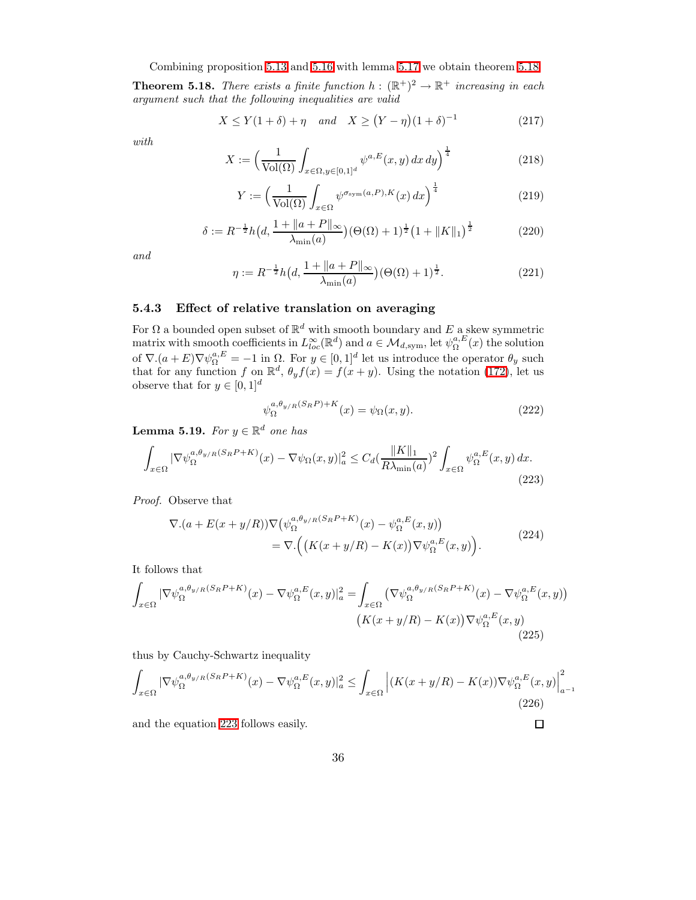Combining proposition [5.13](#page-29-5) and [5.16](#page-33-3) with lemma [5.17](#page-34-6) we obtain theorem [5.18](#page-35-0)

<span id="page-35-0"></span>**Theorem 5.18.** There exists a finite function  $h : (\mathbb{R}^+)^2 \to \mathbb{R}^+$  increasing in each argument such that the following inequalities are valid

$$
X \le Y(1+\delta) + \eta \quad and \quad X \ge (Y - \eta)(1+\delta)^{-1}
$$
 (217)

with

$$
X := \left(\frac{1}{\text{Vol}(\Omega)} \int_{x \in \Omega, y \in [0,1]^d} \psi^{a,E}(x, y) \, dx \, dy\right)^{\frac{1}{4}}
$$
(218)

$$
Y := \left(\frac{1}{\text{Vol}(\Omega)} \int_{x \in \Omega} \psi^{\sigma_{\text{sym}}(a, P), K}(x) \, dx\right)^{\frac{1}{4}}
$$
\n(219)

$$
\delta := R^{-\frac{1}{2}} h\left(d, \frac{1 + \|a + P\|_{\infty}}{\lambda_{\min}(a)}\right) \left(\Theta(\Omega) + 1\right)^{\frac{1}{2}} \left(1 + \|K\|_{1}\right)^{\frac{1}{2}}
$$
(220)

and

$$
\eta := R^{-\frac{1}{2}} h\left(d, \frac{1 + \|a + P\|_{\infty}}{\lambda_{\min}(a)}\right) (\Theta(\Omega) + 1)^{\frac{1}{2}}.
$$
\n(221)

## 5.4.3 Effect of relative translation on averaging

For  $\Omega$  a bounded open subset of  $\mathbb{R}^d$  with smooth boundary and  $E$  a skew symmetric matrix with smooth coefficients in  $L^{\infty}_{loc}(\mathbb{R}^d)$  and  $a \in \mathcal{M}_{d,\text{sym}}$ , let  $\psi^{a,E}_{\Omega}(x)$  the solution of  $\nabla.(a+E)\nabla\psi_{\Omega}^{a,E} = -1$  in  $\Omega$ . For  $y \in [0,1]^d$  let us introduce the operator  $\theta_y$  such that for any function f on  $\mathbb{R}^d$ ,  $\theta_y f(x) = f(x+y)$ . Using the notation [\(172\)](#page-28-1), let us observe that for  $y \in [0, 1]^d$ 

<span id="page-35-1"></span>
$$
\psi_{\Omega}^{a,\theta_{y/R}(S_R P) + K}(x) = \psi_{\Omega}(x, y). \tag{222}
$$

<span id="page-35-2"></span>**Lemma 5.19.** For  $y \in \mathbb{R}^d$  one has

$$
\int_{x \in \Omega} |\nabla \psi_{\Omega}^{a, \theta_{y/R}(S_R P + K)}(x) - \nabla \psi_{\Omega}(x, y)|_a^2 \le C_d (\frac{\|K\|_1}{R\lambda_{\min}(a)})^2 \int_{x \in \Omega} \psi_{\Omega}^{a, E}(x, y) dx.
$$
\n(223)

Proof. Observe that

$$
\nabla.(a + E(x + y/R))\nabla(\psi_{\Omega}^{a,\theta_{y/R}(S_R P + K)}(x) - \psi_{\Omega}^{a,E}(x, y))
$$
  
= 
$$
\nabla.\Big(\big(K(x + y/R) - K(x)\big)\nabla\psi_{\Omega}^{a,E}(x, y)\Big).
$$
 (224)

It follows that

$$
\int_{x \in \Omega} |\nabla \psi_{\Omega}^{a,\theta_{y/R}(S_R P + K)}(x) - \nabla \psi_{\Omega}^{a,E}(x,y)|_a^2 = \int_{x \in \Omega} (\nabla \psi_{\Omega}^{a,\theta_{y/R}(S_R P + K)}(x) - \nabla \psi_{\Omega}^{a,E}(x,y))
$$
\n
$$
(K(x + y/R) - K(x)) \nabla \psi_{\Omega}^{a,E}(x,y)
$$
\n(225)

thus by Cauchy-Schwartz inequality

$$
\int_{x \in \Omega} |\nabla \psi_{\Omega}^{a,\theta_{y/R}(S_R P + K)}(x) - \nabla \psi_{\Omega}^{a,E}(x,y)|_a^2 \le \int_{x \in \Omega} \left| (K(x + y/R) - K(x)) \nabla \psi_{\Omega}^{a,E}(x,y) \right|_{a^{-1}}^2
$$
\n(226)

 $\Box$ 

and the equation [223](#page-35-1) follows easily.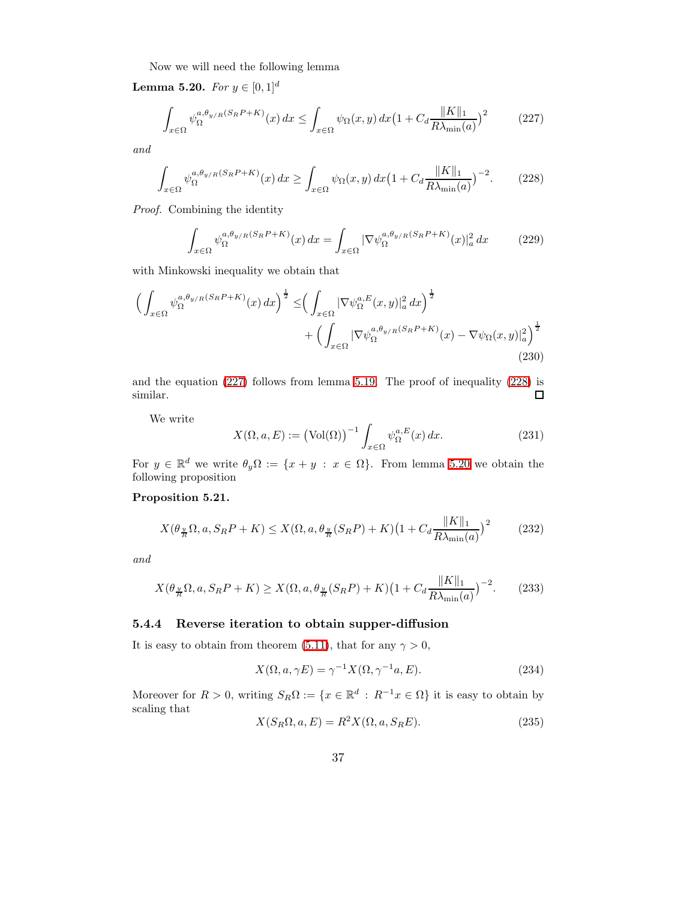<span id="page-36-0"></span>Now we will need the following lemma

<span id="page-36-2"></span>Lemma 5.20. For  $y \in [0, 1]^d$ 

$$
\int_{x \in \Omega} \psi_{\Omega}^{a,\theta_{y/R}(S_R P + K)}(x) dx \le \int_{x \in \Omega} \psi_{\Omega}(x,y) dx \left(1 + C_d \frac{\|K\|_1}{R\lambda_{\min}(a)}\right)^2 \tag{227}
$$

<span id="page-36-1"></span>and

$$
\int_{x \in \Omega} \psi_{\Omega}^{a,\theta_{y/R}(S_R P + K)}(x) dx \ge \int_{x \in \Omega} \psi_{\Omega}(x,y) dx \left(1 + C_d \frac{\|K\|_1}{R\lambda_{\min}(a)}\right)^{-2} . \tag{228}
$$

Proof. Combining the identity

$$
\int_{x \in \Omega} \psi_{\Omega}^{a,\theta_{y/R}(S_R P + K)}(x) dx = \int_{x \in \Omega} |\nabla \psi_{\Omega}^{a,\theta_{y/R}(S_R P + K)}(x)|_a^2 dx \tag{229}
$$

with Minkowski inequality we obtain that

$$
\left(\int_{x\in\Omega} \psi_{\Omega}^{a,\theta_{y/R}(S_R P + K)}(x) dx\right)^{\frac{1}{2}} \leq \left(\int_{x\in\Omega} |\nabla \psi_{\Omega}^{a,E}(x,y)|_a^2 dx\right)^{\frac{1}{2}} + \left(\int_{x\in\Omega} |\nabla \psi_{\Omega}^{a,\theta_{y/R}(S_R P + K)}(x) - \nabla \psi_{\Omega}(x,y)|_a^2\right)^{\frac{1}{2}} \tag{230}
$$

and the equation [\(227\)](#page-36-0) follows from lemma [5.19.](#page-35-2) The proof of inequality [\(228\)](#page-36-1) is similar.  $\Box$ 

We write

$$
X(\Omega, a, E) := (\text{Vol}(\Omega))^{-1} \int_{x \in \Omega} \psi_{\Omega}^{a, E}(x) dx.
$$
 (231)

<span id="page-36-3"></span>For  $y \in \mathbb{R}^d$  we write  $\theta_y \Omega := \{x + y : x \in \Omega\}$ . From lemma [5.20](#page-36-2) we obtain the following proposition

#### Proposition 5.21.

$$
X(\theta_{\frac{y}{R}}\Omega, a, S_R P + K) \le X(\Omega, a, \theta_{\frac{y}{R}}(S_R P) + K)\left(1 + C_d \frac{\|K\|_1}{R\lambda_{\min}(a)}\right)^2 \tag{232}
$$

and

$$
X(\theta_{\frac{y}{R}}\Omega, a, S_R P + K) \ge X(\Omega, a, \theta_{\frac{y}{R}}(S_R P) + K)(1 + C_d \frac{\|K\|_1}{R\lambda_{\min}(a)})^{-2}.
$$
 (233)

## 5.4.4 Reverse iteration to obtain supper-diffusion

It is easy to obtain from theorem [\(5.11\)](#page-27-2), that for any  $\gamma > 0$ ,

<span id="page-36-5"></span>
$$
X(\Omega, a, \gamma E) = \gamma^{-1} X(\Omega, \gamma^{-1} a, E). \tag{234}
$$

<span id="page-36-4"></span>Moreover for  $R > 0$ , writing  $S_R \Omega := \{x \in \mathbb{R}^d : R^{-1}x \in \Omega\}$  it is easy to obtain by scaling that

$$
X(S_R\Omega, a, E) = R^2 X(\Omega, a, S_R E). \tag{235}
$$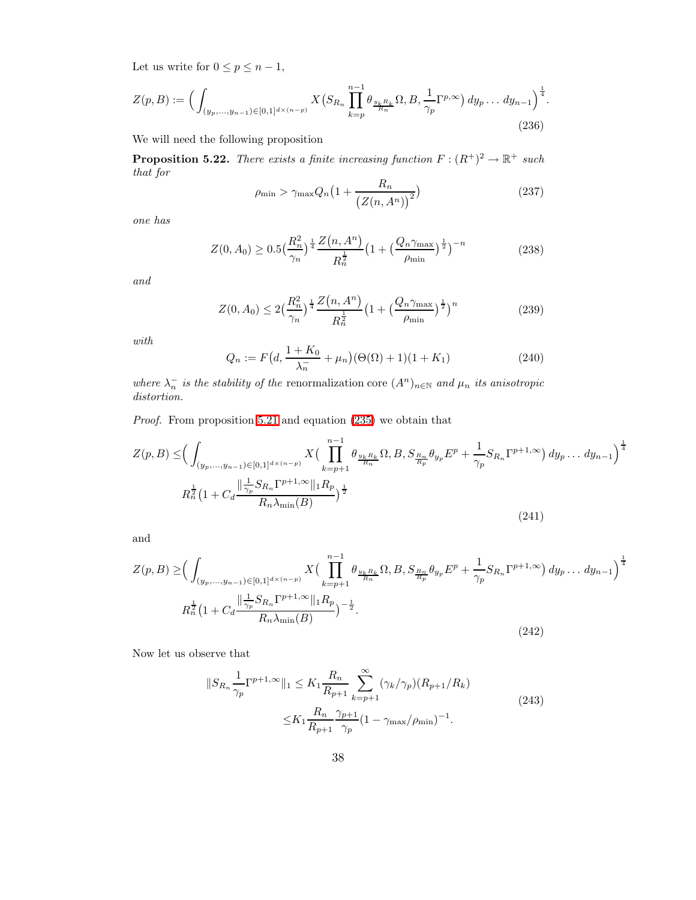<span id="page-37-5"></span>Let us write for  $0 \le p \le n-1$ ,

$$
Z(p,B) := \Big( \int_{(y_p,\ldots,y_{n-1}) \in [0,1]^{d \times (n-p)}} X\big( S_{R_n} \prod_{k=p}^{n-1} \theta_{\frac{y_k R_k}{R_n}} \Omega, B, \frac{1}{\gamma_p} \Gamma^{p,\infty} \big) dy_p \ldots dy_{n-1} \Big)^{\frac{1}{4}}.
$$
\n(236)

<span id="page-37-6"></span>We will need the following proposition

**Proposition 5.22.** There exists a finite increasing function  $F : (R^+)^2 \to \mathbb{R}^+$  such that for

$$
\rho_{\min} > \gamma_{\max} Q_n \left( 1 + \frac{R_n}{\left( Z(n, A^n) \right)^2} \right) \tag{237}
$$

<span id="page-37-3"></span>one has

$$
Z(0, A_0) \ge 0.5 \left(\frac{R_n^2}{\gamma_n}\right)^{\frac{1}{4}} \frac{Z(n, A^n)}{R_n^{\frac{1}{2}}} \left(1 + \left(\frac{Q_n \gamma_{\text{max}}}{\rho_{\text{min}}}\right)^{\frac{1}{2}}\right)^{-n} \tag{238}
$$

<span id="page-37-4"></span>and

$$
Z(0, A_0) \le 2\left(\frac{R_n^2}{\gamma_n}\right)^{\frac{1}{4}} \frac{Z(n, A^n)}{R_n^{\frac{1}{2}}} \left(1 + \left(\frac{Q_n \gamma_{\text{max}}}{\rho_{\text{min}}}\right)^{\frac{1}{2}}\right)^n \tag{239}
$$

with

<span id="page-37-0"></span>
$$
Q_n := F\left(d, \frac{1 + K_0}{\lambda_n} + \mu_n\right) \left(\Theta(\Omega) + 1\right) \left(1 + K_1\right) \tag{240}
$$

where  $\lambda_n^-$  is the stability of the renormalization core  $(A^n)_{n\in\mathbb{N}}$  and  $\mu_n$  its anisotropic distortion.

Proof. From proposition [5.21](#page-36-3) and equation [\(235\)](#page-36-4) we obtain that

$$
Z(p,B) \leq \left(\int_{(y_p,\ldots,y_{n-1})\in[0,1]^{d\times(n-p)}} X\left(\prod_{k=p+1}^{n-1} \theta_{\frac{y_k R_k}{R_n}} \Omega, B, S_{\frac{R_n}{R_p}} \theta_{y_p} E^p + \frac{1}{\gamma_p} S_{R_n} \Gamma^{p+1,\infty}\right) dy_p \ldots dy_{n-1}\right)^{\frac{1}{4}}
$$
  

$$
R_n^{\frac{1}{2}} \left(1 + C_d \frac{\|\frac{1}{\gamma_p} S_{R_n} \Gamma^{p+1,\infty}\|_1 R_p}{R_n \lambda_{\min}(B)}\right)^{\frac{1}{2}}
$$
\n
$$
(241)
$$

<span id="page-37-1"></span>and

$$
Z(p,B) \ge \left(\int_{(y_p,\ldots,y_{n-1})\in[0,1]^{d\times(n-p)}} X\left(\prod_{k=p+1}^{n-1} \theta_{\frac{y_k R_k}{R_n}} \Omega, B, S_{\frac{R_n}{R_p}} \theta_{y_p} E^p + \frac{1}{\gamma_p} S_{R_n} \Gamma^{p+1,\infty}\right) dy_p \ldots dy_{n-1}\right)^{\frac{1}{4}}
$$
  

$$
R_n^{\frac{1}{2}} \left(1 + C_d \frac{\|\frac{1}{\gamma_p} S_{R_n} \Gamma^{p+1,\infty}\|_1 R_p}{R_n \lambda_{\min}(B)}\right)^{-\frac{1}{2}}.
$$
  
(242)

<span id="page-37-2"></span>Now let us observe that

$$
||S_{R_n} \frac{1}{\gamma_p} \Gamma^{p+1,\infty}||_1 \le K_1 \frac{R_n}{R_{p+1}} \sum_{k=p+1}^{\infty} (\gamma_k/\gamma_p)(R_{p+1}/R_k)
$$
  

$$
\le K_1 \frac{R_n}{R_{p+1}} \frac{\gamma_{p+1}}{\gamma_p} (1 - \gamma_{\max}/\rho_{\min})^{-1}.
$$
 (243)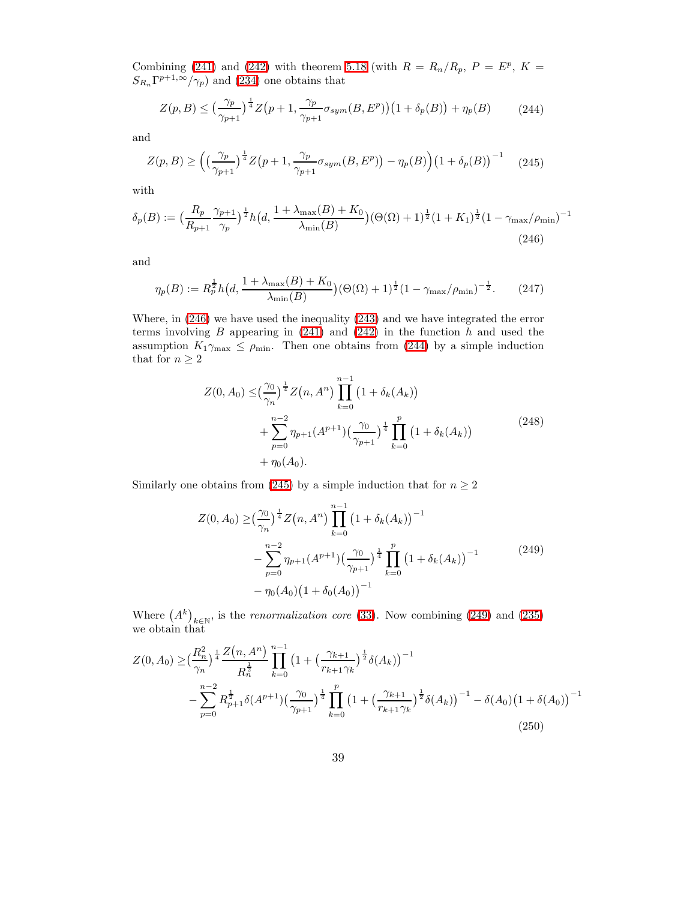Combining [\(241\)](#page-37-0) and [\(242\)](#page-37-1) with theorem [5.18](#page-35-0) (with  $R = R_n/R_p$ ,  $P = E^p$ ,  $K =$  $S_{R_n} \Gamma^{p+1,\infty}(\gamma_p)$  and [\(234\)](#page-36-5) one obtains that

<span id="page-38-1"></span>
$$
Z(p, B) \le \left(\frac{\gamma_p}{\gamma_{p+1}}\right)^{\frac{1}{4}} Z\left(p+1, \frac{\gamma_p}{\gamma_{p+1}} \sigma_{sym}(B, E^p)\right) \left(1 + \delta_p(B)\right) + \eta_p(B) \tag{244}
$$

<span id="page-38-2"></span>and

$$
Z(p, B) \ge \left( \left( \frac{\gamma_p}{\gamma_{p+1}} \right)^{\frac{1}{4}} Z\left( p+1, \frac{\gamma_p}{\gamma_{p+1}} \sigma_{sym}(B, E^p) \right) - \eta_p(B) \right) \left( 1 + \delta_p(B) \right)^{-1} \tag{245}
$$

<span id="page-38-0"></span>with

$$
\delta_p(B) := \left(\frac{R_p}{R_{p+1}} \frac{\gamma_{p+1}}{\gamma_p}\right)^{\frac{1}{2}} h\left(d, \frac{1+\lambda_{\max}(B) + K_0}{\lambda_{\min}(B)}\right) (\Theta(\Omega) + 1)^{\frac{1}{2}} (1 + K_1)^{\frac{1}{2}} (1 - \gamma_{\max}/\rho_{\min})^{-1}
$$
\n(246)

and

$$
\eta_p(B) := R_p^{\frac{1}{2}} h\big(d, \frac{1 + \lambda_{\max}(B) + K_0}{\lambda_{\min}(B)}\big) (\Theta(\Omega) + 1)^{\frac{1}{2}} (1 - \gamma_{\max}/\rho_{\min})^{-\frac{1}{2}}.
$$
 (247)

<span id="page-38-4"></span>Where, in [\(246\)](#page-38-0) we have used the inequality [\(243\)](#page-37-2) and we have integrated the error terms involving B appearing in  $(241)$  and  $(242)$  in the function h and used the assumption  $K_1\gamma_{\text{max}} \leq \rho_{\text{min}}$ . Then one obtains from [\(244\)](#page-38-1) by a simple induction that for  $n \geq 2$ 

$$
Z(0, A_0) \leq \left(\frac{\gamma_0}{\gamma_n}\right)^{\frac{1}{4}} Z(n, A^n) \prod_{k=0}^{n-1} \left(1 + \delta_k(A_k)\right)
$$
  
+ 
$$
\sum_{p=0}^{n-2} \eta_{p+1}(A^{p+1}) \left(\frac{\gamma_0}{\gamma_{p+1}}\right)^{\frac{1}{4}} \prod_{k=0}^{p} \left(1 + \delta_k(A_k)\right)
$$
  
+ 
$$
\eta_0(A_0).
$$
 (248)

Similarly one obtains from [\(245\)](#page-38-2) by a simple induction that for  $n \geq 2$ 

<span id="page-38-3"></span>
$$
Z(0, A_0) \ge \left(\frac{\gamma_0}{\gamma_n}\right)^{\frac{1}{4}} Z(n, A^n) \prod_{k=0}^{n-1} \left(1 + \delta_k(A_k)\right)^{-1}
$$
  
 
$$
- \sum_{p=0}^{n-2} \eta_{p+1}(A^{p+1}) \left(\frac{\gamma_0}{\gamma_{p+1}}\right)^{\frac{1}{4}} \prod_{k=0}^{p} \left(1 + \delta_k(A_k)\right)^{-1}
$$
  
 
$$
- \eta_0(A_0) \left(1 + \delta_0(A_0)\right)^{-1}
$$
 (249)

Where  $(A^k)_{k\in\mathbb{N}}$ , is the *renormalization core* [\(33\)](#page-7-1). Now combining [\(249\)](#page-38-3) and [\(235\)](#page-36-4) we obtain that

$$
Z(0, A_0) \geq \left(\frac{R_n^2}{\gamma_n}\right)^{\frac{1}{4}} \frac{Z(n, A^n)}{R_n^{\frac{1}{2}}} \prod_{k=0}^{n-1} \left(1 + \left(\frac{\gamma_{k+1}}{r_{k+1}\gamma_k}\right)^{\frac{1}{2}} \delta(A_k)\right)^{-1} - \sum_{p=0}^{n-2} R_{p+1}^{\frac{1}{2}} \delta(A^{p+1}) \left(\frac{\gamma_0}{\gamma_{p+1}}\right)^{\frac{1}{4}} \prod_{k=0}^p \left(1 + \left(\frac{\gamma_{k+1}}{r_{k+1}\gamma_k}\right)^{\frac{1}{2}} \delta(A_k)\right)^{-1} - \delta(A_0) \left(1 + \delta(A_0)\right)^{-1}
$$
\n
$$
(250)
$$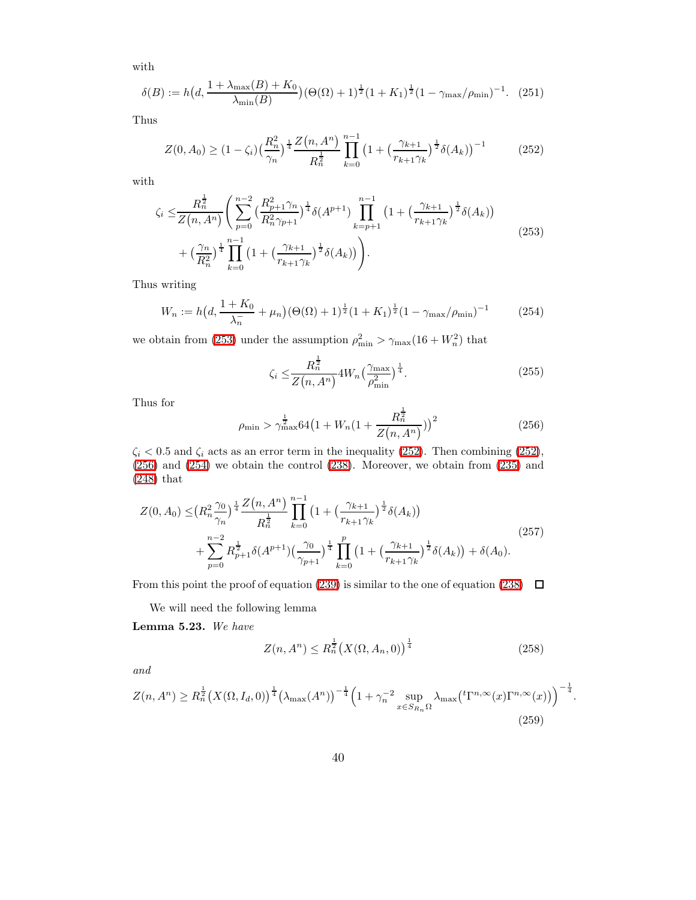with

$$
\delta(B) := h\big(d, \frac{1 + \lambda_{\max}(B) + K_0}{\lambda_{\min}(B)}\big) (\Theta(\Omega) + 1)^{\frac{1}{2}} (1 + K_1)^{\frac{1}{2}} (1 - \gamma_{\max}/\rho_{\min})^{-1}.
$$
 (251)

<span id="page-39-1"></span>Thus

$$
Z(0, A_0) \ge (1 - \zeta_i) \left(\frac{R_n^2}{\gamma_n}\right)^{\frac{1}{4}} \frac{Z(n, A^n)}{R_n^{\frac{1}{2}}} \prod_{k=0}^{n-1} \left(1 + \left(\frac{\gamma_{k+1}}{r_{k+1}\gamma_k}\right)^{\frac{1}{2}} \delta(A_k)\right)^{-1}
$$
(252)

<span id="page-39-0"></span>with

$$
\zeta_i \leq \frac{R_n^{\frac{1}{2}}}{Z(n, A^n)} \left( \sum_{p=0}^{n-2} \left( \frac{R_{p+1}^2 \gamma_n}{R_n^2 \gamma_{p+1}} \right)^{\frac{1}{4}} \delta(A^{p+1}) \prod_{k=p+1}^{n-1} \left( 1 + \left( \frac{\gamma_{k+1}}{r_{k+1} \gamma_k} \right)^{\frac{1}{2}} \delta(A_k) \right) + \left( \frac{\gamma_n}{R_n^2} \right)^{\frac{1}{4}} \prod_{k=0}^{n-1} \left( 1 + \left( \frac{\gamma_{k+1}}{r_{k+1} \gamma_k} \right)^{\frac{1}{2}} \delta(A_k) \right) \right).
$$
\n(253)

<span id="page-39-3"></span>Thus writing

$$
W_n := h\big(d, \frac{1 + K_0}{\lambda_n^2} + \mu_n\big) (\Theta(\Omega) + 1)^{\frac{1}{2}} (1 + K_1)^{\frac{1}{2}} (1 - \gamma_{\text{max}}/\rho_{\text{min}})^{-1}
$$
(254)

we obtain from [\(253\)](#page-39-0) under the assumption  $\rho_{\min}^2 > \gamma_{\max}(16 + W_n^2)$  that 1

$$
\zeta_i \le \frac{R_n^{\frac{1}{2}}}{Z(n, A^n)} 4W_n \left(\frac{\gamma_{\text{max}}}{\rho_{\text{min}}^2}\right)^{\frac{1}{4}}.
$$
\n(255)

<span id="page-39-2"></span>Thus for

$$
\rho_{\min} > \gamma_{\max}^{\frac{1}{2}} 64 \left( 1 + W_n \left( 1 + \frac{R_n^{\frac{1}{2}}}{Z(n, A^n)} \right) \right)^2 \tag{256}
$$

 $\zeta_i < 0.5$  and  $\zeta_i$  acts as an error term in the inequality [\(252\)](#page-39-1). Then combining [\(252\)](#page-39-1), [\(256\)](#page-39-2) and [\(254\)](#page-39-3) we obtain the control [\(238\)](#page-37-3). Moreover, we obtain from [\(235\)](#page-36-4) and [\(248\)](#page-38-4) that

$$
Z(0, A_0) \leq \left(R_n^2 \frac{\gamma_0}{\gamma_n}\right)^{\frac{1}{4}} \frac{Z(n, A^n)}{R_n^{\frac{1}{2}}} \prod_{k=0}^{n-1} \left(1 + \left(\frac{\gamma_{k+1}}{r_{k+1}\gamma_k}\right)^{\frac{1}{2}} \delta(A_k)\right) + \sum_{p=0}^{n-2} R_{p+1}^{\frac{1}{2}} \delta(A^{p+1}) \left(\frac{\gamma_0}{\gamma_{p+1}}\right)^{\frac{1}{4}} \prod_{k=0}^p \left(1 + \left(\frac{\gamma_{k+1}}{r_{k+1}\gamma_k}\right)^{\frac{1}{2}} \delta(A_k)\right) + \delta(A_0).
$$
\n(257)

From this point the proof of equation [\(239\)](#page-37-4) is similar to the one of equation [\(238\)](#page-37-3)  $\Box$ 

<span id="page-39-4"></span>We will need the following lemma

Lemma 5.23. We have

$$
Z(n, A^n) \le R_n^{\frac{1}{2}} \left( X(\Omega, A_n, 0) \right)^{\frac{1}{4}}
$$
\n(258)

<span id="page-39-5"></span>and

$$
Z(n, A^{n}) \geq R_{n}^{\frac{1}{2}}(X(\Omega, I_{d}, 0))^{\frac{1}{4}}(\lambda_{\max}(A^{n}))^{-\frac{1}{4}}\left(1 + \gamma_{n}^{-2} \sup_{x \in S_{R_{n}}\Omega} \lambda_{\max}(t\Gamma^{n, \infty}(x)\Gamma^{n, \infty}(x))\right)^{-\frac{1}{4}}.
$$
\n(259)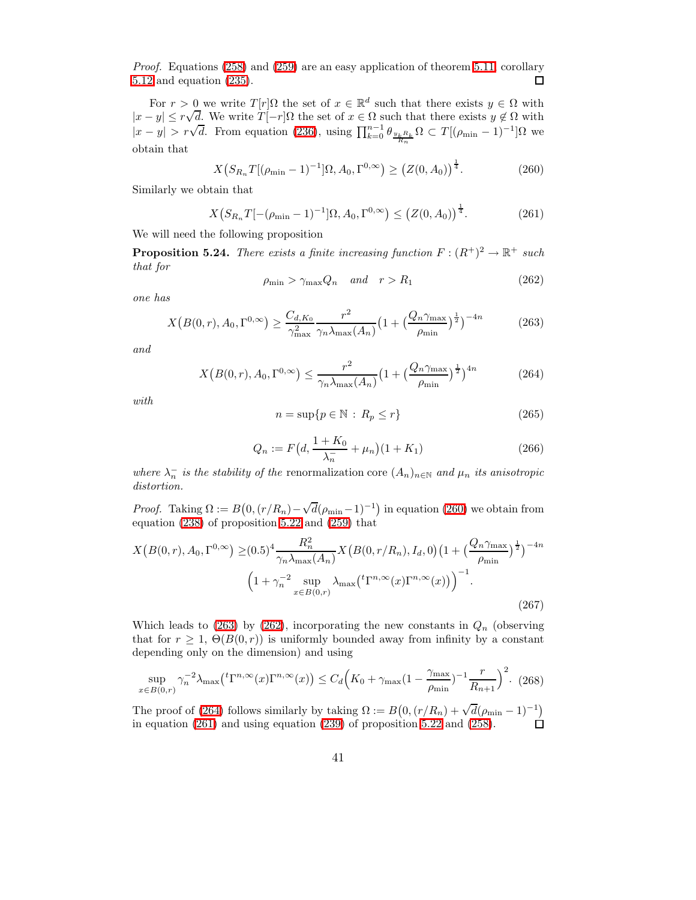Proof. Equations [\(258\)](#page-39-4) and [\(259\)](#page-39-5) are an easy application of theorem [5.11,](#page-27-2) corollary [5.12](#page-27-5) and equation [\(235\)](#page-36-4).  $\Box$ 

<span id="page-40-0"></span>For  $r > 0$  we write  $T[r]\Omega$  the set of  $x \in \mathbb{R}^d$  such that there exists  $y \in \Omega$  with  $|x - y| \le r\sqrt{d}$ . We write  $T[-r]\Omega$  the set of  $x \in \Omega$  such that there exists  $y \notin \Omega$  with  $|x-y| > r\sqrt{d}$ . From equation [\(236\)](#page-37-5), using  $\prod_{k=0}^{n-1} \theta_{\frac{y_k R_k}{R_n}} \Omega \subset T[(\rho_{\min} - 1)^{-1}] \Omega$  we obtain that

<span id="page-40-4"></span>
$$
X(S_{R_n}T[(\rho_{\min}-1)^{-1}]\Omega, A_0, \Gamma^{0,\infty}) \ge (Z(0, A_0))^{\frac{1}{4}}.
$$
 (260)

Similarly we obtain that

$$
X(S_{R_n}T[-(\rho_{\min}-1)^{-1}]\Omega, A_0, \Gamma^{0,\infty}) \le (Z(0, A_0))^{\frac{1}{4}}.
$$
 (261)

<span id="page-40-5"></span>We will need the following proposition

<span id="page-40-2"></span>**Proposition 5.24.** There exists a finite increasing function  $F : (R^+)^2 \to \mathbb{R}^+$  such that for

$$
\rho_{\min} > \gamma_{\max} Q_n \quad and \quad r > R_1 \tag{262}
$$

<span id="page-40-1"></span>one has

$$
X\left(B(0,r), A_0, \Gamma^{0,\infty}\right) \ge \frac{C_{d,K_0}}{\gamma_{\text{max}}^2} \frac{r^2}{\gamma_n \lambda_{\text{max}}(A_n)} \left(1 + \left(\frac{Q_n \gamma_{\text{max}}}{\rho_{\text{min}}}\right)^{\frac{1}{2}}\right)^{-4n} \tag{263}
$$

<span id="page-40-3"></span>and

$$
X\left(B(0,r), A_0, \Gamma^{0,\infty}\right) \le \frac{r^2}{\gamma_n \lambda_{\max}(A_n)} \left(1 + \left(\frac{Q_n \gamma_{\max}}{\rho_{\min}}\right)^{\frac{1}{2}}\right)^{4n} \tag{264}
$$

with

$$
n = \sup\{p \in \mathbb{N} : R_p \le r\}
$$
\n(265)

$$
Q_n := F\left(d, \frac{1 + K_0}{\lambda_n} + \mu_n\right) (1 + K_1) \tag{266}
$$

where  $\lambda_n^-$  is the stability of the renormalization core  $(A_n)_{n\in\mathbb{N}}$  and  $\mu_n$  its anisotropic distortion.

*Proof.* Taking  $\Omega := B(0, (r/R_n) - \sqrt{d}(\rho_{\min} - 1)^{-1})$  in equation [\(260\)](#page-40-0) we obtain from equation [\(238\)](#page-37-3) of proposition [5.22](#page-37-6) and [\(259\)](#page-39-5) that

$$
X\left(B(0,r), A_0, \Gamma^{0,\infty}\right) \geq (0.5)^4 \frac{R_n^2}{\gamma_n \lambda_{\max}(A_n)} X\left(B(0, r/R_n), I_d, 0\right) \left(1 + \left(\frac{Q_n \gamma_{\max}}{\rho_{\min}}\right)^{\frac{1}{2}}\right)^{-4n}
$$

$$
\left(1 + \gamma_n^{-2} \sup_{x \in B(0,r)} \lambda_{\max}\left(^t\Gamma^{n,\infty}(x)\Gamma^{n,\infty}(x)\right)\right)^{-1}.
$$
\n(267)

Which leads to [\(263\)](#page-40-1) by [\(262\)](#page-40-2), incorporating the new constants in  $Q_n$  (observing that for  $r \geq 1$ ,  $\Theta(B(0,r))$  is uniformly bounded away from infinity by a constant depending only on the dimension) and using

$$
\sup_{x \in B(0,r)} \gamma_n^{-2} \lambda_{\max} ({}^t \Gamma^{n,\infty}(x) \Gamma^{n,\infty}(x)) \le C_d \Big(K_0 + \gamma_{\max} (1 - \frac{\gamma_{\max}}{\rho_{\min}})^{-1} \frac{r}{R_{n+1}}\Big)^2. \tag{268}
$$

The proof of [\(264\)](#page-40-3) follows similarly by taking  $\Omega := B(0, (r/R_n) + \sqrt{d}(\rho_{\min} - 1)^{-1})$ in equation [\(261\)](#page-40-4) and using equation [\(239\)](#page-37-4) of proposition [5.22](#page-37-6) and [\(258\)](#page-39-4).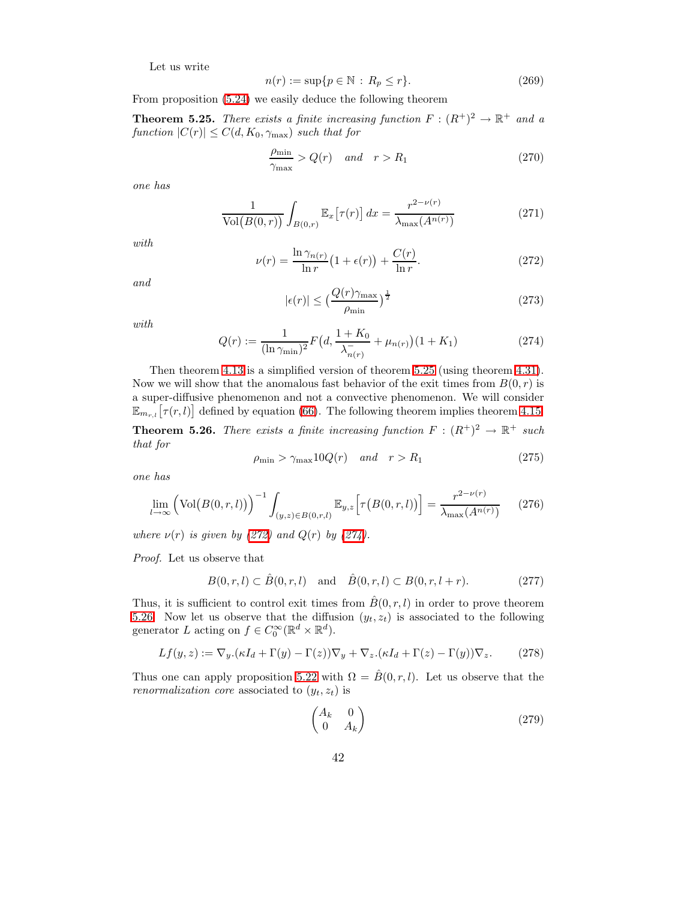Let us write

$$
n(r) := \sup\{p \in \mathbb{N} \, : \, R_p \le r\}.
$$
\n<sup>(269)</sup>

<span id="page-41-0"></span>From proposition [\(5.24\)](#page-40-5) we easily deduce the following theorem

**Theorem 5.25.** There exists a finite increasing function  $F : (R^+)^2 \to \mathbb{R}^+$  and a function  $|C(r)| \leq C(d, K_0, \gamma_{\text{max}})$  such that for

$$
\frac{\rho_{\min}}{\gamma_{\max}} > Q(r) \quad \text{and} \quad r > R_1 \tag{270}
$$

one has

$$
\frac{1}{\text{Vol}(B(0,r))} \int_{B(0,r)} \mathbb{E}_x \left[ \tau(r) \right] dx = \frac{r^{2-\nu(r)}}{\lambda_{\text{max}}(A^{n(r)})} \tag{271}
$$

<span id="page-41-1"></span>with

$$
\nu(r) = \frac{\ln \gamma_{n(r)}}{\ln r} \left(1 + \epsilon(r)\right) + \frac{C(r)}{\ln r}.\tag{272}
$$

and

$$
|\epsilon(r)| \le \left(\frac{Q(r)\gamma_{\text{max}}}{\rho_{\text{min}}}\right)^{\frac{1}{2}} \tag{273}
$$

<span id="page-41-2"></span>with

$$
Q(r) := \frac{1}{(\ln \gamma_{\min})^2} F\left(d, \frac{1 + K_0}{\lambda_{n(r)}^-} + \mu_{n(r)}\right) (1 + K_1)
$$
\n(274)

<span id="page-41-3"></span>Then theorem [4.13](#page-10-1) is a simplified version of theorem [5.25](#page-41-0) (using theorem [4.31\)](#page-18-1). Now we will show that the anomalous fast behavior of the exit times from  $B(0, r)$  is a super-diffusive phenomenon and not a convective phenomenon. We will consider  $\mathbb{E}_{m_{r,l}}[\tau(r,l)]$  defined by equation [\(66\)](#page-12-2). The following theorem implies theorem [4.15.](#page-12-1) **Theorem 5.26.** There exists a finite increasing function  $F : (R^+)^2 \to \mathbb{R}^+$  such that for

$$
\rho_{\min} > \gamma_{\max} 10Q(r) \quad \text{and} \quad r > R_1 \tag{275}
$$

one has

$$
\lim_{l \to \infty} \left( \text{Vol}\big(B(0, r, l)\big) \right)^{-1} \int_{(y, z) \in B(0, r, l)} \mathbb{E}_{y, z} \left[ \tau \big(B(0, r, l)\big) \right] = \frac{r^{2 - \nu(r)}}{\lambda_{\text{max}}(A^{n(r)})} \tag{276}
$$

where  $\nu(r)$  is given by [\(272\)](#page-41-1) and  $Q(r)$  by [\(274\)](#page-41-2).

Proof. Let us observe that

$$
B(0, r, l) \subset \hat{B}(0, r, l)
$$
 and  $\hat{B}(0, r, l) \subset B(0, r, l + r).$  (277)

Thus, it is sufficient to control exit times from  $\hat{B}(0, r, l)$  in order to prove theorem [5.26.](#page-41-3) Now let us observe that the diffusion  $(y_t, z_t)$  is associated to the following generator L acting on  $f \in C_0^{\infty}(\mathbb{R}^d \times \mathbb{R}^d)$ .

$$
Lf(y, z) := \nabla_y . (\kappa I_d + \Gamma(y) - \Gamma(z)) \nabla_y + \nabla_z . (\kappa I_d + \Gamma(z) - \Gamma(y)) \nabla_z.
$$
 (278)

Thus one can apply proposition [5.22](#page-37-6) with  $\Omega = \hat{B}(0, r, l)$ . Let us observe that the renormalization core associated to  $(y_t, z_t)$  is

$$
\begin{pmatrix} A_k & 0\\ 0 & A_k \end{pmatrix} \tag{279}
$$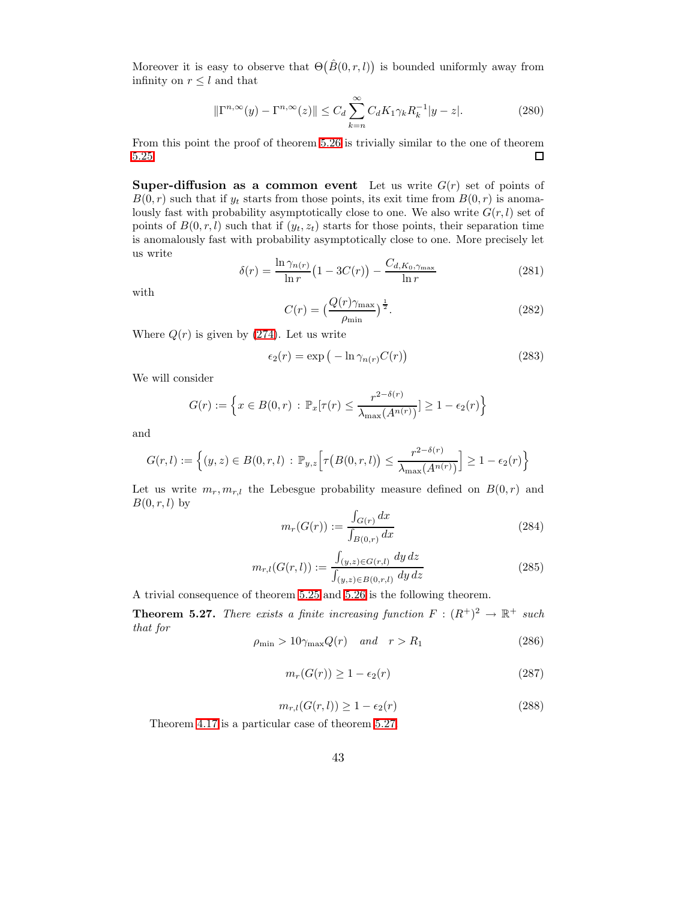Moreover it is easy to observe that  $\Theta(\hat{B}(0,r,l))$  is bounded uniformly away from infinity on  $r \leq l$  and that

$$
\|\Gamma^{n,\infty}(y) - \Gamma^{n,\infty}(z)\| \le C_d \sum_{k=n}^{\infty} C_d K_1 \gamma_k R_k^{-1} |y - z|.
$$
 (280)

From this point the proof of theorem [5.26](#page-41-3) is trivially similar to the one of theorem [5.25.](#page-41-0)  $\Box$ 

**Super-diffusion as a common event** Let us write  $G(r)$  set of points of  $B(0, r)$  such that if  $y_t$  starts from those points, its exit time from  $B(0, r)$  is anomalously fast with probability asymptotically close to one. We also write  $G(r, l)$  set of points of  $B(0, r, l)$  such that if  $(y_t, z_t)$  starts for those points, their separation time is anomalously fast with probability asymptotically close to one. More precisely let us write

$$
\delta(r) = \frac{\ln \gamma_{n(r)}}{\ln r} \left( 1 - 3C(r) \right) - \frac{C_{d, K_0, \gamma_{\text{max}}}}{\ln r}
$$
 (281)

with

$$
C(r) = \left(\frac{Q(r)\gamma_{\text{max}}}{\rho_{\text{min}}}\right)^{\frac{1}{2}}.
$$
\n(282)

Where  $Q(r)$  is given by [\(274\)](#page-41-2). Let us write

$$
\epsilon_2(r) = \exp\left(-\ln \gamma_{n(r)} C(r)\right) \tag{283}
$$

We will consider

$$
G(r) := \left\{ x \in B(0,r) : \mathbb{P}_x[\tau(r) \leq \frac{r^{2-\delta(r)}}{\lambda_{\max}(A^{n(r)})}] \geq 1 - \epsilon_2(r) \right\}
$$

and

$$
G(r,l) := \left\{ (y,z) \in B(0,r,l) : \mathbb{P}_{y,z} \left[ \tau\big(B(0,r,l)\big) \le \frac{r^{2-\delta(r)}}{\lambda_{\max}(A^{n(r)})} \right] \ge 1 - \epsilon_2(r) \right\}
$$

Let us write  $m_r, m_{r,l}$  the Lebesgue probability measure defined on  $B(0, r)$  and  $B(0, r, l)$  by

$$
m_r(G(r)) := \frac{\int_{G(r)} dx}{\int_{B(0,r)} dx}
$$
\n(284)

$$
m_{r,l}(G(r,l)) := \frac{\int_{(y,z)\in G(r,l)} dy dz}{\int_{(y,z)\in B(0,r,l)} dy dz}
$$
\n(285)

<span id="page-42-0"></span>A trivial consequence of theorem [5.25](#page-41-0) and [5.26](#page-41-3) is the following theorem.

**Theorem 5.27.** There exists a finite increasing function  $F : (R^+)^2 \to \mathbb{R}^+$  such that for

$$
\rho_{\min} > 10\gamma_{\max} Q(r) \quad \text{and} \quad r > R_1 \tag{286}
$$

$$
m_r(G(r)) \ge 1 - \epsilon_2(r) \tag{287}
$$

$$
m_{r,l}(G(r,l)) \ge 1 - \epsilon_2(r) \tag{288}
$$

Theorem [4.17](#page-13-1) is a particular case of theorem [5.27.](#page-42-0)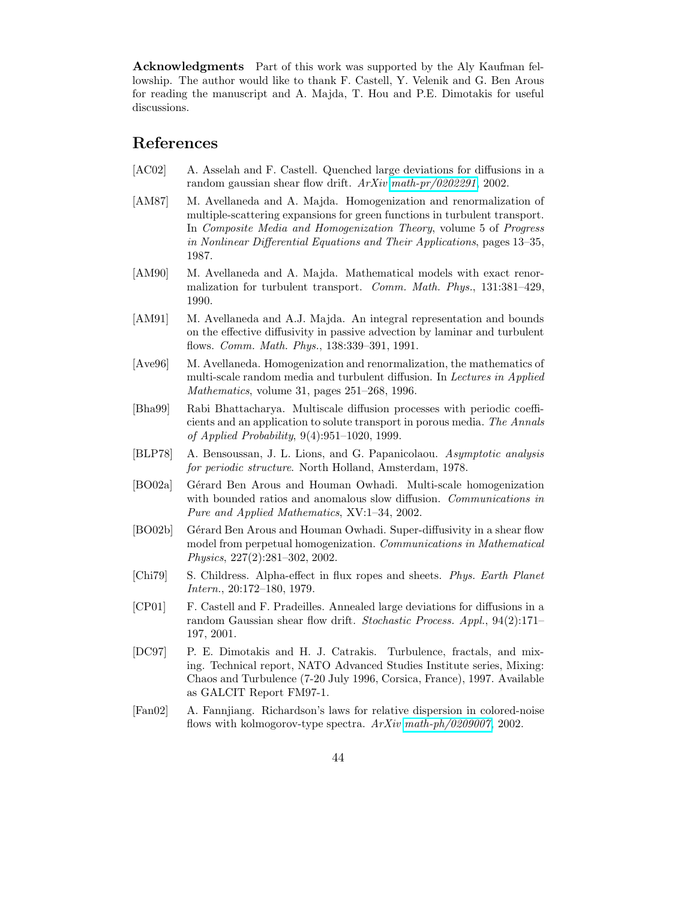Acknowledgments Part of this work was supported by the Aly Kaufman fellowship. The author would like to thank F. Castell, Y. Velenik and G. Ben Arous for reading the manuscript and A. Majda, T. Hou and P.E. Dimotakis for useful discussions.

# <span id="page-43-10"></span>References

- <span id="page-43-7"></span>[AC02] A. Asselah and F. Castell. Quenched large deviations for diffusions in a random gaussian shear flow drift. ArXiv [math-pr/0202291](http://arxiv.org/abs/math-pr/0202291), 2002.
- [AM87] M. Avellaneda and A. Majda. Homogenization and renormalization of multiple-scattering expansions for green functions in turbulent transport. In Composite Media and Homogenization Theory, volume 5 of Progress in Nonlinear Differential Equations and Their Applications, pages 13–35, 1987.
- <span id="page-43-6"></span>[AM90] M. Avellaneda and A. Majda. Mathematical models with exact renormalization for turbulent transport. Comm. Math. Phys., 131:381–429, 1990.
- <span id="page-43-12"></span>[AM91] M. Avellaneda and A.J. Majda. An integral representation and bounds on the effective diffusivity in passive advection by laminar and turbulent flows. Comm. Math. Phys., 138:339–391, 1991.
- <span id="page-43-0"></span>[Ave96] M. Avellaneda. Homogenization and renormalization, the mathematics of multi-scale random media and turbulent diffusion. In Lectures in Applied Mathematics, volume 31, pages 251–268, 1996.
- <span id="page-43-8"></span>[Bha99] Rabi Bhattacharya. Multiscale diffusion processes with periodic coefficients and an application to solute transport in porous media. The Annals of Applied Probability, 9(4):951–1020, 1999.
- <span id="page-43-4"></span><span id="page-43-2"></span>[BLP78] A. Bensoussan, J. L. Lions, and G. Papanicolaou. Asymptotic analysis for periodic structure. North Holland, Amsterdam, 1978.
- [BO02a] Gérard Ben Arous and Houman Owhadi. Multi-scale homogenization with bounded ratios and anomalous slow diffusion. Communications in Pure and Applied Mathematics, XV:1–34, 2002.
- <span id="page-43-3"></span>[BO02b] Gérard Ben Arous and Houman Owhadi. Super-diffusivity in a shear flow model from perpetual homogenization. Communications in Mathematical Physics, 227(2):281–302, 2002.
- <span id="page-43-5"></span>[Chi79] S. Childress. Alpha-effect in flux ropes and sheets. Phys. Earth Planet Intern., 20:172–180, 1979.
- <span id="page-43-9"></span>[CP01] F. Castell and F. Pradeilles. Annealed large deviations for diffusions in a random Gaussian shear flow drift. Stochastic Process. Appl., 94(2):171– 197, 2001.
- <span id="page-43-11"></span>[DC97] P. E. Dimotakis and H. J. Catrakis. Turbulence, fractals, and mixing. Technical report, NATO Advanced Studies Institute series, Mixing: Chaos and Turbulence (7-20 July 1996, Corsica, France), 1997. Available as GALCIT Report FM97-1.
- <span id="page-43-1"></span>[Fan02] A. Fannjiang. Richardson's laws for relative dispersion in colored-noise flows with kolmogorov-type spectra.  $ArXiv$  [math-ph/0209007](http://arxiv.org/abs/math-ph/0209007), 2002.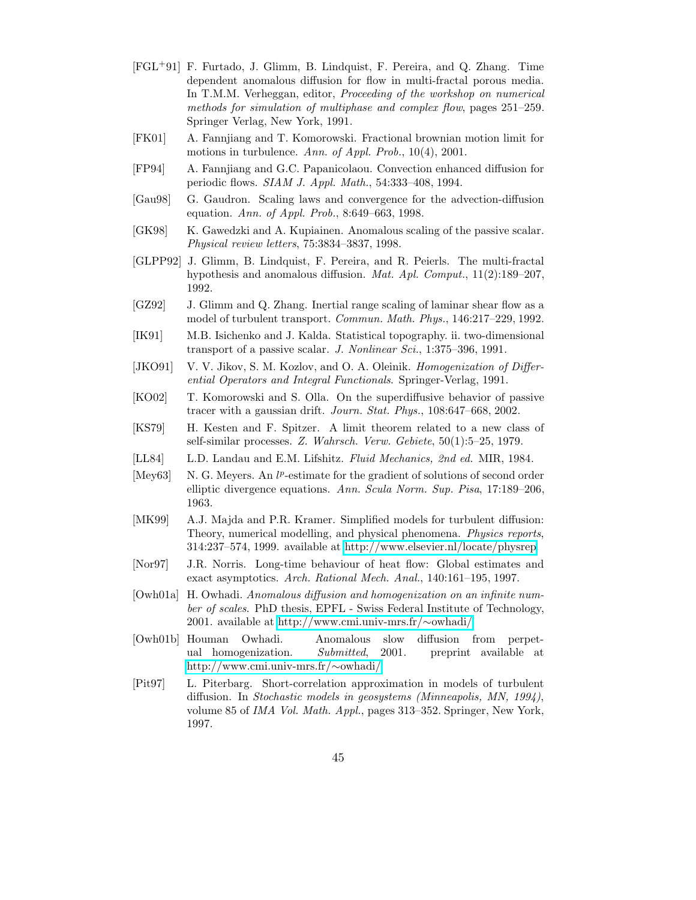- <span id="page-44-9"></span>[FGL+91] F. Furtado, J. Glimm, B. Lindquist, F. Pereira, and Q. Zhang. Time dependent anomalous diffusion for flow in multi-fractal porous media. In T.M.M. Verheggan, editor, Proceeding of the workshop on numerical methods for simulation of multiphase and complex flow, pages 251–259. Springer Verlag, New York, 1991.
- <span id="page-44-15"></span><span id="page-44-6"></span>[FK01] A. Fannjiang and T. Komorowski. Fractional brownian motion limit for motions in turbulence. Ann. of Appl. Prob., 10(4), 2001.
- <span id="page-44-14"></span>[FP94] A. Fannjiang and G.C. Papanicolaou. Convection enhanced diffusion for periodic flows. SIAM J. Appl. Math., 54:333–408, 1994.
- <span id="page-44-12"></span>[Gau98] G. Gaudron. Scaling laws and convergence for the advection-diffusion equation. Ann. of Appl. Prob., 8:649–663, 1998.
- <span id="page-44-10"></span>[GK98] K. Gawedzki and A. Kupiainen. Anomalous scaling of the passive scalar. Physical review letters, 75:3834–3837, 1998.
- [GLPP92] J. Glimm, B. Lindquist, F. Pereira, and R. Peierls. The multi-fractal hypothesis and anomalous diffusion. Mat. Apl. Comput., 11(2):189–207, 1992.
- <span id="page-44-11"></span>[GZ92] J. Glimm and Q. Zhang. Inertial range scaling of laminar shear flow as a model of turbulent transport. Commun. Math. Phys., 146:217–229, 1992.
- <span id="page-44-13"></span>[IK91] M.B. Isichenko and J. Kalda. Statistical topography. ii. two-dimensional transport of a passive scalar. J. Nonlinear Sci., 1:375-396, 1991.
- <span id="page-44-5"></span>[JKO91] V. V. Jikov, S. M. Kozlov, and O. A. Oleinik. Homogenization of Differential Operators and Integral Functionals. Springer-Verlag, 1991.
- <span id="page-44-1"></span>[KO02] T. Komorowski and S. Olla. On the superdiffusive behavior of passive tracer with a gaussian drift. Journ. Stat. Phys., 108:647–668, 2002.
- <span id="page-44-8"></span><span id="page-44-7"></span>[KS79] H. Kesten and F. Spitzer. A limit theorem related to a new class of self-similar processes. Z. Wahrsch. Verw. Gebiete, 50(1):5–25, 1979.
- <span id="page-44-17"></span>[LL84] L.D. Landau and E.M. Lifshitz. Fluid Mechanics, 2nd ed. MIR, 1984.
- [Mey63] N. G. Meyers. An  $l^p$ -estimate for the gradient of solutions of second order elliptic divergence equations. Ann. Scula Norm. Sup. Pisa, 17:189–206, 1963.
- <span id="page-44-16"></span>[MK99] A.J. Majda and P.R. Kramer. Simplified models for turbulent diffusion: Theory, numerical modelling, and physical phenomena. Physics reports, 314:237–574, 1999. available at [http://www.elsevier.nl/locate/physrep.](http://www.elsevier.nl/locate/physrep)
- <span id="page-44-4"></span>[Nor97] J.R. Norris. Long-time behaviour of heat flow: Global estimates and exact asymptotics. Arch. Rational Mech. Anal., 140:161–195, 1997.
- <span id="page-44-2"></span>[Owh01a] H. Owhadi. Anomalous diffusion and homogenization on an infinite number of scales. PhD thesis, EPFL - Swiss Federal Institute of Technology, 2001. available at [http://www.cmi.univ-mrs.fr/](http://www.cmi.univ-mrs.fr/~owhadi/)∼owhadi/.
- <span id="page-44-3"></span>[Owh01b] Houman Owhadi. Anomalous slow diffusion from perpetual homogenization. Submitted, 2001. preprint available at [http://www.cmi.univ-mrs.fr/](http://www.cmi.univ-mrs.fr/~owhadi/)∼owhadi/.
- <span id="page-44-0"></span>[Pit97] L. Piterbarg. Short-correlation approximation in models of turbulent diffusion. In Stochastic models in geosystems (Minneapolis, MN, 1994), volume 85 of IMA Vol. Math. Appl., pages 313–352. Springer, New York, 1997.